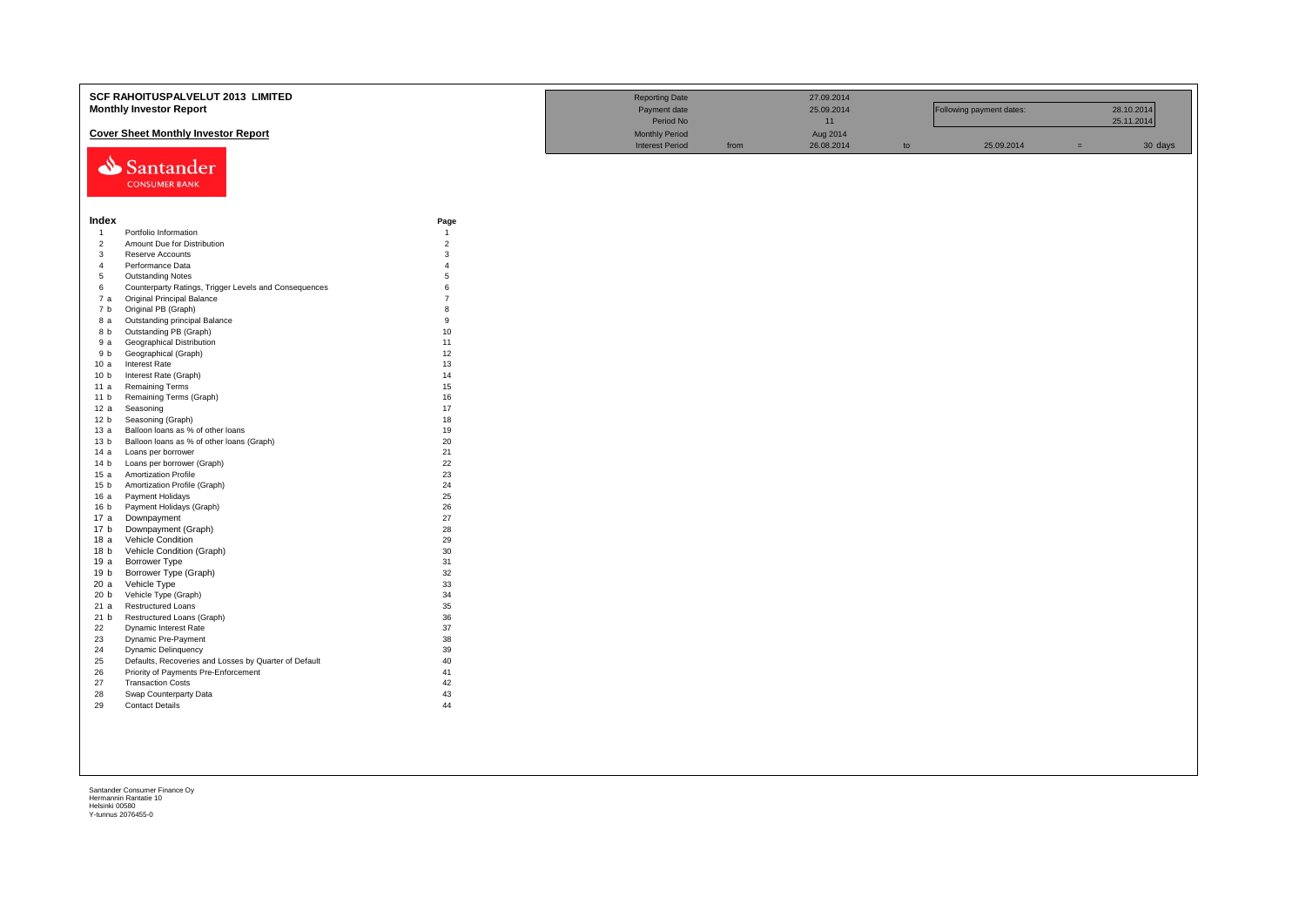|                        | SCF RAHOITUSPALVELUT 2013 LIMITED                     |                | <b>Reporting Date</b>  |      | 27.09.2014 |    |                          |     |            |
|------------------------|-------------------------------------------------------|----------------|------------------------|------|------------|----|--------------------------|-----|------------|
|                        | <b>Monthly Investor Report</b>                        |                | Payment date           |      | 25.09.2014 |    | Following payment dates: |     | 28.10.2014 |
|                        |                                                       |                |                        |      |            |    |                          |     |            |
|                        |                                                       |                | Period No              |      | 11         |    |                          |     | 25.11.2014 |
|                        | <b>Cover Sheet Monthly Investor Report</b>            |                | <b>Monthly Period</b>  |      | Aug 2014   |    |                          |     |            |
|                        |                                                       |                | <b>Interest Period</b> | from | 26.08.2014 | to | 25.09.2014               | $=$ | 30 days    |
|                        | Santander                                             |                |                        |      |            |    |                          |     |            |
|                        |                                                       |                |                        |      |            |    |                          |     |            |
|                        | <b>CONSUMER BANK</b>                                  |                |                        |      |            |    |                          |     |            |
|                        |                                                       |                |                        |      |            |    |                          |     |            |
|                        |                                                       |                |                        |      |            |    |                          |     |            |
| Index                  |                                                       | Page           |                        |      |            |    |                          |     |            |
| $\overline{1}$         | Portfolio Information                                 | $\overline{1}$ |                        |      |            |    |                          |     |            |
| $\overline{c}$         | Amount Due for Distribution                           | $\overline{2}$ |                        |      |            |    |                          |     |            |
| $\mathbf{3}$           | Reserve Accounts                                      | 3              |                        |      |            |    |                          |     |            |
| $\overline{4}$         | Performance Data                                      | $\overline{A}$ |                        |      |            |    |                          |     |            |
| 5                      | <b>Outstanding Notes</b>                              | $\overline{5}$ |                        |      |            |    |                          |     |            |
| 6                      | Counterparty Ratings, Trigger Levels and Consequences | 6              |                        |      |            |    |                          |     |            |
| 7a                     | Original Principal Balance                            | $\overline{7}$ |                        |      |            |    |                          |     |            |
| 7 b                    | Original PB (Graph)                                   | 8              |                        |      |            |    |                          |     |            |
| 8 a                    | Outstanding principal Balance                         | 9              |                        |      |            |    |                          |     |            |
| 8 b                    | Outstanding PB (Graph)                                | 10             |                        |      |            |    |                          |     |            |
| 9 a                    | Geographical Distribution                             | 11             |                        |      |            |    |                          |     |            |
| 9 b                    | Geographical (Graph)                                  | 12             |                        |      |            |    |                          |     |            |
| 10a                    | <b>Interest Rate</b>                                  | 13             |                        |      |            |    |                          |     |            |
| 10 <sub>b</sub>        | Interest Rate (Graph)                                 | 14             |                        |      |            |    |                          |     |            |
| 11 a                   | <b>Remaining Terms</b><br>Remaining Terms (Graph)     | 15<br>16       |                        |      |            |    |                          |     |            |
| 11 <sub>b</sub><br>12a |                                                       | 17             |                        |      |            |    |                          |     |            |
| 12 <sub>b</sub>        | Seasoning<br>Seasoning (Graph)                        | 18             |                        |      |            |    |                          |     |            |
| 13 а                   | Balloon loans as % of other loans                     | 19             |                        |      |            |    |                          |     |            |
| 13 <sub>b</sub>        | Balloon loans as % of other loans (Graph)             | 20             |                        |      |            |    |                          |     |            |
| 14 a                   | Loans per borrower                                    | 21             |                        |      |            |    |                          |     |            |
| 14 <sub>b</sub>        | Loans per borrower (Graph)                            | 22             |                        |      |            |    |                          |     |            |
| 15a                    | <b>Amortization Profile</b>                           | 23             |                        |      |            |    |                          |     |            |
| 15 <sub>b</sub>        | Amortization Profile (Graph)                          | 24             |                        |      |            |    |                          |     |            |
| 16 a                   | Payment Holidays                                      | 25             |                        |      |            |    |                          |     |            |
| 16 <sub>b</sub>        | Payment Holidays (Graph)                              | 26             |                        |      |            |    |                          |     |            |
| 17 a                   | Downpayment                                           | 27             |                        |      |            |    |                          |     |            |
| 17 b                   | Downpayment (Graph)                                   | 28             |                        |      |            |    |                          |     |            |
| 18a                    | Vehicle Condition                                     | 29             |                        |      |            |    |                          |     |            |
| 18 <sub>b</sub>        | Vehicle Condition (Graph)                             | 30             |                        |      |            |    |                          |     |            |
| 19 a                   | Borrower Type                                         | 31             |                        |      |            |    |                          |     |            |
| 19 b                   | Borrower Type (Graph)                                 | 32             |                        |      |            |    |                          |     |            |
| 20a                    | Vehicle Type                                          | 33             |                        |      |            |    |                          |     |            |
| 20 <sub>b</sub>        | Vehicle Type (Graph)                                  | 34             |                        |      |            |    |                          |     |            |
| 21a                    | <b>Restructured Loans</b>                             | 35             |                        |      |            |    |                          |     |            |
| 21 b                   | Restructured Loans (Graph)                            | 36             |                        |      |            |    |                          |     |            |
| 22                     | Dynamic Interest Rate                                 | 37             |                        |      |            |    |                          |     |            |
| 23                     | Dynamic Pre-Payment                                   | 38             |                        |      |            |    |                          |     |            |
| 24                     | <b>Dynamic Delinquency</b>                            | 39             |                        |      |            |    |                          |     |            |
| 25                     | Defaults, Recoveries and Losses by Quarter of Default | 40             |                        |      |            |    |                          |     |            |
| 26                     | Priority of Payments Pre-Enforcement                  | 41             |                        |      |            |    |                          |     |            |
| 27<br>28               | <b>Transaction Costs</b><br>Swap Counterparty Data    | 42<br>43       |                        |      |            |    |                          |     |            |
| 29                     | <b>Contact Details</b>                                | 44             |                        |      |            |    |                          |     |            |
|                        |                                                       |                |                        |      |            |    |                          |     |            |
|                        |                                                       |                |                        |      |            |    |                          |     |            |
|                        |                                                       |                |                        |      |            |    |                          |     |            |
|                        |                                                       |                |                        |      |            |    |                          |     |            |
|                        |                                                       |                |                        |      |            |    |                          |     |            |
|                        |                                                       |                |                        |      |            |    |                          |     |            |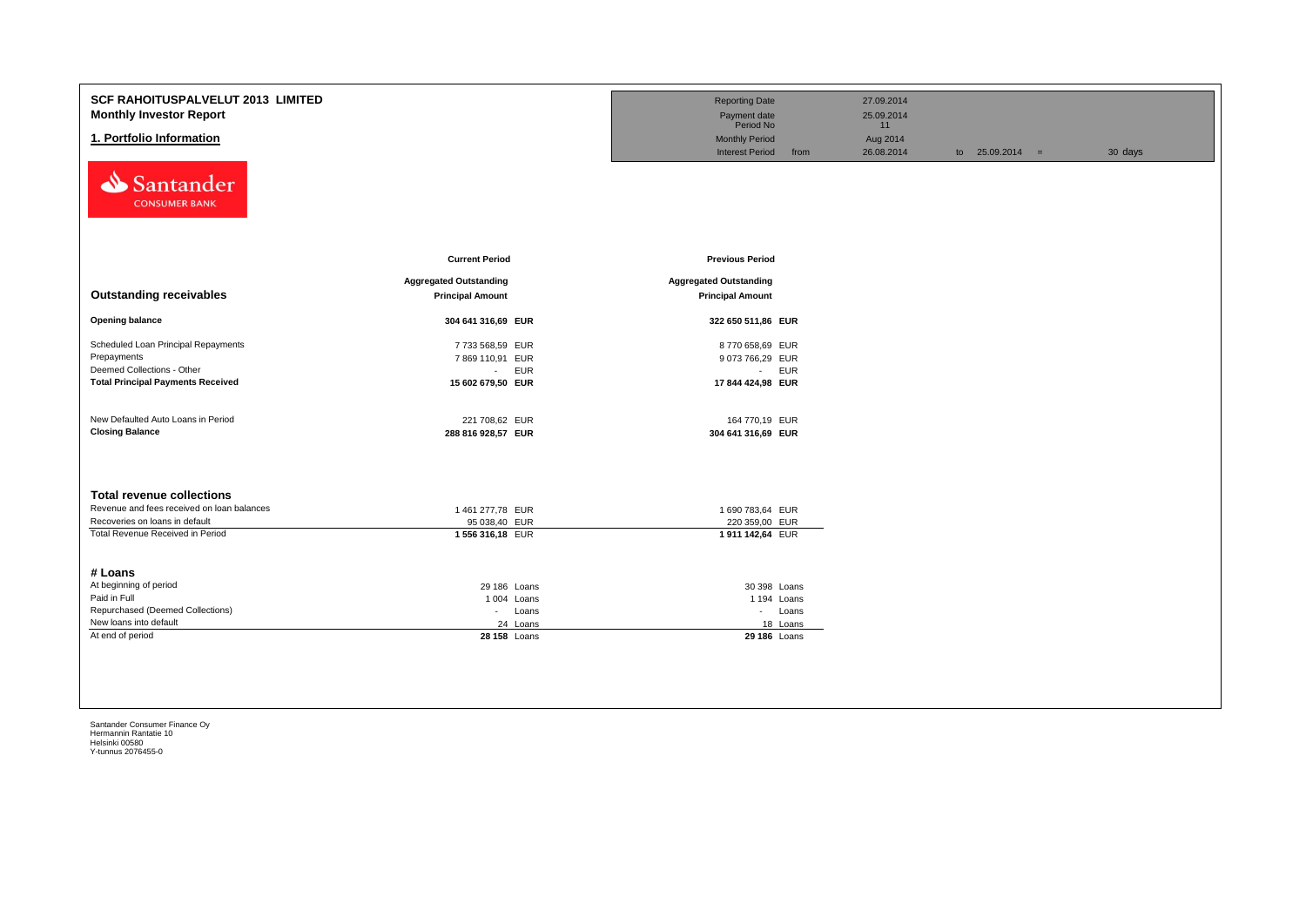| <b>SCF RAHOITUSPALVELUT 2013 LIMITED</b><br><b>Monthly Investor Report</b><br>1. Portfolio Information<br>Santander<br><b>CONSUMER BANK</b>          |                                                                               | <b>Reporting Date</b><br>Payment date<br>Period No<br><b>Monthly Period</b><br><b>Interest Period</b> | 27.09.2014<br>25.09.2014<br>11<br>Aug 2014<br>26.08.2014<br>from | to $25.09.2014 =$ | 30 days |
|------------------------------------------------------------------------------------------------------------------------------------------------------|-------------------------------------------------------------------------------|-------------------------------------------------------------------------------------------------------|------------------------------------------------------------------|-------------------|---------|
|                                                                                                                                                      | <b>Current Period</b>                                                         | <b>Previous Period</b>                                                                                |                                                                  |                   |         |
| <b>Outstanding receivables</b>                                                                                                                       | <b>Aggregated Outstanding</b><br><b>Principal Amount</b>                      | <b>Aggregated Outstanding</b><br><b>Principal Amount</b>                                              |                                                                  |                   |         |
| <b>Opening balance</b>                                                                                                                               | 304 641 316,69 EUR                                                            | 322 650 511,86 EUR                                                                                    |                                                                  |                   |         |
| Scheduled Loan Principal Repayments<br>Prepayments<br>Deemed Collections - Other<br><b>Total Principal Payments Received</b>                         | 7733 568,59 EUR<br>7869 110,91 EUR<br>- EUR<br>15 602 679,50 EUR              | 8770 658,69 EUR<br>9 073 766,29 EUR<br>- EUR<br>17 844 424,98 EUR                                     |                                                                  |                   |         |
| New Defaulted Auto Loans in Period<br><b>Closing Balance</b>                                                                                         | 221 708,62 EUR<br>288 816 928,57 EUR                                          | 164 770,19 EUR<br>304 641 316,69 EUR                                                                  |                                                                  |                   |         |
| <b>Total revenue collections</b><br>Revenue and fees received on loan balances<br>Recoveries on loans in default<br>Total Revenue Received in Period | 1 461 277,78 EUR<br>95 038,40 EUR<br>1 556 316,18 EUR                         | 1 690 783,64 EUR<br>220 359,00 EUR<br>1911 142,64 EUR                                                 |                                                                  |                   |         |
| # Loans<br>At beginning of period<br>Paid in Full<br>Repurchased (Deemed Collections)<br>New loans into default<br>At end of period                  | 29 186 Loans<br>1004 Loans<br>Loans<br>$\sim 100$<br>24 Loans<br>28 158 Loans | 30 398 Loans<br>1 194 Loans<br>- Loans<br>18 Loans<br>29 186 Loans                                    |                                                                  |                   |         |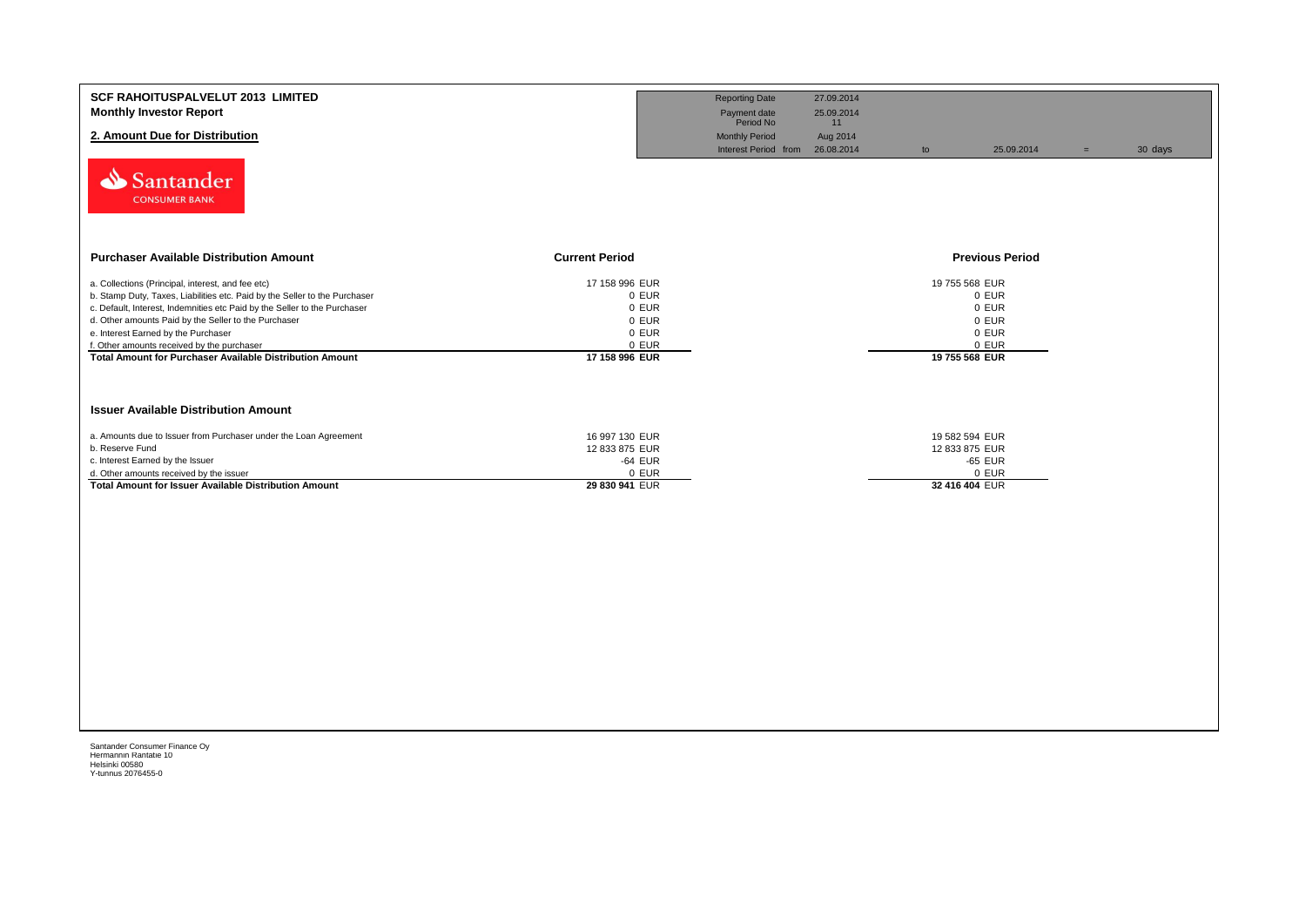| <b>SCF RAHOITUSPALVELUT 2013 LIMITED</b><br><b>Monthly Investor Report</b><br>2. Amount Due for Distribution<br>Santander<br><b>CONSUMER BANK</b>                                                                                                                                                                                                                                                                            |                                                                               | <b>Reporting Date</b><br>Payment date<br>Period No<br><b>Monthly Period</b><br>Interest Period from | 27.09.2014<br>25.09.2014<br>11<br>Aug 2014<br>26.08.2014<br>to | 25.09.2014                                                                    | $=$ | 30 days |
|------------------------------------------------------------------------------------------------------------------------------------------------------------------------------------------------------------------------------------------------------------------------------------------------------------------------------------------------------------------------------------------------------------------------------|-------------------------------------------------------------------------------|-----------------------------------------------------------------------------------------------------|----------------------------------------------------------------|-------------------------------------------------------------------------------|-----|---------|
| <b>Purchaser Available Distribution Amount</b>                                                                                                                                                                                                                                                                                                                                                                               | <b>Current Period</b>                                                         |                                                                                                     |                                                                | <b>Previous Period</b>                                                        |     |         |
| a. Collections (Principal, interest, and fee etc)<br>b. Stamp Duty, Taxes, Liabilities etc. Paid by the Seller to the Purchaser<br>c. Default, Interest, Indemnities etc Paid by the Seller to the Purchaser<br>d. Other amounts Paid by the Seller to the Purchaser<br>e. Interest Earned by the Purchaser<br>f. Other amounts received by the purchaser<br><b>Total Amount for Purchaser Available Distribution Amount</b> | 17 158 996 EUR<br>0 EUR<br>0 EUR<br>0 EUR<br>0 EUR<br>0 EUR<br>17 158 996 EUR |                                                                                                     |                                                                | 19 755 568 EUR<br>0 EUR<br>0 EUR<br>0 EUR<br>0 EUR<br>0 EUR<br>19 755 568 EUR |     |         |
| <b>Issuer Available Distribution Amount</b>                                                                                                                                                                                                                                                                                                                                                                                  |                                                                               |                                                                                                     |                                                                |                                                                               |     |         |
| a. Amounts due to Issuer from Purchaser under the Loan Agreement<br>b. Reserve Fund<br>c. Interest Earned by the Issuer<br>d. Other amounts received by the issuer<br><b>Total Amount for Issuer Available Distribution Amount</b>                                                                                                                                                                                           | 16 997 130 EUR<br>12 833 875 EUR<br>-64 EUR<br>0 EUR<br>29 830 941 EUR        |                                                                                                     |                                                                | 19 582 594 EUR<br>12 833 875 EUR<br>-65 EUR<br>0 EUR<br>32 416 404 EUR        |     |         |
|                                                                                                                                                                                                                                                                                                                                                                                                                              |                                                                               |                                                                                                     |                                                                |                                                                               |     |         |
|                                                                                                                                                                                                                                                                                                                                                                                                                              |                                                                               |                                                                                                     |                                                                |                                                                               |     |         |
|                                                                                                                                                                                                                                                                                                                                                                                                                              |                                                                               |                                                                                                     |                                                                |                                                                               |     |         |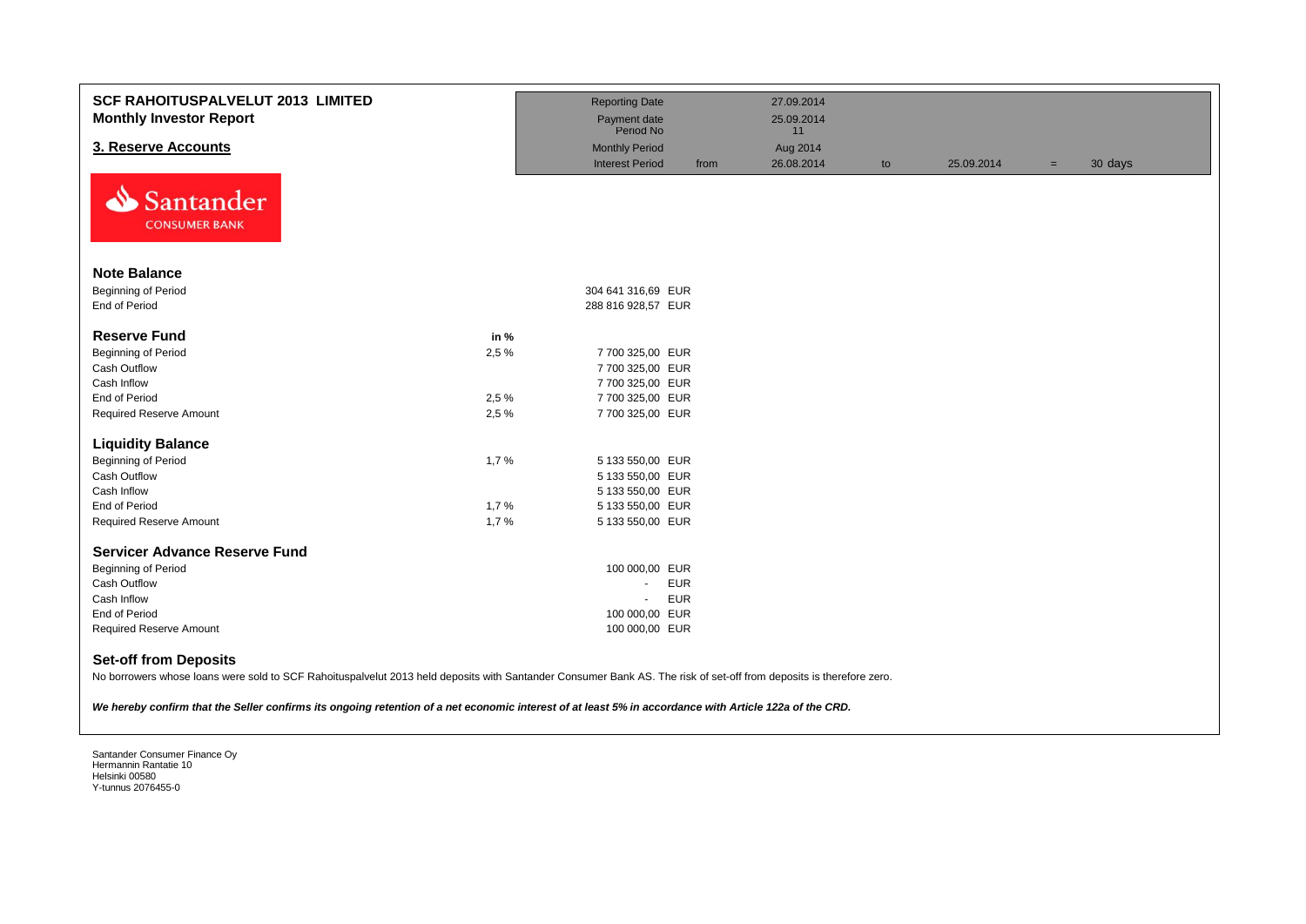| <b>SCF RAHOITUSPALVELUT 2013 LIMITED</b><br><b>Monthly Investor Report</b>                                                                                                                                                                                                                                                                                    |       | <b>Reporting Date</b><br>Payment date<br>Period No |            | 27.09.2014<br>25.09.2014<br>11 |    |            |     |         |
|---------------------------------------------------------------------------------------------------------------------------------------------------------------------------------------------------------------------------------------------------------------------------------------------------------------------------------------------------------------|-------|----------------------------------------------------|------------|--------------------------------|----|------------|-----|---------|
| 3. Reserve Accounts                                                                                                                                                                                                                                                                                                                                           |       | <b>Monthly Period</b>                              |            | Aug 2014                       |    |            |     |         |
|                                                                                                                                                                                                                                                                                                                                                               |       | <b>Interest Period</b>                             | from       | 26.08.2014                     | to | 25.09.2014 | $=$ | 30 days |
| Santander<br><b>CONSUMER BANK</b>                                                                                                                                                                                                                                                                                                                             |       |                                                    |            |                                |    |            |     |         |
| <b>Note Balance</b>                                                                                                                                                                                                                                                                                                                                           |       |                                                    |            |                                |    |            |     |         |
| Beginning of Period                                                                                                                                                                                                                                                                                                                                           |       | 304 641 316,69 EUR                                 |            |                                |    |            |     |         |
| End of Period                                                                                                                                                                                                                                                                                                                                                 |       | 288 816 928,57 EUR                                 |            |                                |    |            |     |         |
| <b>Reserve Fund</b>                                                                                                                                                                                                                                                                                                                                           | in %  |                                                    |            |                                |    |            |     |         |
| Beginning of Period                                                                                                                                                                                                                                                                                                                                           | 2,5 % | 7 700 325,00 EUR                                   |            |                                |    |            |     |         |
| Cash Outflow                                                                                                                                                                                                                                                                                                                                                  |       | 7 700 325,00 EUR                                   |            |                                |    |            |     |         |
| Cash Inflow                                                                                                                                                                                                                                                                                                                                                   |       | 7 700 325,00 EUR                                   |            |                                |    |            |     |         |
| <b>End of Period</b>                                                                                                                                                                                                                                                                                                                                          | 2,5 % | 7 700 325,00 EUR                                   |            |                                |    |            |     |         |
| <b>Required Reserve Amount</b>                                                                                                                                                                                                                                                                                                                                | 2.5%  | 7 700 325,00 EUR                                   |            |                                |    |            |     |         |
| <b>Liquidity Balance</b>                                                                                                                                                                                                                                                                                                                                      |       |                                                    |            |                                |    |            |     |         |
| Beginning of Period                                                                                                                                                                                                                                                                                                                                           | 1,7%  | 5 133 550,00 EUR                                   |            |                                |    |            |     |         |
| Cash Outflow                                                                                                                                                                                                                                                                                                                                                  |       | 5 133 550,00 EUR                                   |            |                                |    |            |     |         |
| Cash Inflow                                                                                                                                                                                                                                                                                                                                                   |       | 5 133 550,00 EUR                                   |            |                                |    |            |     |         |
| End of Period                                                                                                                                                                                                                                                                                                                                                 | 1,7%  | 5 133 550,00 EUR                                   |            |                                |    |            |     |         |
| <b>Required Reserve Amount</b>                                                                                                                                                                                                                                                                                                                                | 1,7%  | 5 133 550,00 EUR                                   |            |                                |    |            |     |         |
| <b>Servicer Advance Reserve Fund</b>                                                                                                                                                                                                                                                                                                                          |       |                                                    |            |                                |    |            |     |         |
| Beginning of Period                                                                                                                                                                                                                                                                                                                                           |       | 100 000,00 EUR                                     |            |                                |    |            |     |         |
| <b>Cash Outflow</b>                                                                                                                                                                                                                                                                                                                                           |       | $\blacksquare$                                     | <b>EUR</b> |                                |    |            |     |         |
| Cash Inflow                                                                                                                                                                                                                                                                                                                                                   |       | $\blacksquare$                                     | <b>EUR</b> |                                |    |            |     |         |
| End of Period                                                                                                                                                                                                                                                                                                                                                 |       | 100 000,00 EUR                                     |            |                                |    |            |     |         |
| <b>Required Reserve Amount</b>                                                                                                                                                                                                                                                                                                                                |       | 100 000,00 EUR                                     |            |                                |    |            |     |         |
| <b>Set-off from Deposits</b><br>No borrowers whose loans were sold to SCF Rahoituspalvelut 2013 held deposits with Santander Consumer Bank AS. The risk of set-off from deposits is therefore zero.<br>We hereby confirm that the Seller confirms its ongoing retention of a net economic interest of at least 5% in accordance with Article 122a of the CRD. |       |                                                    |            |                                |    |            |     |         |
|                                                                                                                                                                                                                                                                                                                                                               |       |                                                    |            |                                |    |            |     |         |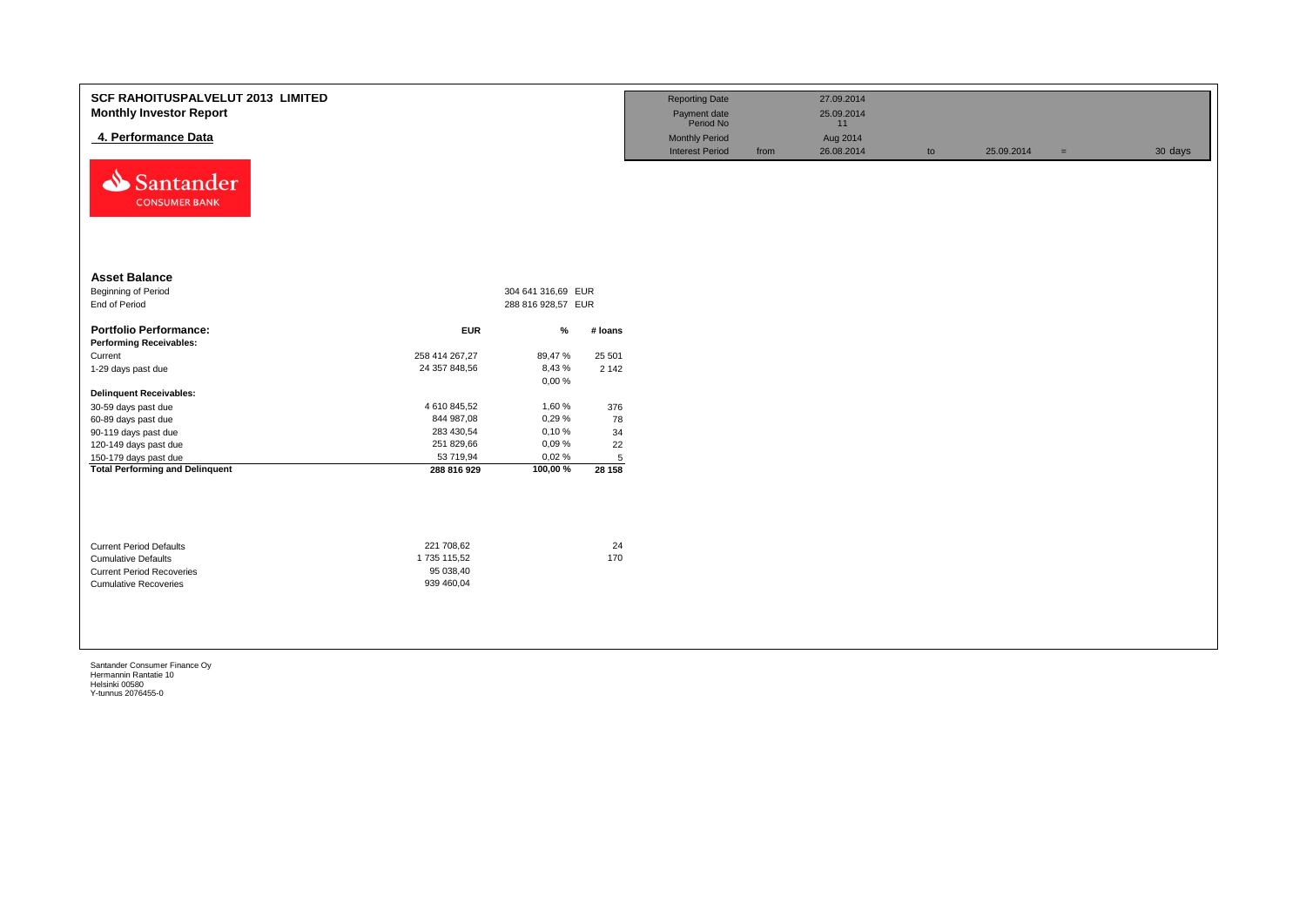| <b>SCF RAHOITUSPALVELUT 2013 LIMITED</b><br><b>Monthly Investor Report</b><br>4. Performance Data<br>⇘<br>Santander<br><b>CONSUMER BANK</b> |                                                      |                    |                | <b>Reporting Date</b><br>Payment date<br>Period No<br><b>Monthly Period</b><br><b>Interest Period</b> | from | 27.09.2014<br>25.09.2014<br>11<br>Aug 2014<br>26.08.2014 | to | 25.09.2014 | $=$ | 30 days |
|---------------------------------------------------------------------------------------------------------------------------------------------|------------------------------------------------------|--------------------|----------------|-------------------------------------------------------------------------------------------------------|------|----------------------------------------------------------|----|------------|-----|---------|
| <b>Asset Balance</b>                                                                                                                        |                                                      |                    |                |                                                                                                       |      |                                                          |    |            |     |         |
| Beginning of Period                                                                                                                         |                                                      | 304 641 316,69 EUR |                |                                                                                                       |      |                                                          |    |            |     |         |
| End of Period                                                                                                                               |                                                      | 288 816 928,57 EUR |                |                                                                                                       |      |                                                          |    |            |     |         |
| <b>Portfolio Performance:</b>                                                                                                               | <b>EUR</b>                                           | %                  | # Ioans        |                                                                                                       |      |                                                          |    |            |     |         |
| <b>Performing Receivables:</b>                                                                                                              |                                                      |                    |                |                                                                                                       |      |                                                          |    |            |     |         |
| Current                                                                                                                                     | 258 414 267,27                                       | 89,47%             | 25 501         |                                                                                                       |      |                                                          |    |            |     |         |
| 1-29 days past due                                                                                                                          | 24 357 848,56                                        | 8,43%<br>0,00%     | 2 1 4 2        |                                                                                                       |      |                                                          |    |            |     |         |
| <b>Delinquent Receivables:</b>                                                                                                              |                                                      |                    |                |                                                                                                       |      |                                                          |    |            |     |         |
| 30-59 days past due                                                                                                                         | 4 610 845,52                                         | 1,60%              | 376            |                                                                                                       |      |                                                          |    |            |     |         |
| 60-89 days past due                                                                                                                         | 844 987,08                                           | 0,29%              | 78             |                                                                                                       |      |                                                          |    |            |     |         |
| 90-119 days past due                                                                                                                        | 283 430,54                                           | 0,10%              | 34             |                                                                                                       |      |                                                          |    |            |     |         |
| 120-149 days past due                                                                                                                       | 251 829,66                                           | 0,09%              | 22             |                                                                                                       |      |                                                          |    |            |     |         |
| 150-179 days past due                                                                                                                       | 53 719,94                                            | 0,02%              | $\overline{5}$ |                                                                                                       |      |                                                          |    |            |     |         |
| <b>Total Performing and Delinquent</b>                                                                                                      | 288 816 929                                          | 100,00%            | 28 158         |                                                                                                       |      |                                                          |    |            |     |         |
| <b>Current Period Defaults</b><br><b>Cumulative Defaults</b><br><b>Current Period Recoveries</b><br><b>Cumulative Recoveries</b>            | 221 708,62<br>1735 115,52<br>95 038,40<br>939 460,04 |                    | 24<br>170      |                                                                                                       |      |                                                          |    |            |     |         |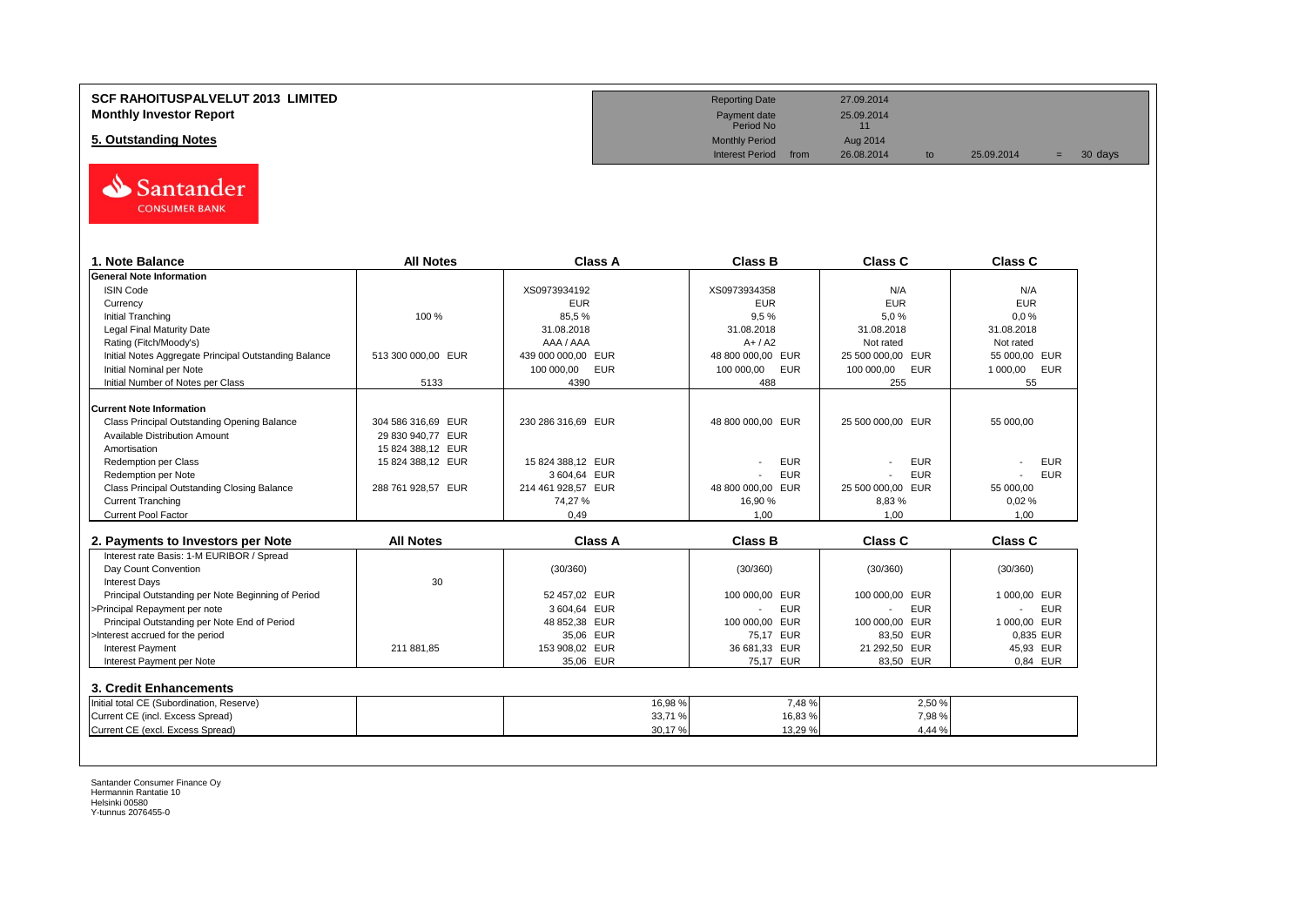#### **SCF RAHOITUSPALVELUT 2013 LIMITED Monthly Investor Report**

**5. Outstanding Notes** 



| 1. Note Balance                                       | <b>All Notes</b>   | <b>Class A</b>     | <b>Class B</b>    | Class C           | <b>Class C</b>  |
|-------------------------------------------------------|--------------------|--------------------|-------------------|-------------------|-----------------|
| <b>General Note Information</b>                       |                    |                    |                   |                   |                 |
| <b>ISIN Code</b>                                      |                    | XS0973934192       | XS0973934358      | N/A               | N/A             |
| Currency                                              |                    | <b>EUR</b>         | <b>EUR</b>        | <b>EUR</b>        | <b>EUR</b>      |
| <b>Initial Tranching</b>                              | 100 %              | 85,5%              | 9.5%              | 5.0%              | 0.0%            |
| <b>Legal Final Maturity Date</b>                      |                    | 31.08.2018         | 31.08.2018        | 31.08.2018        | 31.08.2018      |
| Rating (Fitch/Moody's)                                |                    | AAA / AAA          | $A+/A2$           | Not rated         | Not rated       |
| Initial Notes Aggregate Principal Outstanding Balance | 513 300 000,00 EUR | 439 000 000,00 EUR | 48 800 000,00 EUR | 25 500 000,00 EUR | 55 000,00 EUR   |
| Initial Nominal per Note                              |                    | 100 000,00<br>EUR  | 100 000,00<br>EUR | 100 000,00<br>EUR | 1 000,00<br>EUR |
| Initial Number of Notes per Class                     | 5133               | 4390               | 488               | 255               | 55              |
| <b>Current Note Information</b>                       |                    |                    |                   |                   |                 |
| Class Principal Outstanding Opening Balance           | 304 586 316.69 EUR | 230 286 316.69 EUR | 48 800 000,00 EUR | 25 500 000,00 EUR | 55 000.00       |
| <b>Available Distribution Amount</b>                  | 29 830 940,77 EUR  |                    |                   |                   |                 |
| Amortisation                                          | 15 824 388,12 EUR  |                    |                   |                   |                 |
| <b>Redemption per Class</b>                           | 15 824 388.12 EUR  | 15 824 388.12 EUR  | <b>EUR</b>        | <b>EUR</b>        | <b>EUR</b>      |
| Redemption per Note                                   |                    | 3 604,64 EUR       | <b>EUR</b>        | <b>EUR</b>        | <b>EUR</b>      |
| Class Principal Outstanding Closing Balance           | 288 761 928,57 EUR | 214 461 928,57 EUR | 48 800 000,00 EUR | 25 500 000,00 EUR | 55 000,00       |
| <b>Current Tranching</b>                              |                    | 74,27%             | 16,90 %           | 8,83%             | 0,02%           |
| <b>Current Pool Factor</b>                            |                    | 0.49               | 1.00              | 1.00              | 1.00            |
|                                                       |                    |                    |                   |                   |                 |
| 2. Payments to Investors per Note                     | <b>All Notes</b>   | Class A            | <b>Class B</b>    | Class C           | Class C         |
| Interest rate Basis: 1-M EURIBOR / Spread             |                    |                    |                   |                   |                 |
| Day Count Convention                                  |                    | (30/360)           | (30/360)          | (30/360)          | (30/360)        |
| <b>Interest Days</b>                                  | 30                 |                    |                   |                   |                 |
| Principal Outstanding per Note Beginning of Period    |                    | 52 457.02 EUR      | 100 000,00 EUR    | 100 000,00 EUR    | 1 000.00 EUR    |
| >Principal Repayment per note                         |                    | 3 604.64 EUR       | <b>EUR</b>        | <b>EUR</b>        | <b>EUR</b>      |
| Principal Outstanding per Note End of Period          |                    | 48 852,38 EUR      | 100 000.00 EUR    | 100 000.00 EUR    | 1 000,00 EUR    |
| >Interest accrued for the period                      |                    | 35,06 EUR          | 75,17 EUR         | 83,50 EUR         | 0.835 EUR       |
| <b>Interest Payment</b>                               | 211 881,85         | 153 908,02 EUR     | 36 681,33 EUR     | 21 292,50 EUR     | 45,93 EUR       |
| Interest Payment per Note                             |                    | 35.06 EUR          | 75.17 EUR         | 83.50 EUR         | 0.84 EUR        |
| 3. Credit Enhancements                                |                    |                    |                   |                   |                 |
| Initial total CE (Subordination, Reserve)             |                    | 16,98 %            | 7,48%             | 2,50 %            |                 |
|                                                       |                    | 33,71 %            | 16,83 %           | 7,98%             |                 |
| Current CE (incl. Excess Spread)                      |                    |                    |                   |                   |                 |

| <b>Reporting Date</b>     |      | 27.09.2014       |    |            |     |         |  |
|---------------------------|------|------------------|----|------------|-----|---------|--|
| Payment date<br>Period No |      | 25.09.2014<br>11 |    |            |     |         |  |
| <b>Monthly Period</b>     |      | Aug 2014         |    |            |     |         |  |
| <b>Interest Period</b>    | from | 26.08.2014       | to | 25.09.2014 | $=$ | 30 days |  |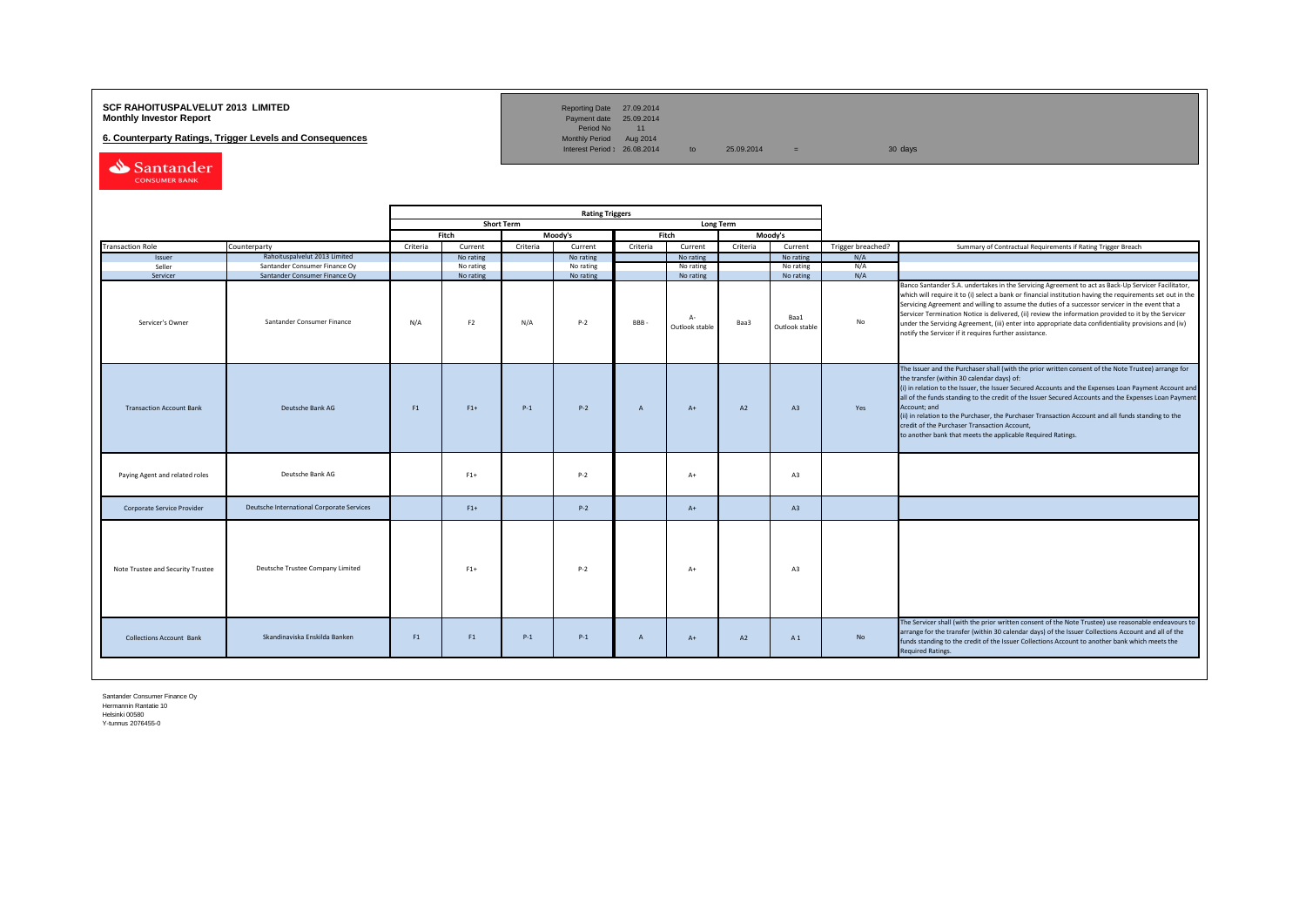### **SCF RAHOITUSPALVELUT 2013 LIMITED**<br>**Monthly Investor Report** Payment date 25.09.2014

**6. Counterparty Ratings, Trigger Levels and Consequences** 

Reporting Date 27.09.2014<br>Payment date 25.09.2014<br>Period No 11<br>Monthly Period Aug 2014

Interest Period:  $26.08.2014$  to  $25.09.2014$  = 30 days

Santander

|                                   |                                           |          |                |                   | <b>Rating Triggers</b> |                |                        |          |                        |                   |                                                                                                                                                                                                                                                                                                                                                                                                                                                                                                                                                                                                        |
|-----------------------------------|-------------------------------------------|----------|----------------|-------------------|------------------------|----------------|------------------------|----------|------------------------|-------------------|--------------------------------------------------------------------------------------------------------------------------------------------------------------------------------------------------------------------------------------------------------------------------------------------------------------------------------------------------------------------------------------------------------------------------------------------------------------------------------------------------------------------------------------------------------------------------------------------------------|
|                                   |                                           |          |                | <b>Short Term</b> |                        |                | <b>Long Term</b>       |          |                        |                   |                                                                                                                                                                                                                                                                                                                                                                                                                                                                                                                                                                                                        |
|                                   |                                           |          | Fitch          |                   | Moody's                |                | Fitch                  |          | Moody's                |                   |                                                                                                                                                                                                                                                                                                                                                                                                                                                                                                                                                                                                        |
| <b>Transaction Role</b>           | Counterparty                              | Criteria | Current        | Criteria          | Current                | Criteria       | Current                | Criteria | Current                | Trigger breached? | Summary of Contractual Requirements if Rating Trigger Breach                                                                                                                                                                                                                                                                                                                                                                                                                                                                                                                                           |
| Issuer                            | Rahoituspalvelut 2013 Limited             |          | No rating      |                   | No rating              |                | No rating              |          | No rating              | N/A               |                                                                                                                                                                                                                                                                                                                                                                                                                                                                                                                                                                                                        |
| Seller                            | Santander Consumer Finance Oy             |          | No rating      |                   | No rating              |                | No rating              |          | No rating              | N/A               |                                                                                                                                                                                                                                                                                                                                                                                                                                                                                                                                                                                                        |
| Servicer                          | Santander Consumer Finance Oy             |          | No rating      |                   | No rating              |                | No rating              |          | No rating              | N/A               |                                                                                                                                                                                                                                                                                                                                                                                                                                                                                                                                                                                                        |
| Servicer's Owner                  | Santander Consumer Finance                | N/A      | F <sub>2</sub> | N/A               | $P-2$                  | <b>BBB</b>     | $A-$<br>Outlook stable | Baa3     | Baa1<br>Outlook stable | No                | Banco Santander S.A. undertakes in the Servicing Agreement to act as Back-Up Servicer Facilitator,<br>which will require it to (i) select a bank or financial institution having the requirements set out in the<br>Servicing Agreement and willing to assume the duties of a successor servicer in the event that a<br>Servicer Termination Notice is delivered, (ii) review the information provided to it by the Servicer<br>under the Servicing Agreement, (iii) enter into appropriate data confidentiality provisions and (iv)<br>notify the Servicer if it requires further assistance.         |
| <b>Transaction Account Bank</b>   | Deutsche Bank AG                          | F1       | $F1+$          | $P-1$             | $P-2$                  | $\overline{A}$ | $A+$                   | A2       | A3                     | Yes               | The Issuer and the Purchaser shall (with the prior written consent of the Note Trustee) arrange for<br>the transfer (within 30 calendar days) of:<br>(i) in relation to the Issuer, the Issuer Secured Accounts and the Expenses Loan Payment Account and<br>all of the funds standing to the credit of the Issuer Secured Accounts and the Expenses Loan Payment<br>Account; and<br>(ii) in relation to the Purchaser, the Purchaser Transaction Account and all funds standing to the<br>credit of the Purchaser Transaction Account,<br>to another bank that meets the applicable Required Ratings. |
| Paying Agent and related roles    | Deutsche Bank AG                          |          | $F1+$          |                   | $P-2$                  |                | $A+$                   |          | A <sub>3</sub>         |                   |                                                                                                                                                                                                                                                                                                                                                                                                                                                                                                                                                                                                        |
| Corporate Service Provider        | Deutsche International Corporate Services |          | $F1+$          |                   | $P-2$                  |                | $A+$                   |          | A3                     |                   |                                                                                                                                                                                                                                                                                                                                                                                                                                                                                                                                                                                                        |
| Note Trustee and Security Trustee | Deutsche Trustee Company Limited          |          | $F1+$          |                   | $P-2$                  |                | $A+$                   |          | A3                     |                   |                                                                                                                                                                                                                                                                                                                                                                                                                                                                                                                                                                                                        |
| <b>Collections Account Bank</b>   | Skandinaviska Enskilda Banken             | F1       | F1             | $P-1$             | $P-1$                  | $\overline{A}$ | $A+$                   | A2       | A1                     | No                | The Servicer shall (with the prior written consent of the Note Trustee) use reasonable endeavours to<br>arrange for the transfer (within 30 calendar days) of the Issuer Collections Account and all of the<br>funds standing to the credit of the Issuer Collections Account to another bank which meets the<br><b>Required Ratings.</b>                                                                                                                                                                                                                                                              |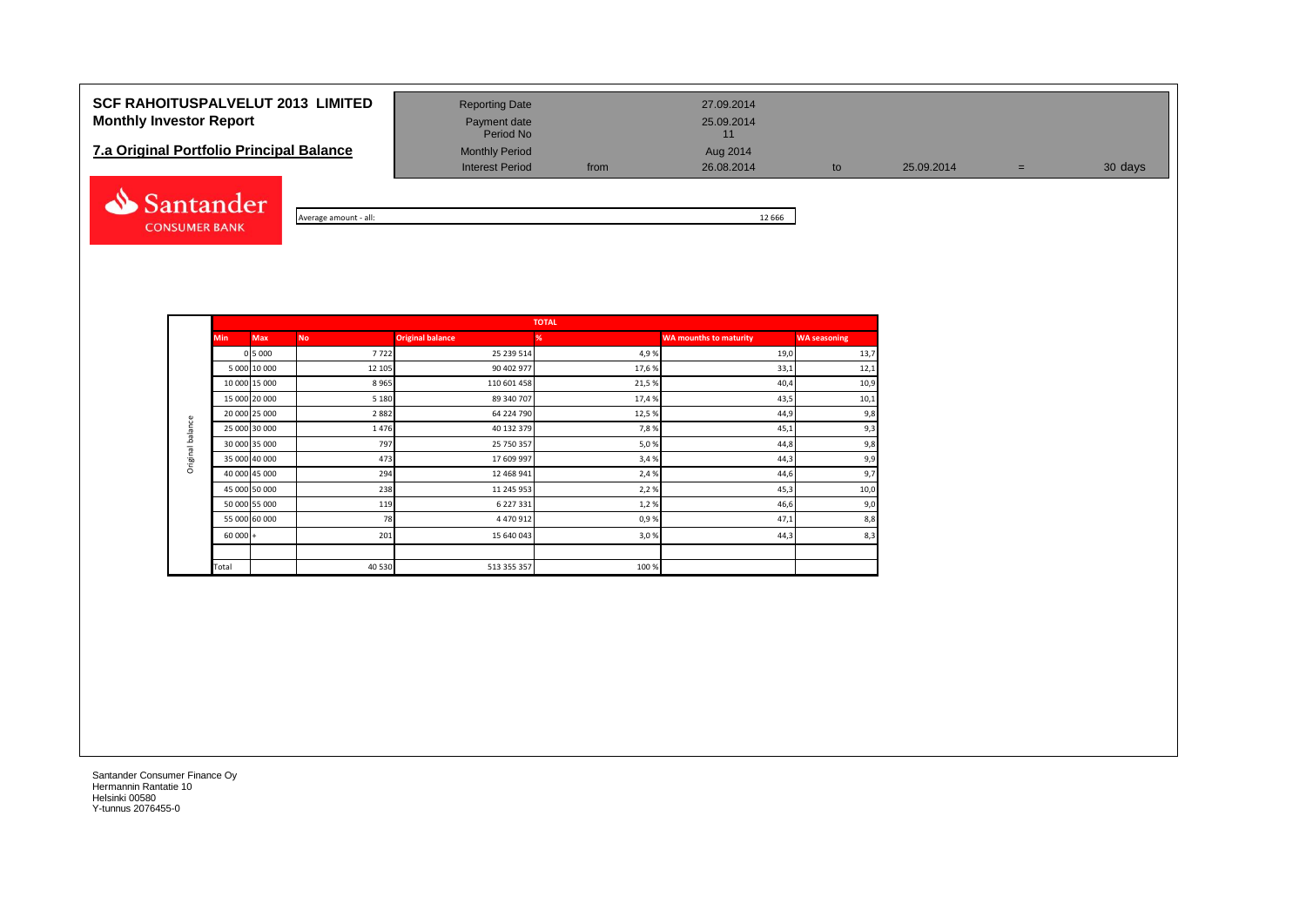## **SCF RAHOITUSPALVELUT 2013 LIMITED** Reporting Date 27.09.2014 **Monthly Investor Report Payment date** Payment date 25.09.2014

| <b>7.a Original Portfolio Principal Balance</b> | <b>Monthly Period</b> | Aua 2014 |            |  |
|-------------------------------------------------|-----------------------|----------|------------|--|
|                                                 | Interest Period       | from     | 26.08.2014 |  |



| - all:<br>Average amount | 12 6 6 6 |
|--------------------------|----------|

Payment date<br>Period No

Interest Period from 26.08.2014 to 25.09.2014 = 30 days

|                  |               |               |           |                         | <b>TOTAL</b>  |                               |                     |
|------------------|---------------|---------------|-----------|-------------------------|---------------|-------------------------------|---------------------|
|                  | <b>Min</b>    | <b>Max</b>    | <b>No</b> | <b>Original balance</b> | $\frac{9}{6}$ | <b>WA mounths to maturity</b> | <b>WA seasoning</b> |
|                  |               | 0 5 000       | 7722      | 25 239 514              | 4,9%          | 19,0                          | 13,7                |
|                  |               | 5 000 10 000  | 12 105    | 90 402 977              | 17,6%         | 33,1                          | 12,1                |
|                  | 10 000 15 000 |               | 8965      | 110 601 458             | 21,5%         | 40,4                          | 10,9                |
|                  | 15 000 20 000 |               | 5 1 8 0   | 89 340 707              | 17,4 %        | 43,5                          | 10,1                |
|                  |               | 20 000 25 000 | 2882      | 64 224 790              | 12,5%         | 44,9                          | 9,8                 |
| Original balance |               | 25 000 30 000 | 1476      | 40 132 379              | 7,8%          | 45,1                          | 9,3                 |
|                  | 30 000 35 000 |               | 797       | 25 750 357              | 5,0%          | 44,8                          | 9,8                 |
|                  | 35 000 40 000 |               | 473       | 17 609 997              | 3,4%          | 44,3                          | 9,9                 |
|                  |               | 40 000 45 000 | 294       | 12 468 941              | 2,4 %         | 44,6                          | 9,7                 |
|                  | 45 000 50 000 |               | 238       | 11 245 953              | 2,2%          | 45,3                          | 10,0                |
|                  | 50 000 55 000 |               | 119       | 6 227 331               | 1,2%          | 46,6                          | 9,0                 |
|                  | 55 000 60 000 |               | 78        | 4 470 912               | 0,9%          | 47,1                          | 8,8                 |
|                  | $60000 +$     |               | 201       | 15 640 043              | 3,0%          | 44,3                          | 8,3                 |
|                  |               |               |           |                         |               |                               |                     |
|                  | Total         |               | 40 530    | 513 355 357             | 100 %         |                               |                     |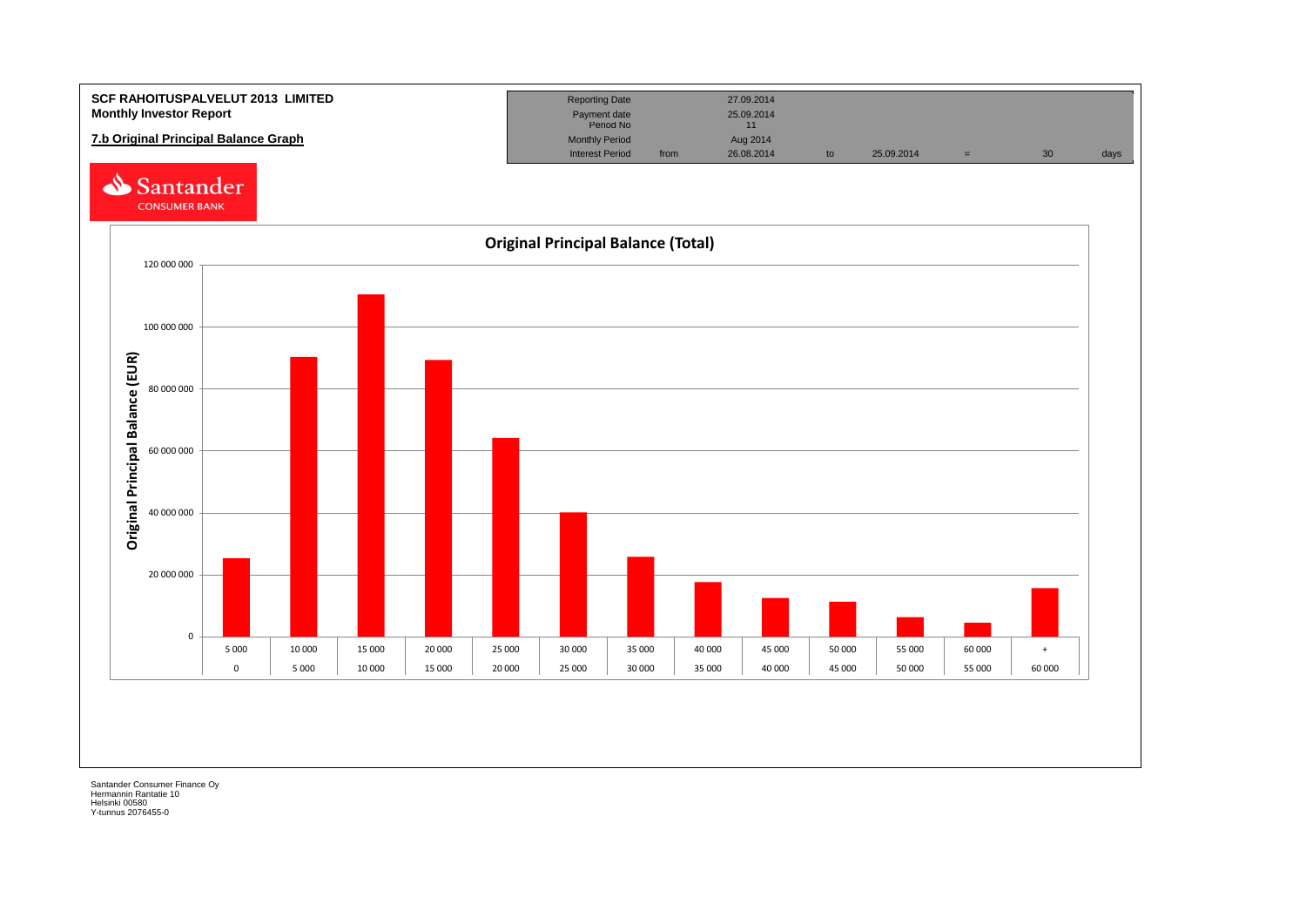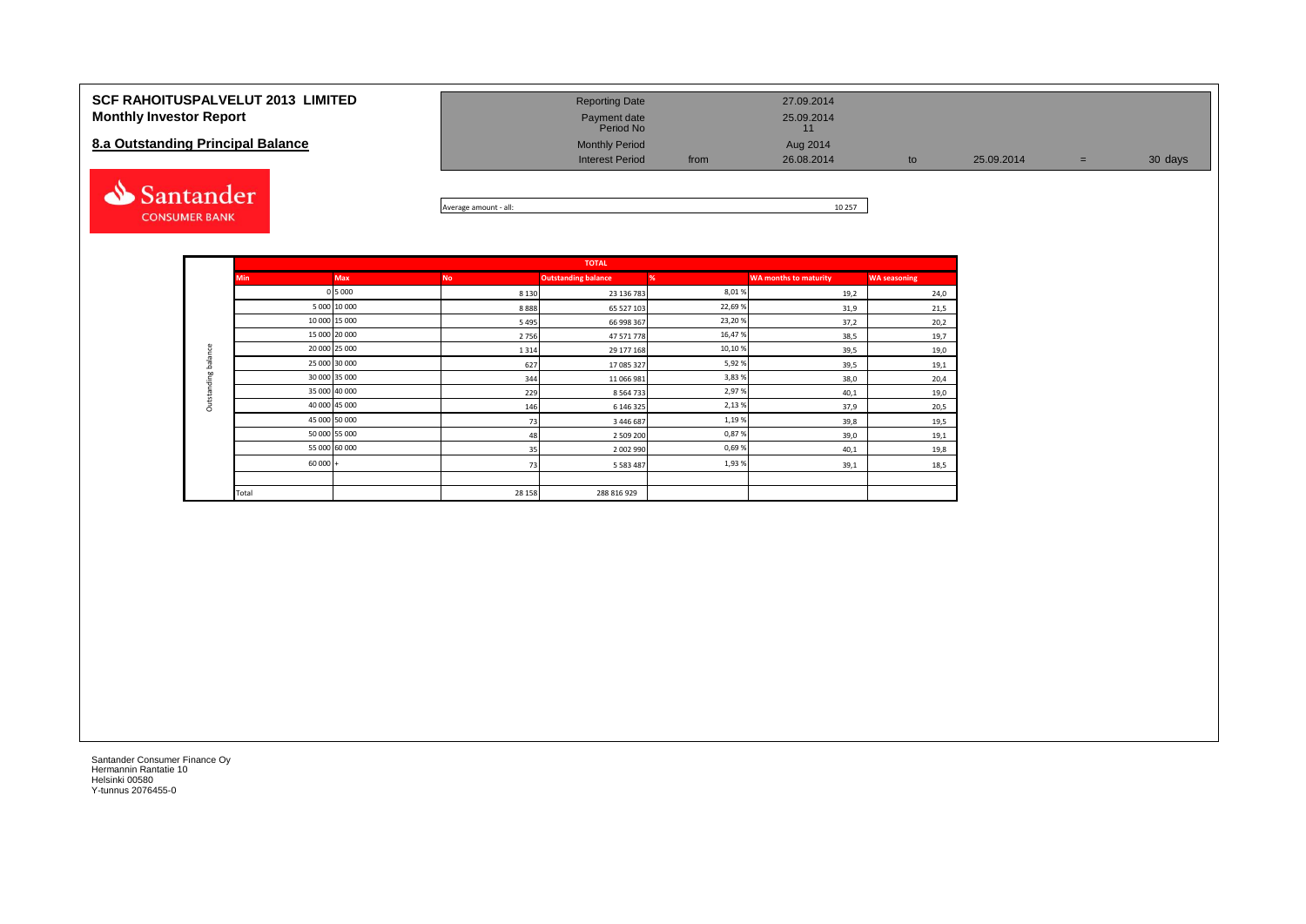| <b>SCF RAHOITUSPALVELUT 2013 LIMITED</b> | <b>Reporting Date</b>          | 27.09.2014 |            |     |         |
|------------------------------------------|--------------------------------|------------|------------|-----|---------|
| <b>Monthly Investor Report</b>           | Payment date<br>Period No      | 25.09.2014 |            |     |         |
| 8.a Outstanding Principal Balance        | <b>Monthly Period</b>          | Aug 2014   |            |     |         |
|                                          | <b>Interest Period</b><br>from | 26.08.2014 | 25.09.2014 | $=$ | 30 days |



| - all:<br>Average amount | 10 257 |
|--------------------------|--------|

|                     |            |               |           | <b>TOTAL</b>               |        |                              |                     |
|---------------------|------------|---------------|-----------|----------------------------|--------|------------------------------|---------------------|
|                     | <b>Min</b> | <b>Max</b>    | <b>No</b> | <b>Outstanding balance</b> | %      | <b>WA months to maturity</b> | <b>WA seasoning</b> |
|                     |            | 0 5 0 0 0     | 8 1 3 0   | 23 136 783                 | 8,01%  | 19,2                         | 24,0                |
|                     |            | 5 000 10 000  | 8888      | 65 527 103                 | 22,69% | 31,9                         | 21,5                |
|                     |            | 10 000 15 000 | 5 4 9 5   | 66 998 367                 | 23,20% | 37,2                         | 20,2                |
|                     |            | 15 000 20 000 | 2756      | 47 571 778                 | 16,47% | 38,5                         | 19,7                |
|                     |            | 20 000 25 000 | 1 3 1 4   | 29 177 168                 | 10,10% | 39,5                         | 19,0                |
| Outstanding balance |            | 25 000 30 000 | 627       | 17 085 327                 | 5,92%  | 39,5                         | 19,1                |
|                     |            | 30 000 35 000 | 344       | 11 066 981                 | 3,83%  | 38,0                         | 20,4                |
|                     |            | 35 000 40 000 | 229       | 8 5 6 4 7 3 3              | 2,97%  | 40,1                         | 19,0                |
|                     |            | 40 000 45 000 | 146       | 6 146 325                  | 2,13%  | 37,9                         | 20,5                |
|                     |            | 45 000 50 000 | 73        | 3 446 687                  | 1,19%  | 39,8                         | 19,5                |
|                     |            | 50 000 55 000 | 48        | 2 509 200                  | 0,87%  | 39,0                         | 19,1                |
|                     |            | 55 000 60 000 | 35        | 2 002 990                  | 0,69%  | 40,1                         | 19,8                |
|                     | $60000 +$  |               | 73        | 5 5 8 3 4 8 7              | 1,93%  | 39,1                         | 18,5                |
|                     |            |               |           |                            |        |                              |                     |
|                     | Total      |               | 28 15 8   | 288 816 929                |        |                              |                     |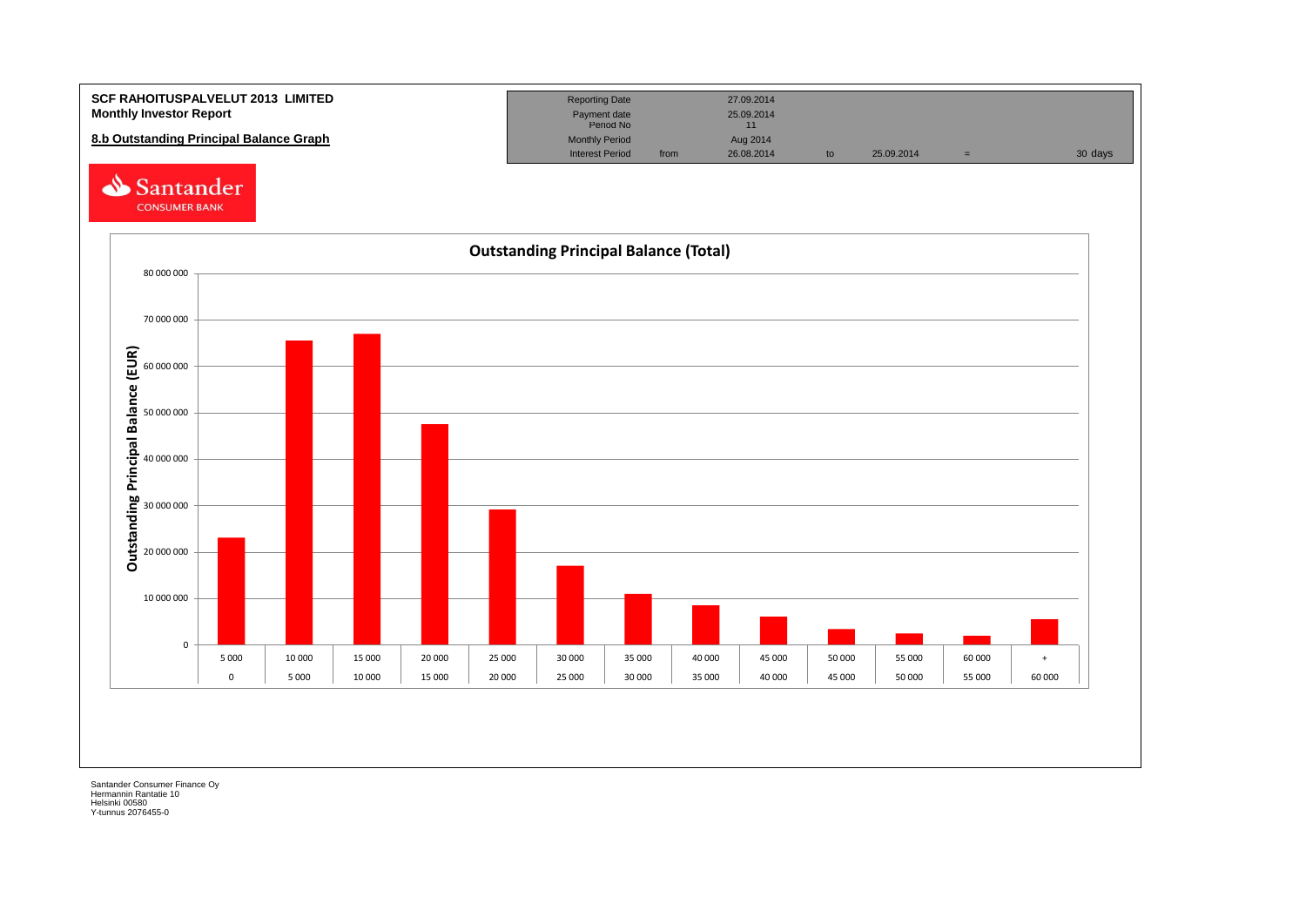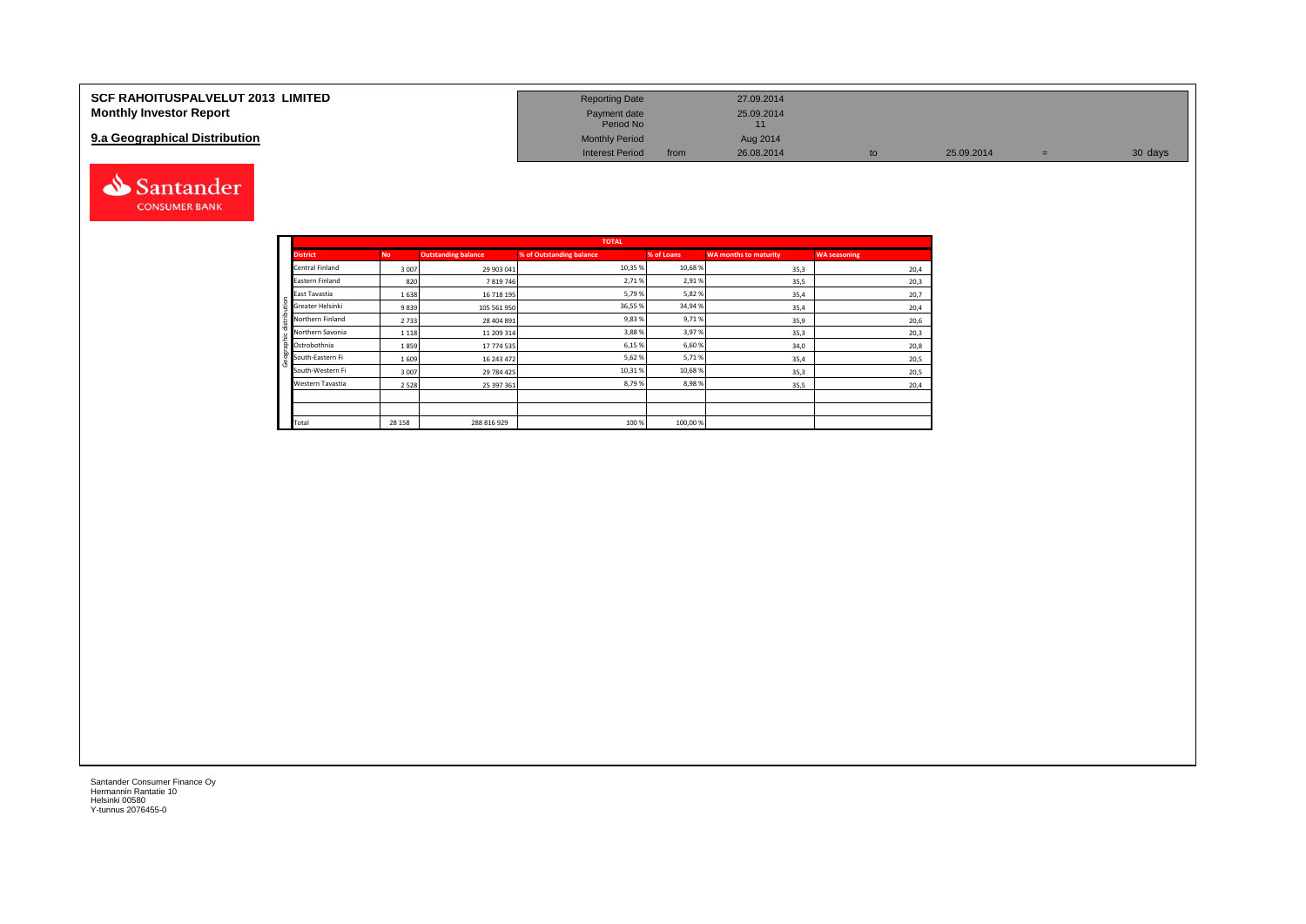| <b>SCF RAHOITUSPALVELUT 2013 LIMITED</b> | <b>Reporting Date</b>     |      | 27.09.2014 |    |            |         |
|------------------------------------------|---------------------------|------|------------|----|------------|---------|
| <b>Monthly Investor Report</b>           | Payment date<br>Period No |      | 25.09.2014 |    |            |         |
| 9.a Geographical Distribution            | <b>Monthly Period</b>     |      | Aug 2014   |    |            |         |
|                                          | <b>Interest Period</b>    | from | 26.08.2014 | to | 25.09.2014 | 30 days |



Geographic distribution

aphic distribution

andei

|                        |           |                            | <b>TOTAL</b>             |            |                              |                     |
|------------------------|-----------|----------------------------|--------------------------|------------|------------------------------|---------------------|
| <b>District</b>        | <b>No</b> | <b>Outstanding balance</b> | % of Outstanding balance | % of Loans | <b>WA months to maturity</b> | <b>WA seasoning</b> |
| <b>Central Finland</b> | 3007      | 29 903 041                 | 10,35 %                  | 10,68%     | 35,3                         | 20,4                |
| Eastern Finland        | 820       | 7819746                    | 2,71%                    | 2,91%      | 35,5                         | 20,3                |
| East Tavastia          | 1638      | 16 718 195                 | 5,79%                    | 5,82%      | 35,4                         | 20,7                |
| Greater Helsinki       | 9839      | 105 561 950                | 36,55 %                  | 34,94%     | 35,4                         | 20,4                |
| Northern Finland       | 2733      | 28 404 891                 | 9,83%                    | 9,71%      | 35,9                         | 20,6                |
| Northern Savonia       | 1 1 1 8   | 11 209 314                 | 3,88%                    | 3,97%      | 35,3                         | 20,3                |
| Ostrobothnia           | 1859      | 17 774 535                 | 6,15%                    | 6,60%      | 34,0                         | 20,8                |
| South-Eastern Fi       | 1609      | 16 243 472                 | 5,62%                    | 5,71%      | 35,4                         | 20,5                |
| South-Western Fi       | 3007      | 29 784 425                 | 10,31%                   | 10,68%     | 35,3                         | 20,5                |
| Western Tavastia       | 2528      | 25 397 361                 | 8,79%                    | 8,98%      | 35,5                         | 20,4                |
|                        |           |                            |                          |            |                              |                     |
|                        |           |                            |                          |            |                              |                     |
| Total                  | 28 15 8   | 288 816 929                | 100 %                    | 100,00%    |                              |                     |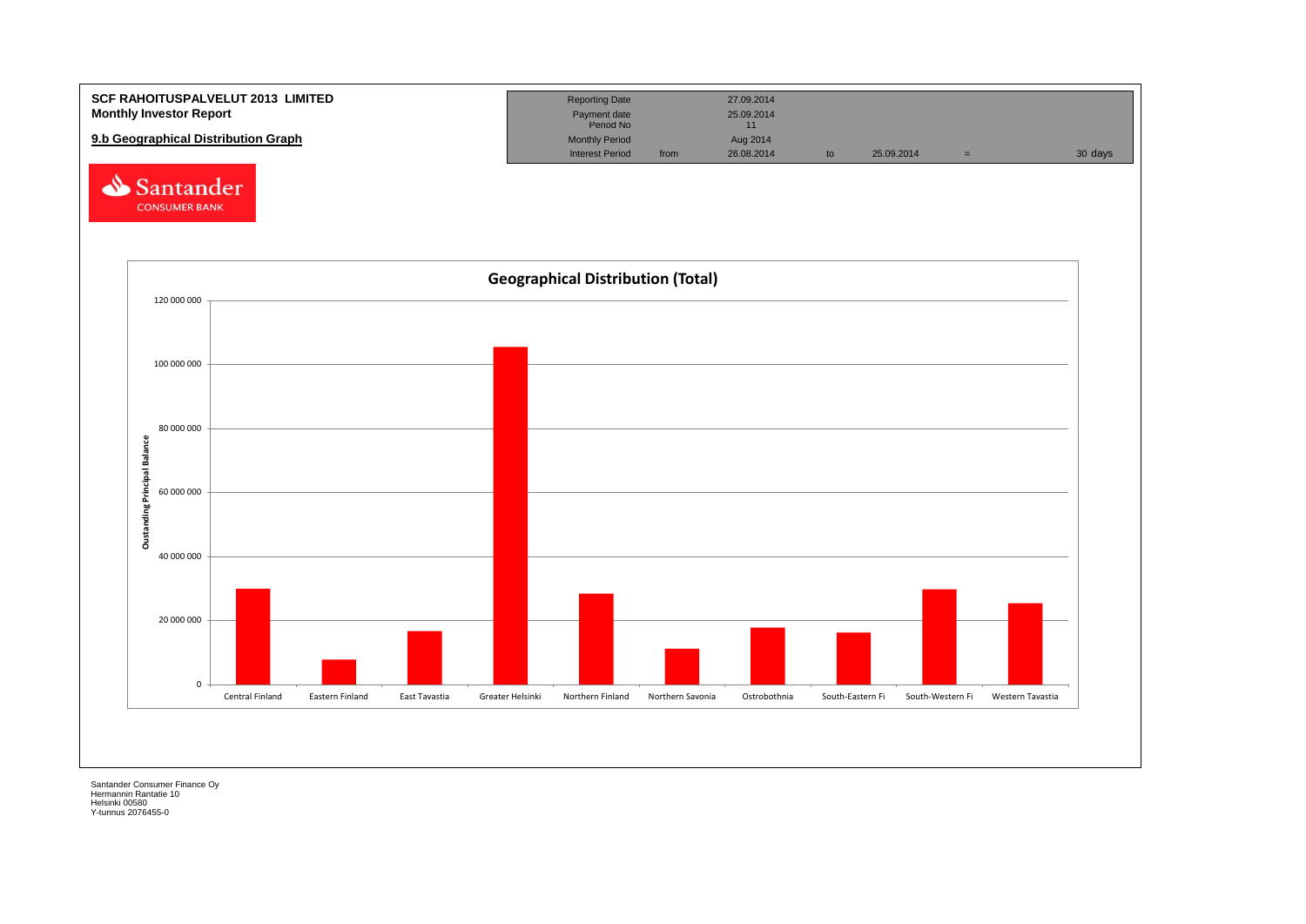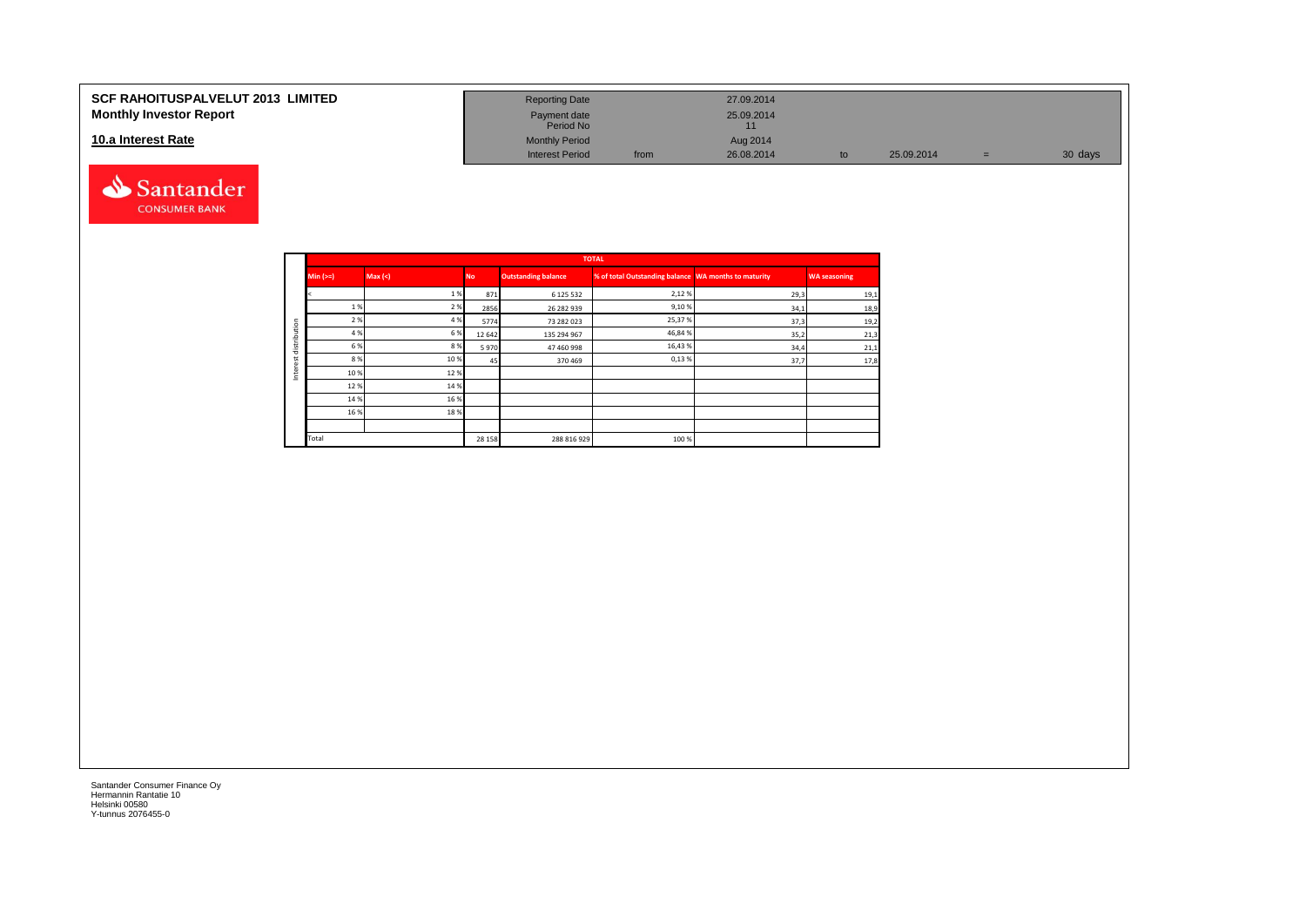#### **SCF RAHOITUSPALVELUT 2013 LIMITED Monthly Investor Report**

#### **10.a Interest Rate**



| <b>Reporting Date</b>     |      | 27.09.2014       |    |            |     |         |
|---------------------------|------|------------------|----|------------|-----|---------|
| Payment date<br>Period No |      | 25.09.2014<br>11 |    |            |     |         |
| <b>Monthly Period</b>     |      | Aug 2014         |    |            |     |         |
| <b>Interest Period</b>    | from | 26.08.2014       | to | 25.09.2014 | $=$ | 30 days |

|         |             |         |           |                            | <b>TOTAL</b>                                         |      |                     |
|---------|-------------|---------|-----------|----------------------------|------------------------------------------------------|------|---------------------|
|         | $Min (=)=)$ | Max (<) | <b>No</b> | <b>Outstanding balance</b> | % of total Outstanding balance WA months to maturity |      | <b>WA seasoning</b> |
|         |             | 1%      | 871       | 6 125 532                  | 2,12%                                                | 29,3 | 19,1                |
|         | 1 %         | 2 %     | 2856      | 26 282 939                 | 9,10%                                                | 34,1 | 18,9                |
| ution   | 2 %         | 4 %     | 5774      | 73 282 023                 | 25,37%                                               | 37,3 | 19,2                |
|         | 4 %         | 6 %     | 12642     | 135 294 967                | 46,84%                                               | 35,2 | 21,3                |
| distrib | 6 %         | 8%      | 5970      | 47 460 998                 | 16,43%                                               | 34,4 | 21,1                |
|         | 8 %         | 10 %    | 45        | 370469                     | 0,13%                                                | 37,7 | 17,8                |
| ğ<br>Ξ  | 10%         | 12%     |           |                            |                                                      |      |                     |
|         | 12%         | 14 %    |           |                            |                                                      |      |                     |
|         | 14 %        | 16%     |           |                            |                                                      |      |                     |
|         | 16 %        | 18%     |           |                            |                                                      |      |                     |
|         |             |         |           |                            |                                                      |      |                     |
|         | Total       |         | 28 15 8   | 288 816 929                | 100 %                                                |      |                     |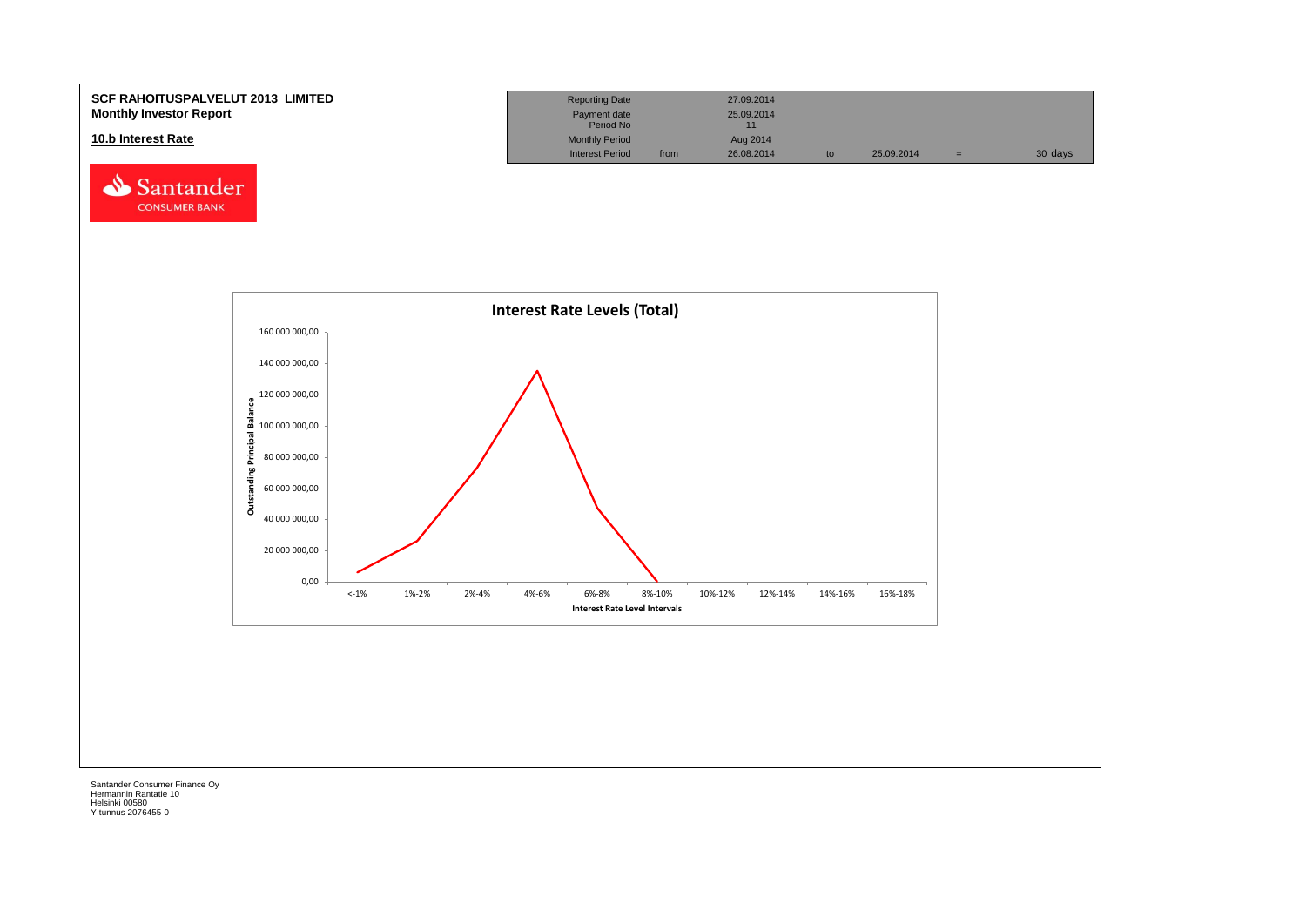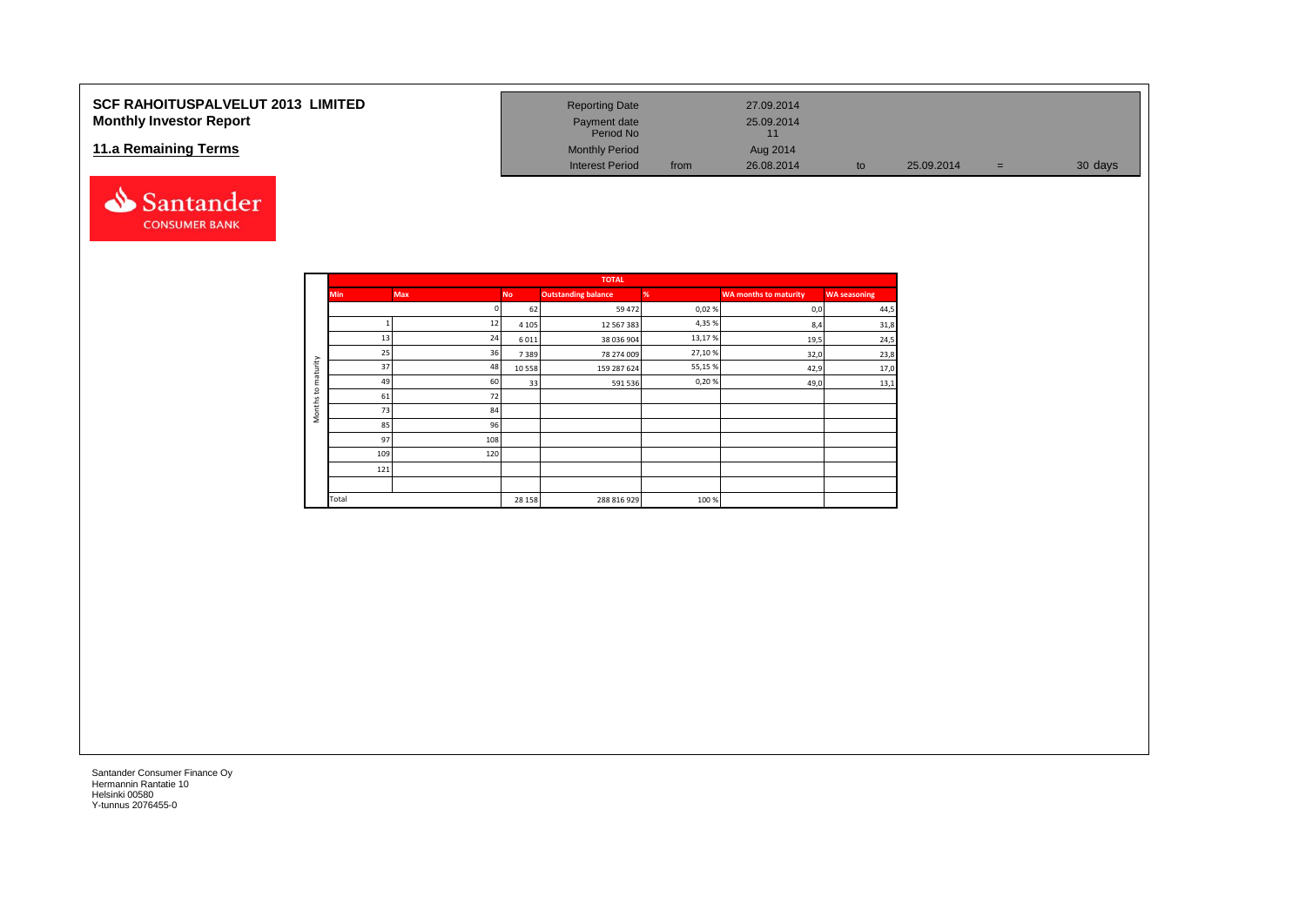### **SCF RAHOITUSPALVELUT 2013 LIMITED Monthly Investor Report**

#### **11.a Remaining Terms**



| <b>Reporting Date</b>     |      | 27.09.2014       |    |            |     |         |
|---------------------------|------|------------------|----|------------|-----|---------|
| Payment date<br>Period No |      | 25.09.2014<br>11 |    |            |     |         |
| <b>Monthly Period</b>     |      | Aug 2014         |    |            |     |         |
| <b>Interest Period</b>    | from | 26.08.2014       | to | 25.09.2014 | $=$ | 30 days |

|                     |            |     |           | <b>TOTAL</b>               |        |                              |                     |
|---------------------|------------|-----|-----------|----------------------------|--------|------------------------------|---------------------|
|                     | <b>Min</b> | Max | <b>No</b> | <b>Outstanding balance</b> | %      | <b>WA months to maturity</b> | <b>WA seasoning</b> |
|                     |            |     | 62        | 59 472                     | 0,02%  | 0,0                          | 44,5                |
|                     |            | 12  | 4 1 0 5   | 12 567 383                 | 4,35%  | 8,4                          | 31,8                |
|                     | 13         | 24  | 6011      | 38 036 904                 | 13,17% | 19,5                         | 24,5                |
|                     | 25         | 36  | 7389      | 78 274 009                 | 27,10% | 32,0                         | 23,8                |
| maturity            | 37         | 48  | 10 5 58   | 159 287 624                | 55,15% | 42,9                         | 17,0                |
|                     | 49         | 60  | 33        | 591 536                    | 0,20%  | 49,0                         | 13,1                |
| 5                   | 61         | 72  |           |                            |        |                              |                     |
| Months <sub>1</sub> | 73         | 84  |           |                            |        |                              |                     |
|                     | 85         | 96  |           |                            |        |                              |                     |
|                     | 97         | 108 |           |                            |        |                              |                     |
|                     | 109        | 120 |           |                            |        |                              |                     |
|                     | 121        |     |           |                            |        |                              |                     |
|                     |            |     |           |                            |        |                              |                     |
|                     | Total      |     | 28 15 8   | 288 816 929                | 100 %  |                              |                     |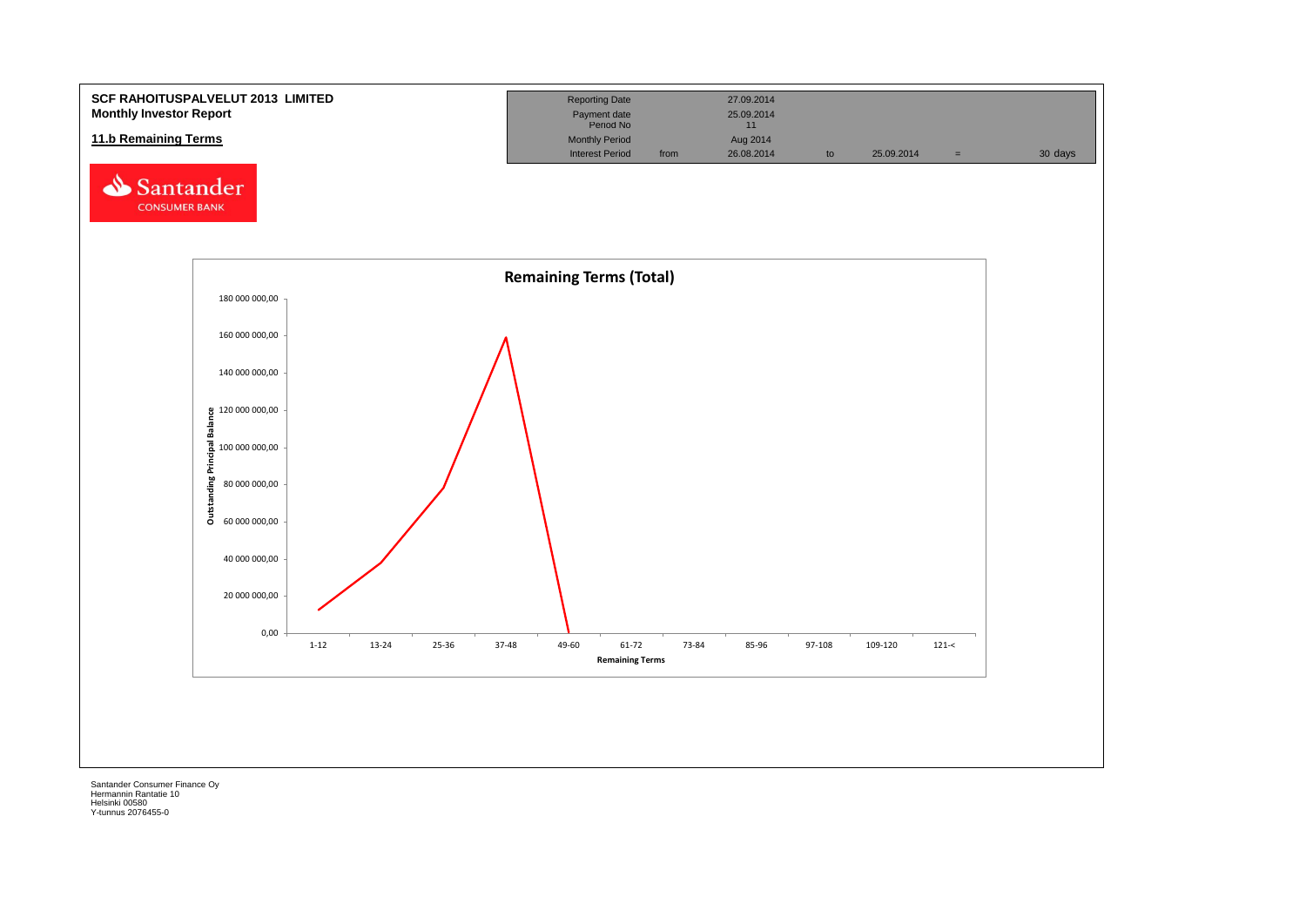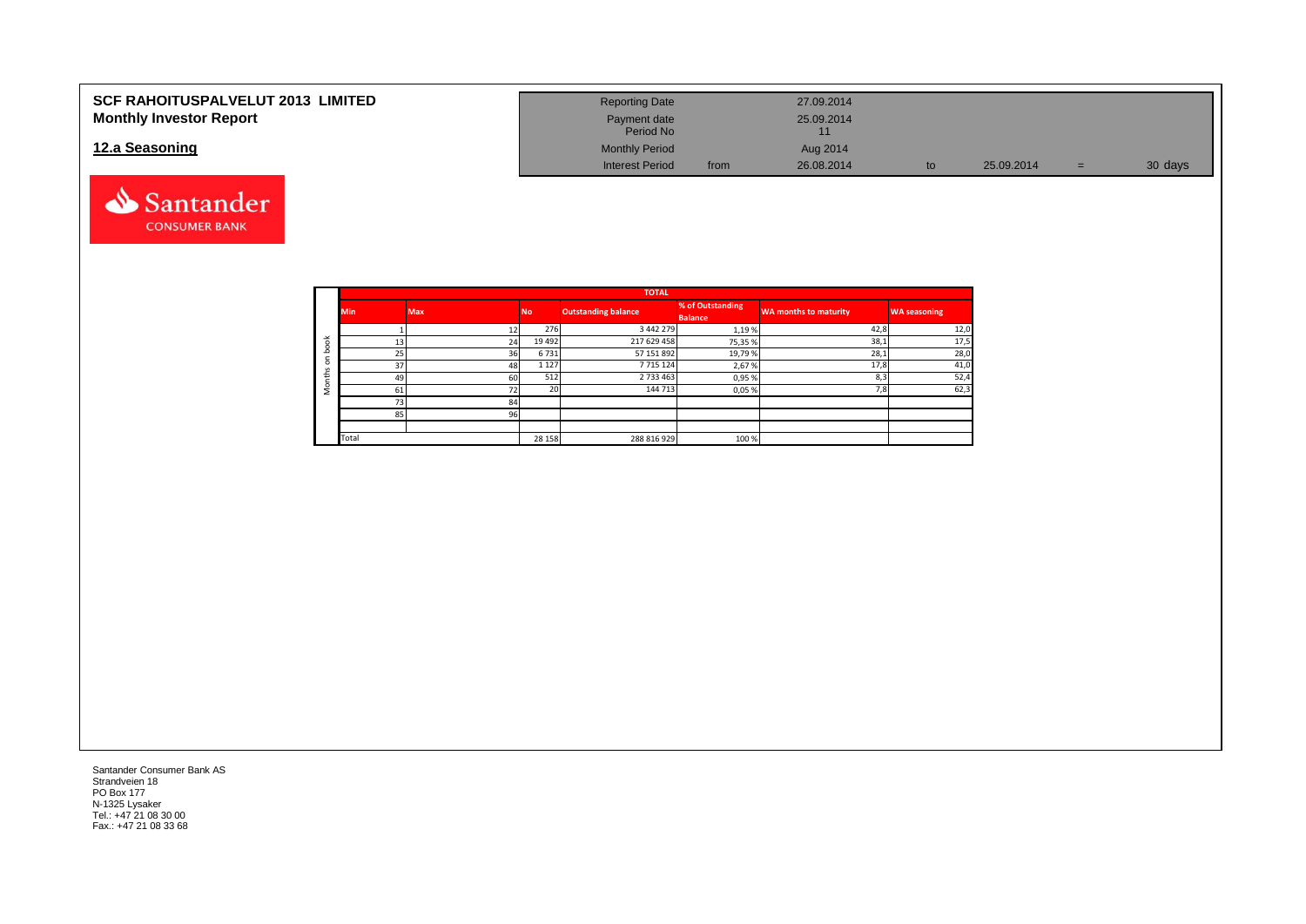| <b>SCF RAHOITUSPALVELUT 2013 LIMITED</b> | <b>Reporting Date</b>     |      | 27.09.2014 |            |    |         |
|------------------------------------------|---------------------------|------|------------|------------|----|---------|
| <b>Monthly Investor Report</b>           | Payment date<br>Period No |      | 25.09.2014 |            |    |         |
| 12.a Seasoning                           | <b>Monthly Period</b>     |      | Aug 2014   |            |    |         |
|                                          | <b>Interest Period</b>    | from | 26.08.2014 | 25.09.2014 | ÷. | 30 days |



|                       |            |            |           | <b>TOTAL</b>               |                                    |                              |                     |
|-----------------------|------------|------------|-----------|----------------------------|------------------------------------|------------------------------|---------------------|
|                       | <b>Min</b> | <b>Max</b> | <b>No</b> | <b>Outstanding balance</b> | % of Outstanding<br><b>Balance</b> | <b>WA months to maturity</b> | <b>WA seasoning</b> |
|                       |            |            | 276       | 3 4 4 2 2 7 9              | 1,19%                              | 42,8                         | 12,0                |
| $\breve{\phantom{a}}$ | 13         | 24         | 19 4 92   | 217 629 458                | 75,35%                             | 38,1                         | 17,5                |
| c                     | 25         | 36         | 6731      | 57 151 892                 | 19,79%                             | 28,1                         | 28,0                |
| $\Omega$              | 37         | 48         | 1 1 2 7   | 7715124                    | 2,67%                              | 17,8                         | 41,0                |
| £                     | 49         | 60         | 512       | 2 733 463                  | 0,95%                              | 8,3                          | 52,4                |
|                       | 61         | 72         | 20        | 144 713                    | 0,05%                              | 7,8                          | 62,3                |
|                       | 73         | 84         |           |                            |                                    |                              |                     |
|                       | 85         | 96         |           |                            |                                    |                              |                     |
|                       |            |            |           |                            |                                    |                              |                     |
|                       | Total      |            | 28 15 8   | 288 816 929                | 100 %                              |                              |                     |

Santander Consumer Bank AS Strandveien 18 PO Box 177 N-1325 Lysaker Tel.: +47 21 08 30 00 Fax.: +47 21 08 33 68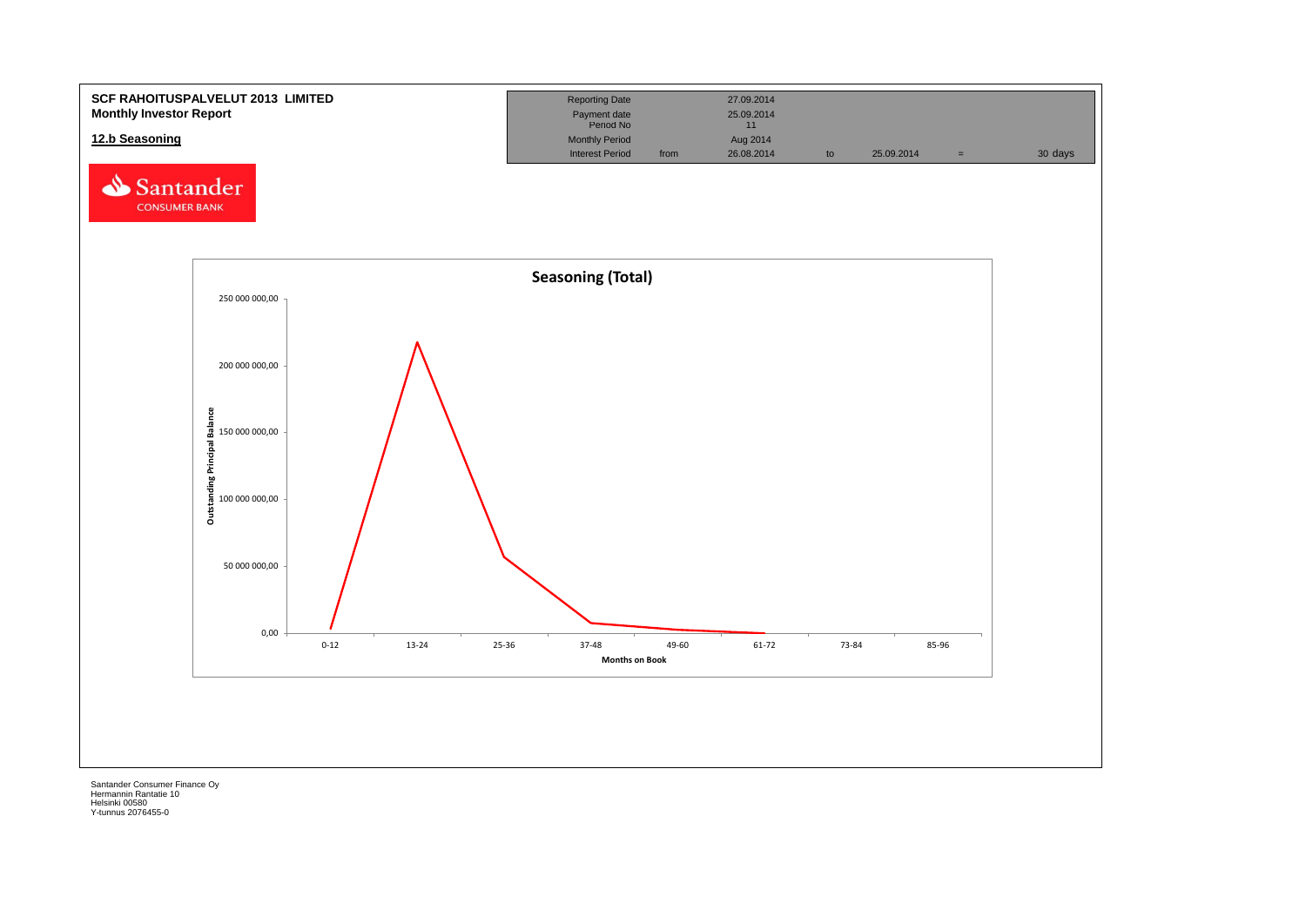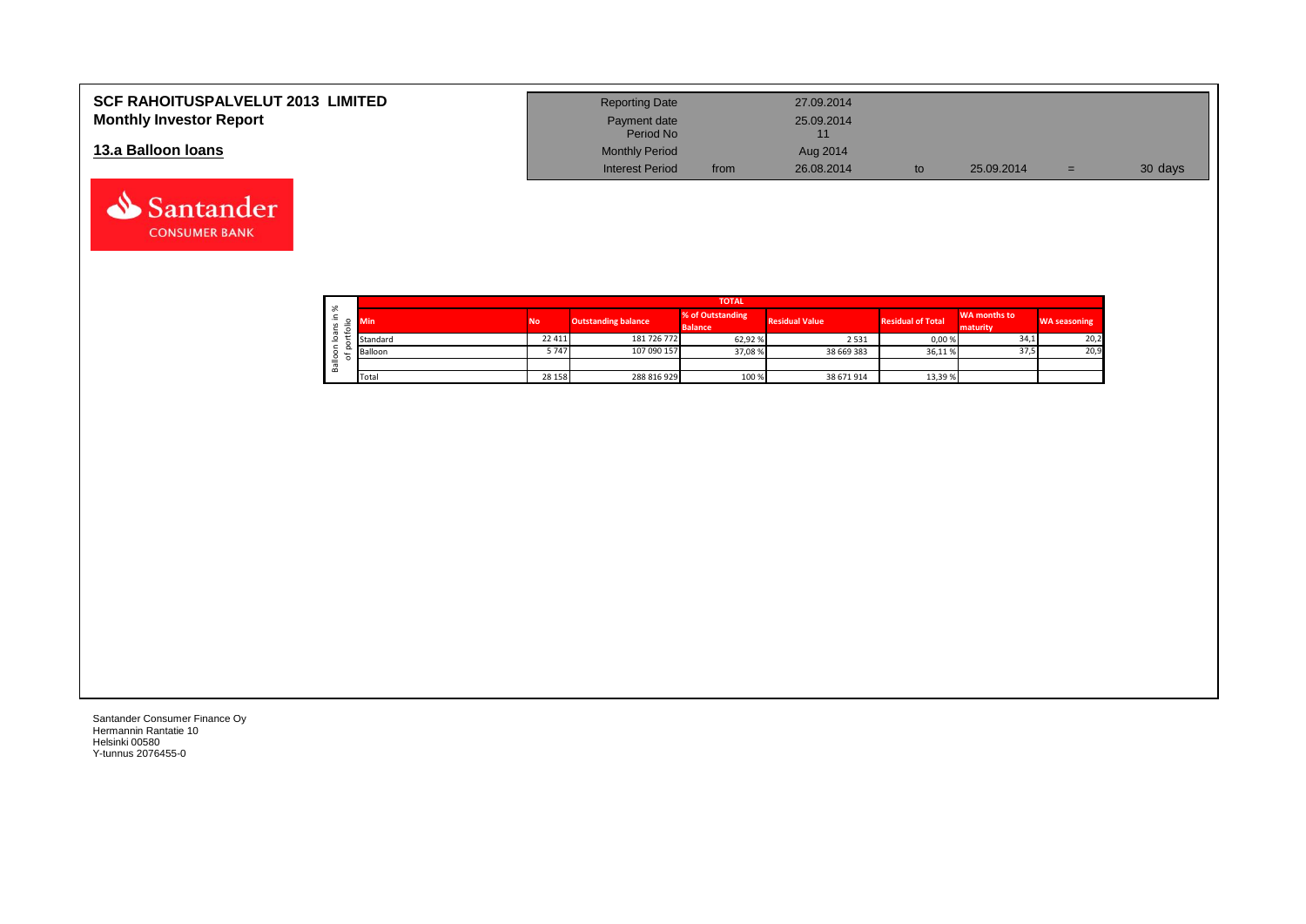| <b>SCF RAHOITUSPALVELUT 2013 LIMITED</b> | <b>Reporting Date</b>     |      | 27.09.2014 |            |     |         |
|------------------------------------------|---------------------------|------|------------|------------|-----|---------|
| <b>Monthly Investor Report</b>           | Payment date<br>Period No |      | 25.09.2014 |            |     |         |
| 13.a Balloon Ioans                       | <b>Monthly Period</b>     |      | Aug 2014   |            |     |         |
|                                          | <b>Interest Period</b>    | from | 26.08.2014 | 25.09.2014 | $=$ | 30 days |

|    |    | <b>TOTAL</b> |           |                            |                                    |                       |                          |                          |                     |  |  |  |  |
|----|----|--------------|-----------|----------------------------|------------------------------------|-----------------------|--------------------------|--------------------------|---------------------|--|--|--|--|
| ∸. | ৯ৎ |              | <b>No</b> | <b>Outstanding balance</b> | % of Outstanding<br><b>Balance</b> | <b>Residual Value</b> | <b>Residual of Total</b> | WA months to<br>maturity | <b>WA seasoning</b> |  |  |  |  |
|    |    | Standard     | 22 4 11   | 181 726 772                | 62,92 %                            | 2531                  | 0,00%                    | 34,1                     | 20,2                |  |  |  |  |
|    | ≌  | Balloon      | 5747      | 107 090 157                | 37,08%                             | 38 669 383            | 36,11%                   | 37,5                     | 20,9                |  |  |  |  |
|    | മ  |              |           |                            |                                    |                       |                          |                          |                     |  |  |  |  |
|    |    | Total        | 28 15 8   | 288 816 929                | 100 %                              | 38 671 914            | 13,39 %                  |                          |                     |  |  |  |  |

┑

Santander Consumer Finance Oy Hermannin Rantatie 10 Helsinki 00580 Y-tunnus 2076455-0

Santander **CONSUMER BANK**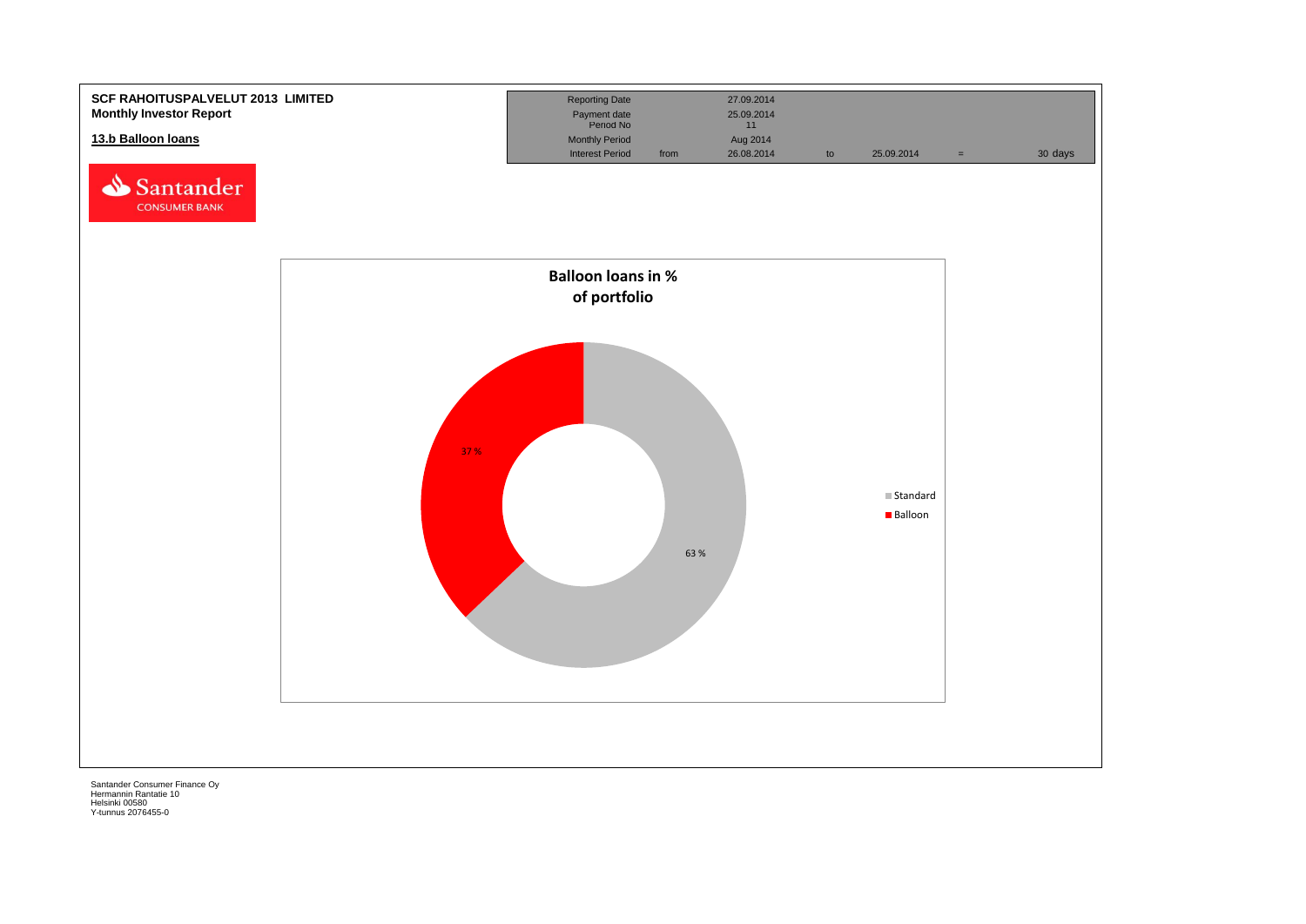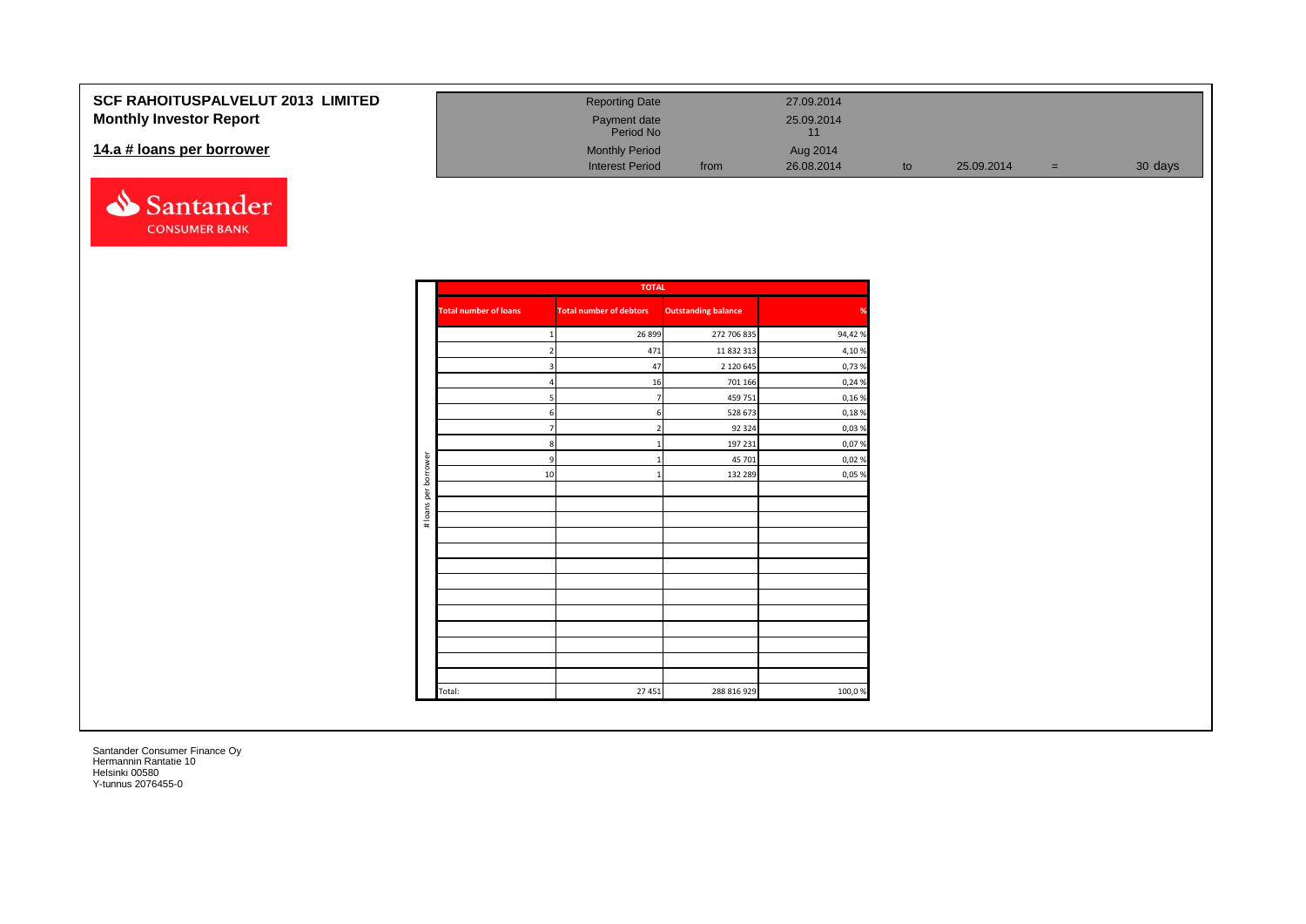| <b>SCF RAHOITUSPALVELUT 2013 LIMITED</b> | <b>Reporting Date</b>     |      | 27.09.2014 |            |     |         |
|------------------------------------------|---------------------------|------|------------|------------|-----|---------|
| <b>Monthly Investor Report</b>           | Payment date<br>Period No |      | 25.09.2014 |            |     |         |
| 14.a # loans per borrower                | <b>Monthly Period</b>     |      | Aug 2014   |            |     |         |
|                                          | <b>Interest Period</b>    | from | 26.08.2014 | 25.09.2014 | $=$ | 30 days |



|                      |                              | <b>TOTAL</b>                   |                            |        |
|----------------------|------------------------------|--------------------------------|----------------------------|--------|
|                      | <b>Total number of loans</b> | <b>Total number of debtors</b> | <b>Outstanding balance</b> | %      |
|                      | 1                            | 26 8 99                        | 272 706 835                | 94,42% |
|                      | $\overline{2}$               | 471                            | 11 832 313                 | 4,10%  |
|                      | 3                            | 47                             | 2 120 645                  | 0,73%  |
|                      | $\overline{4}$               | 16                             | 701 166                    | 0,24 % |
|                      | 5 <sub>1</sub>               | $\overline{7}$                 | 459 751                    | 0,16%  |
|                      | 6                            | 6                              | 528 673                    | 0,18%  |
|                      | $\overline{7}$               | $\overline{2}$                 | 92 3 2 4                   | 0,03%  |
|                      | $\bf{8}$                     | $\mathbf{1}$                   | 197 231                    | 0,07%  |
|                      | $\overline{9}$               | $\mathbf{1}$                   | 45 701                     | 0,02%  |
| # loans per borrower | 10                           | $\overline{1}$                 | 132 289                    | 0,05 % |
|                      |                              |                                |                            |        |
|                      |                              |                                |                            |        |
|                      |                              |                                |                            |        |
|                      |                              |                                |                            |        |
|                      |                              |                                |                            |        |
|                      |                              |                                |                            |        |
|                      |                              |                                |                            |        |
|                      |                              |                                |                            |        |
|                      |                              |                                |                            |        |
|                      |                              |                                |                            |        |
|                      |                              |                                |                            |        |
|                      |                              |                                |                            |        |
|                      |                              |                                |                            |        |
|                      | Total:                       | 27 451                         | 288 816 929                | 100,0% |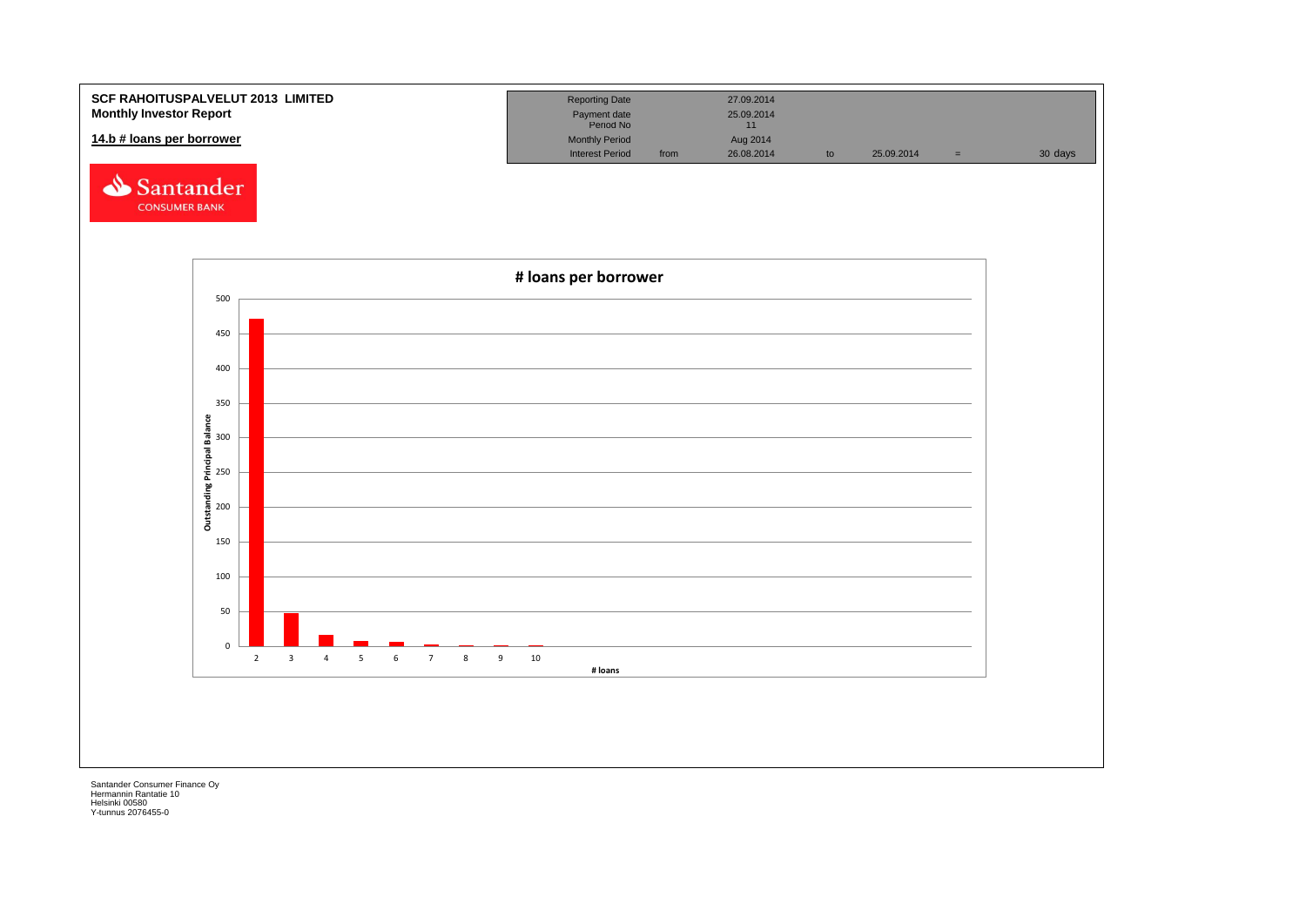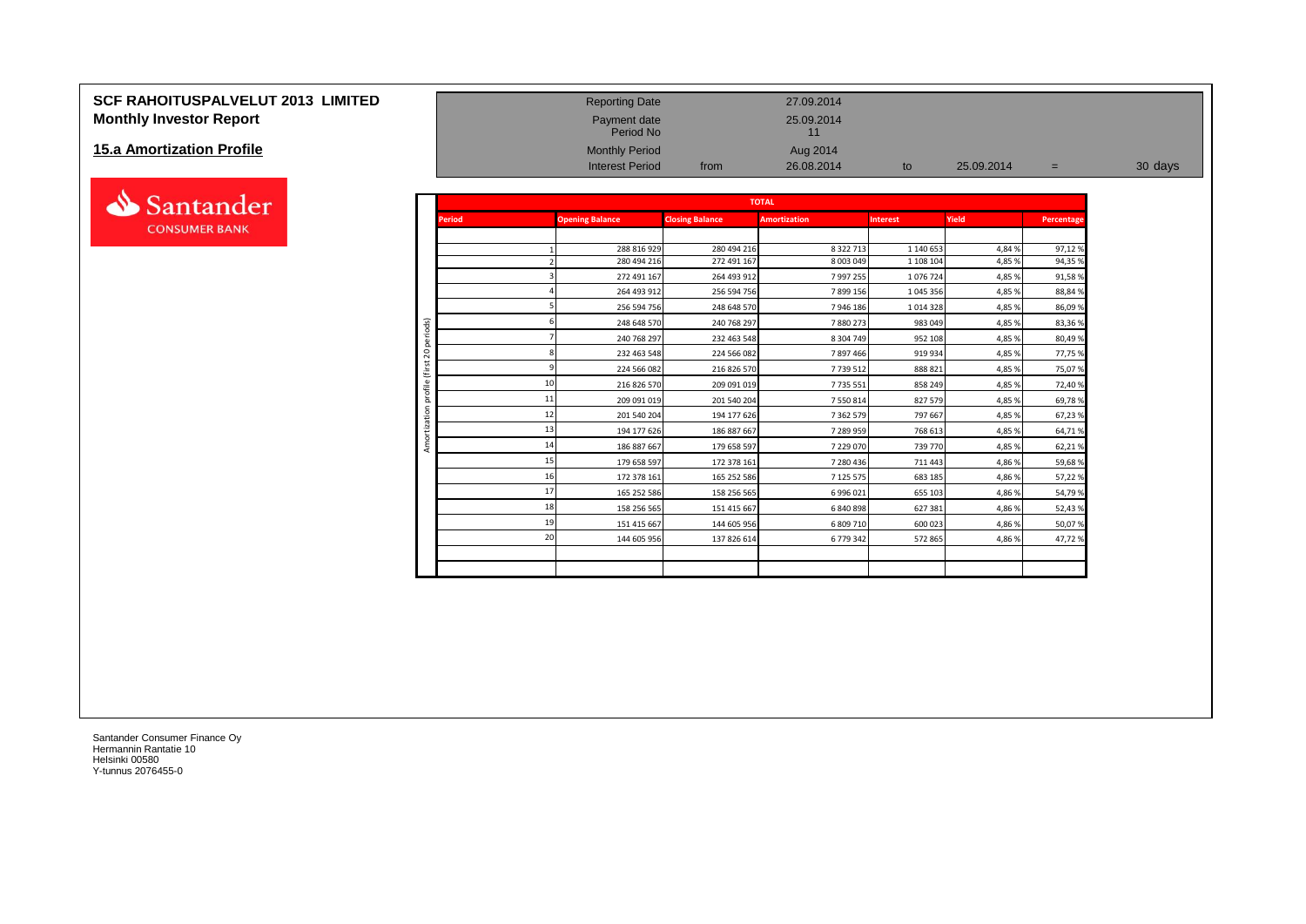# **SCF RAHOITUSPALVELUT 2013 LIMITED**<br> **Monthly Investor Report** 27.09.2014<br>
Period No Payment date 25.09.2014<br>
Period No Period No 11 **Monthly Investor Report**

#### **15.a Amortization Profile**



| <b>Monthly Investor Report</b><br>15.a Amortization Profile |                        |               | Payment date<br>Period No                       |                        | 25.09.2014<br>11       |                 |            |            |         |
|-------------------------------------------------------------|------------------------|---------------|-------------------------------------------------|------------------------|------------------------|-----------------|------------|------------|---------|
|                                                             |                        |               | <b>Monthly Period</b><br><b>Interest Period</b> | from                   | Aug 2014<br>26.08.2014 | to              | 25.09.2014 | $=$        | 30 days |
| ▵<br>Santander                                              |                        |               |                                                 |                        | <b>TOTAL</b>           |                 |            |            |         |
| <b>CONSUMER BANK</b>                                        |                        | <b>Period</b> | <b>Opening Balance</b>                          | <b>Closing Balance</b> | <b>Amortization</b>    | <b>Interest</b> | Yield      | Percentage |         |
|                                                             |                        |               | 288 816 929                                     | 280 494 216            | 8 3 2 2 7 1 3          | 1 140 653       | 4,84%      | 97,12%     |         |
|                                                             |                        |               | 280 494 216                                     | 272 491 167            | 8 003 049              | 1 108 104       | 4,85%      | 94,35 %    |         |
|                                                             |                        |               | 272 491 167                                     | 264 493 912            | 7 997 255              | 1076724         | 4,85%      | 91,58%     |         |
|                                                             |                        |               | 264 493 912                                     | 256 594 756            | 7899156                | 1 045 356       | 4,85%      | 88,84 %    |         |
|                                                             |                        |               | 256 594 756                                     | 248 648 570            | 7946186                | 1 0 1 4 3 2 8   | 4,85 %     | 86,09%     |         |
|                                                             |                        |               | 248 648 570                                     | 240 768 297            | 7880273                | 983 049         | 4,85%      | 83,36%     |         |
|                                                             | periods)               |               | 240 768 297                                     | 232 463 548            | 8 304 749              | 952 108         | 4,85 %     | 80,49%     |         |
|                                                             | $\overline{c}$         |               | 232 463 548                                     | 224 566 082            | 7897466                | 919 934         | 4,85%      | 77,75 %    |         |
|                                                             | €                      |               | 224 566 082                                     | 216 826 570            | 7739512                | 888 821         | 4,85 %     | 75,07%     |         |
|                                                             | profile                |               | 10<br>216 826 570                               | 209 091 019            | 7 735 551              | 858 249         | 4,85%      | 72,40 %    |         |
|                                                             |                        |               | 11<br>209 091 019                               | 201 540 204            | 7 550 814              | 827 579         | 4,85 %     | 69,78%     |         |
|                                                             | $\overline{5}$<br>zati |               | 12<br>201 540 204                               | 194 177 626            | 7 362 579              | 797 667         | 4,85 %     | 67,23%     |         |
|                                                             |                        |               | 13<br>194 177 626                               | 186 887 667            | 7 289 959              | 768 613         | 4,85 %     | 64,71%     |         |
|                                                             | Amo                    |               | 14<br>186 887 667                               | 179 658 597            | 7 229 070              | 739 770         | 4,85%      | 62,21%     |         |
|                                                             |                        |               | 15<br>179 658 597                               | 172 378 161            | 7 280 436              | 711 443         | 4,86%      | 59,68%     |         |
|                                                             |                        |               | 16<br>172 378 161                               | 165 252 586            | 7 125 575              | 683 185         | 4,86%      | 57,22 %    |         |
|                                                             |                        |               | 17<br>165 252 586                               | 158 256 565            | 6 996 021              | 655 103         | 4,86%      | 54,79%     |         |
|                                                             |                        |               | 18<br>158 256 565                               | 151 415 667            | 6 840 898              | 627 381         | 4,86%      | 52,43%     |         |
|                                                             |                        |               | 19<br>151 415 667                               | 144 605 956            | 6 809 710              | 600 023         | 4,86%      | 50,07%     |         |
|                                                             |                        |               | 20<br>144 605 956                               | 137 826 614            | 6 779 342              | 572 865         | 4,86%      | 47,72%     |         |
|                                                             |                        |               |                                                 |                        |                        |                 |            |            |         |
|                                                             |                        |               |                                                 |                        |                        |                 |            |            |         |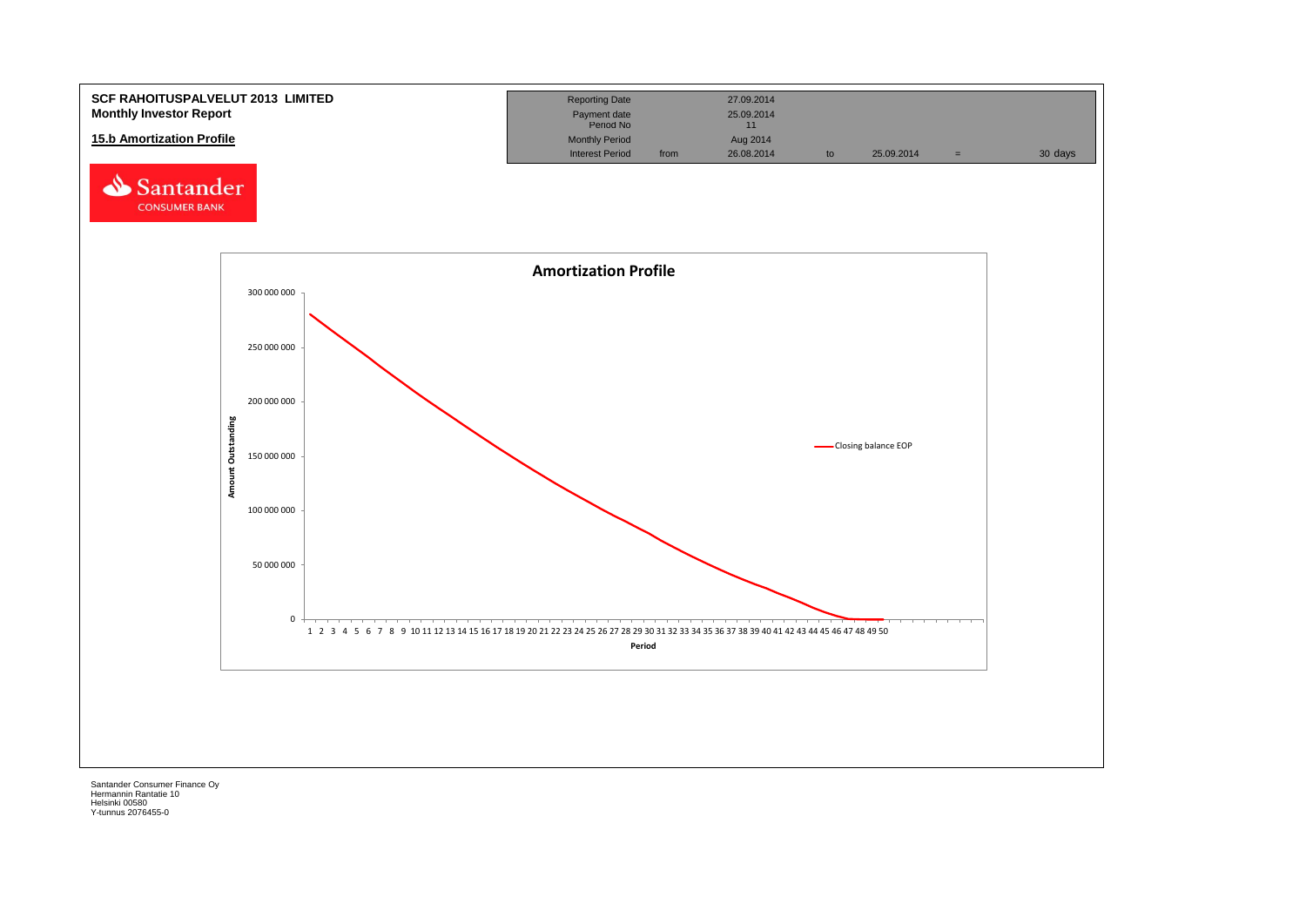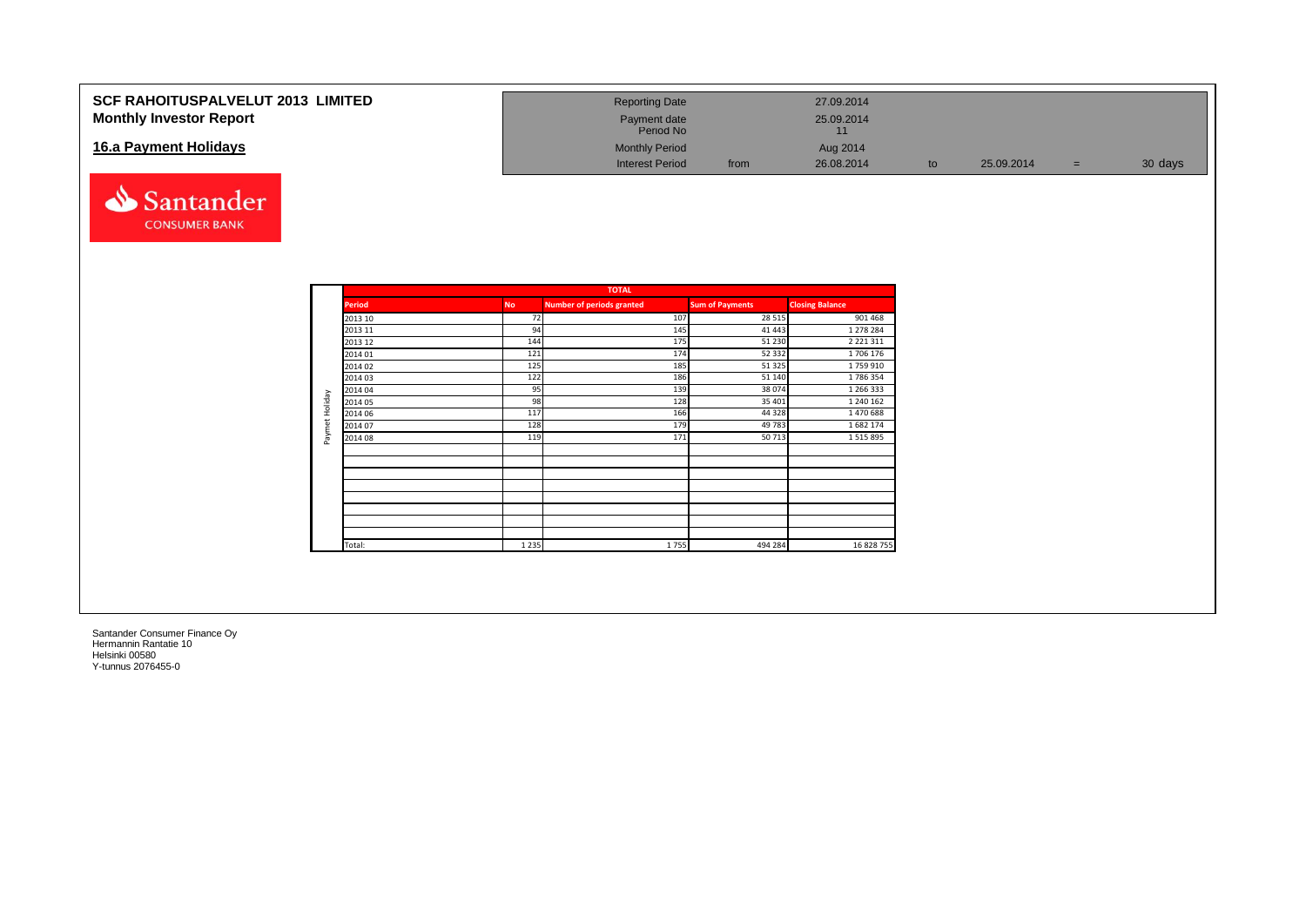| <b>SCF RAHOITUSPALVELUT 2013 LIMITED</b><br><b>Monthly Investor Report</b> | <b>Reporting Date</b><br>Payment date<br>Period No |      | 27.09.2014<br>25.09.2014 |    |            |         |
|----------------------------------------------------------------------------|----------------------------------------------------|------|--------------------------|----|------------|---------|
| 16.a Payment Holidays                                                      | <b>Monthly Period</b><br><b>Interest Period</b>    | from | Aug 2014<br>26.08.2014   | to | 25.09.2014 | 30 days |



|                |               |           | <b>TOTAL</b>                     |                        |                        |
|----------------|---------------|-----------|----------------------------------|------------------------|------------------------|
|                | <b>Period</b> | <b>No</b> | <b>Number of periods granted</b> | <b>Sum of Payments</b> | <b>Closing Balance</b> |
|                | 2013 10       | 72        | 107                              | 28 5 15                | 901 468                |
|                | 2013 11       | 94        | 145                              | 41 443                 | 1 278 284              |
|                | 2013 12       | 144       | 175                              | 51 230                 | 2 2 2 1 3 1 1          |
|                | 2014 01       | 121       | 174                              | 52 332                 | 1706 176               |
|                | 2014 02       | 125       | 185                              | 51 325                 | 1759910                |
|                | 2014 03       | 122       | 186                              | 51 140                 | 1786354                |
|                | 2014 04       | 95        | 139                              | 38 074                 | 1 266 333              |
|                | 2014 05       | 98        | 128                              | 35 401                 | 1 240 162              |
|                | 2014 06       | 117       | 166                              | 44 3 28                | 1470688                |
| Paymet Holiday | 2014 07       | 128       | 179                              | 49 783                 | 1682 174               |
|                | 2014 08       | 119       | 171                              | 50713                  | 1 5 1 5 8 9 5          |
|                |               |           |                                  |                        |                        |
|                |               |           |                                  |                        |                        |
|                |               |           |                                  |                        |                        |
|                |               |           |                                  |                        |                        |
|                |               |           |                                  |                        |                        |
|                |               |           |                                  |                        |                        |
|                |               |           |                                  |                        |                        |
|                | Total:        | 1 2 3 5   | 1755                             | 494 284                | 16 828 755             |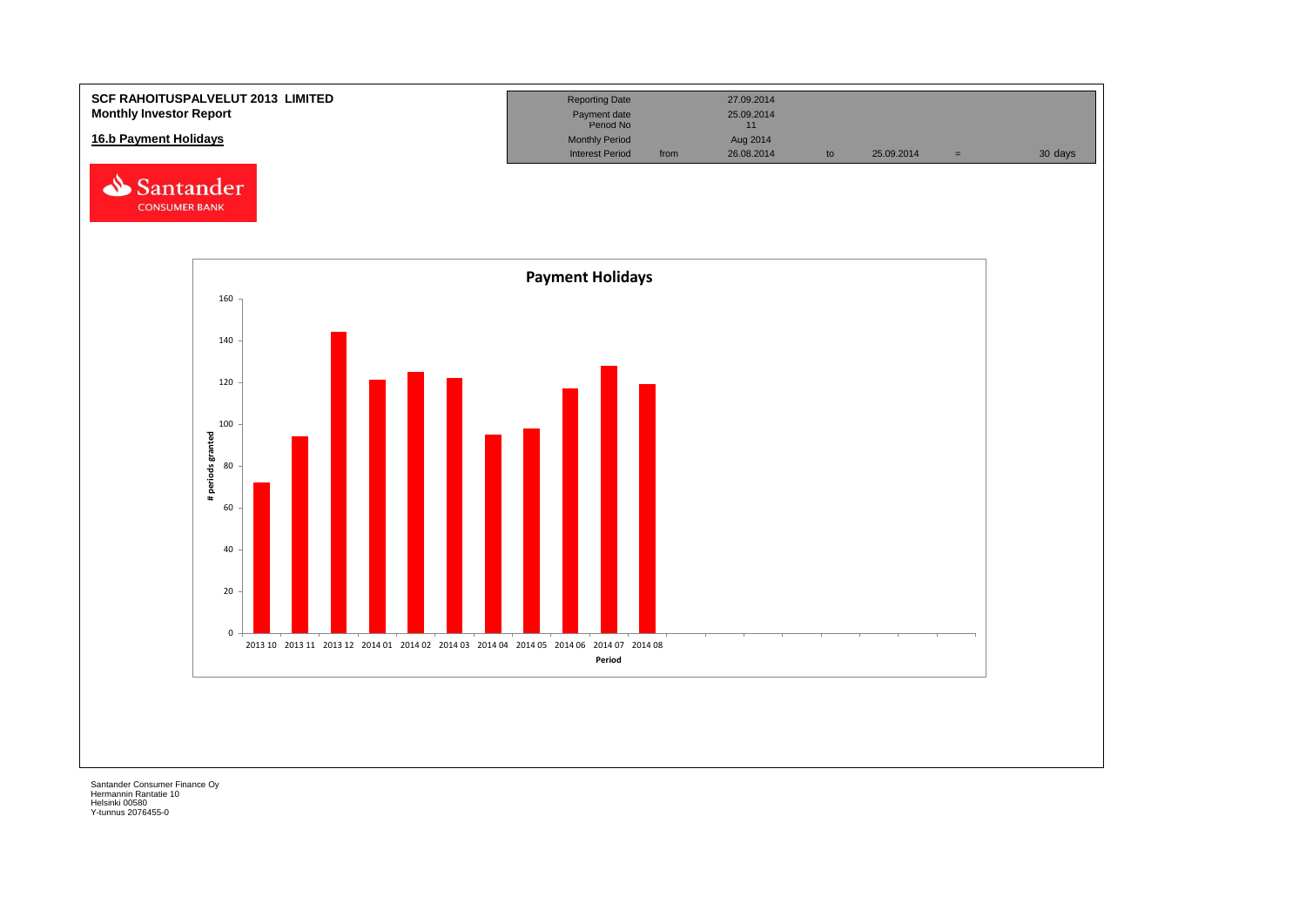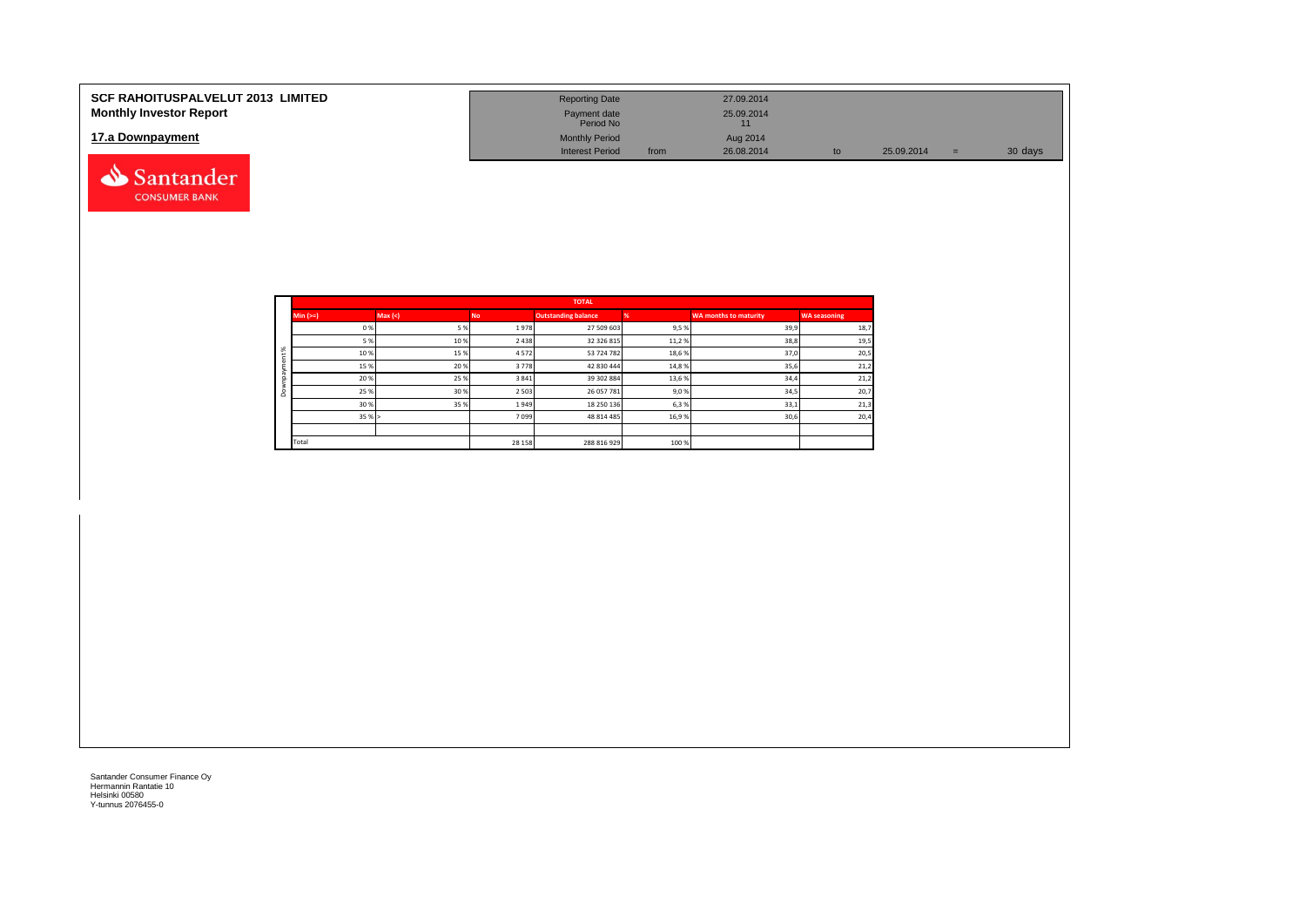| <b>SCF RAHOITUSPALVELUT 2013 LIMITED</b><br><b>Monthly Investor Report</b> | <b>Reporting Date</b><br>Payment date<br>Period No |      | 27.09.2014<br>25.09.2014<br>11 |    |            |     |         |
|----------------------------------------------------------------------------|----------------------------------------------------|------|--------------------------------|----|------------|-----|---------|
| 17.a Downpayment                                                           | <b>Monthly Period</b><br><b>Interest Period</b>    | from | Aug 2014<br>26.08.2014         | to | 25.09.2014 | $=$ | 30 days |
| Santander                                                                  |                                                    |      |                                |    |            |     |         |

|          |            |        |           | <b>TOTAL</b>               |       |                              |                     |
|----------|------------|--------|-----------|----------------------------|-------|------------------------------|---------------------|
|          | Min $(>=)$ | Max(<) | <b>No</b> | <b>Outstanding balance</b> |       | <b>WA months to maturity</b> | <b>WA seasoning</b> |
|          | 0%         | 5 %    | 1978      | 27 509 603                 | 9,5%  | 39,9                         | 18,7                |
|          | 5 %        | 10%    | 2 4 3 8   | 32 326 815                 | 11,2% | 38,8                         | 19,5                |
| $\aleph$ | 10%        | 15%    | 4572      | 53 724 782                 | 18,6% | 37,0                         | 20,5                |
|          | 15%        | 20%    | 3778      | 42 830 444                 | 14,8% | 35,6                         | 21,2                |
|          | 20%        | 25%    | 3841      | 39 302 884                 | 13,6% | 34,4                         | 21,2                |
| ۵        | 25 %       | 30%    | 2 5 0 3   | 26 057 781                 | 9,0%  | 34,5                         | 20,7                |
|          | 30%        | 35%    | 1949      | 18 250 136                 | 6,3%  | 33,1                         | 21,3                |
|          | 35%        |        | 7099      | 48 814 485                 | 16,9% | 30,6                         | 20,4                |
|          |            |        |           |                            |       |                              |                     |
|          | Total      |        | 28 15 8   | 288 816 929                | 100 % |                              |                     |

**CONSUMER BANK**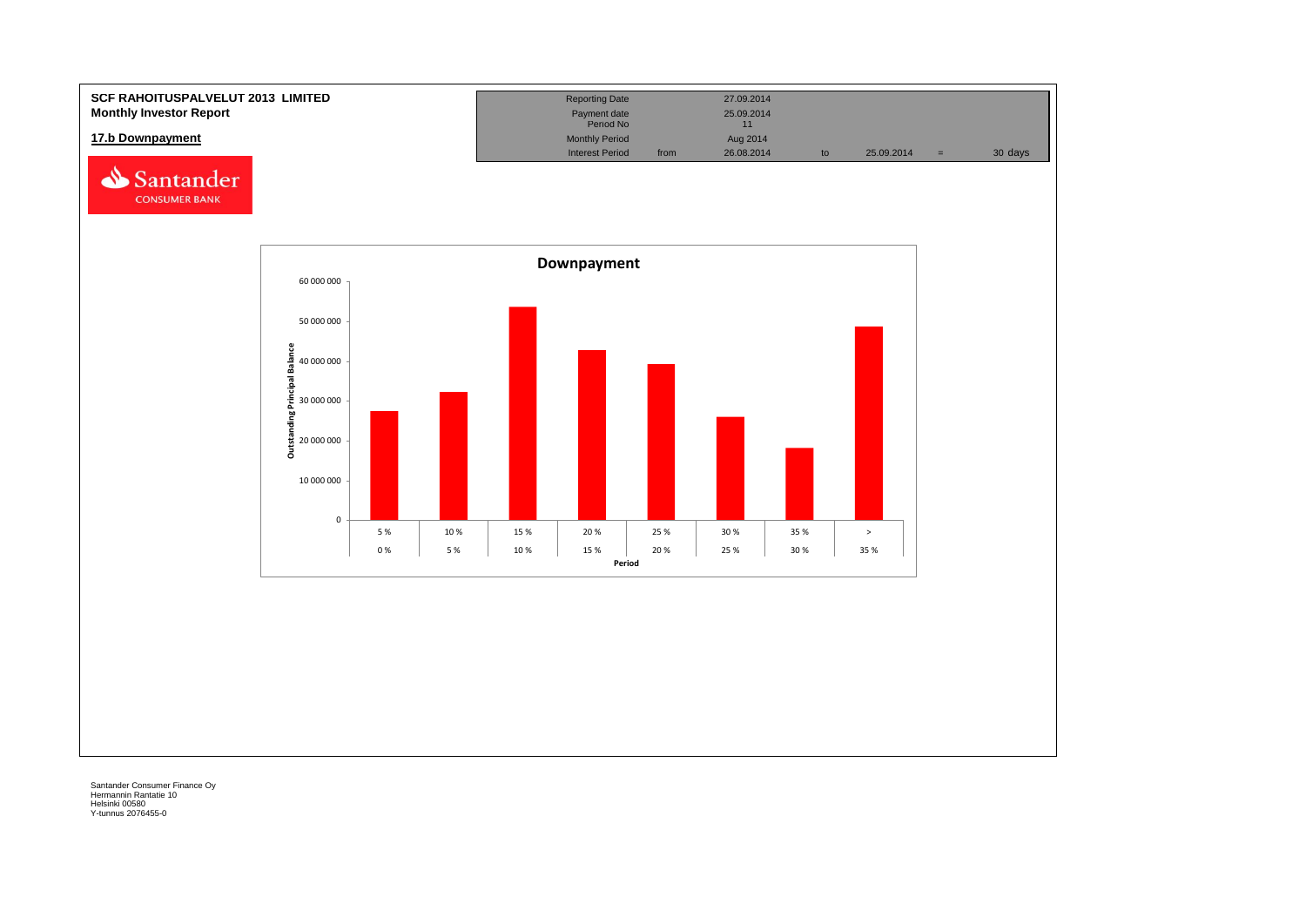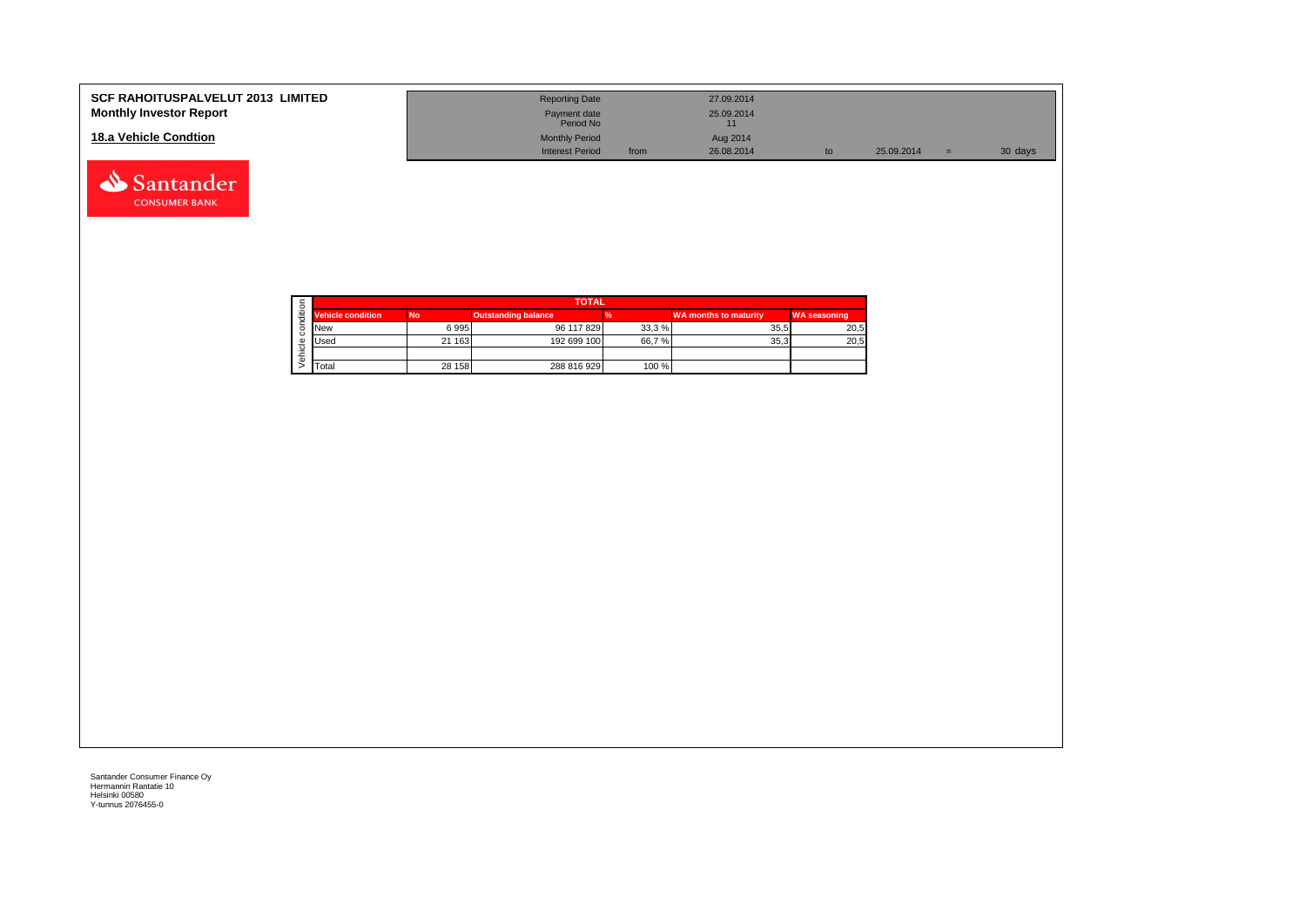| <b>SCF RAHOITUSPALVELUT 2013 LIMITED</b><br><b>Monthly Investor Report</b> | <b>Reporting Date</b><br>Payment date<br>Period No |      | 27.09.2014<br>25.09.2014 |    |            |     |         |
|----------------------------------------------------------------------------|----------------------------------------------------|------|--------------------------|----|------------|-----|---------|
| 18.a Vehicle Condtion                                                      | <b>Monthly Period</b>                              |      | Aug 2014                 |    |            |     |         |
|                                                                            | <b>Interest Period</b>                             | from | 26.08.2014               | to | 25.09.2014 | $=$ | 30 days |

|  |                          | <b>TOTAL</b> |                            |       |                              |                     |  |  |  |  |  |  |  |
|--|--------------------------|--------------|----------------------------|-------|------------------------------|---------------------|--|--|--|--|--|--|--|
|  | <b>Vehicle condition</b> | <b>No</b>    | <b>Outstanding balance</b> |       | <b>WA months to maturity</b> | <b>WA seasoning</b> |  |  |  |  |  |  |  |
|  | <b>New</b>               | 6995         | 96 117 829                 | 33,3% | 35.5                         | 20,5                |  |  |  |  |  |  |  |
|  | <b>I</b> Used            | 21 163       | 192 699 100                | 66,7% | 35.3                         | 20,5                |  |  |  |  |  |  |  |
|  |                          |              |                            |       |                              |                     |  |  |  |  |  |  |  |
|  | <b>T</b> otal            | 28 158       | 288 816 929                | 100 % |                              |                     |  |  |  |  |  |  |  |

Santander **CONSUMER BANK**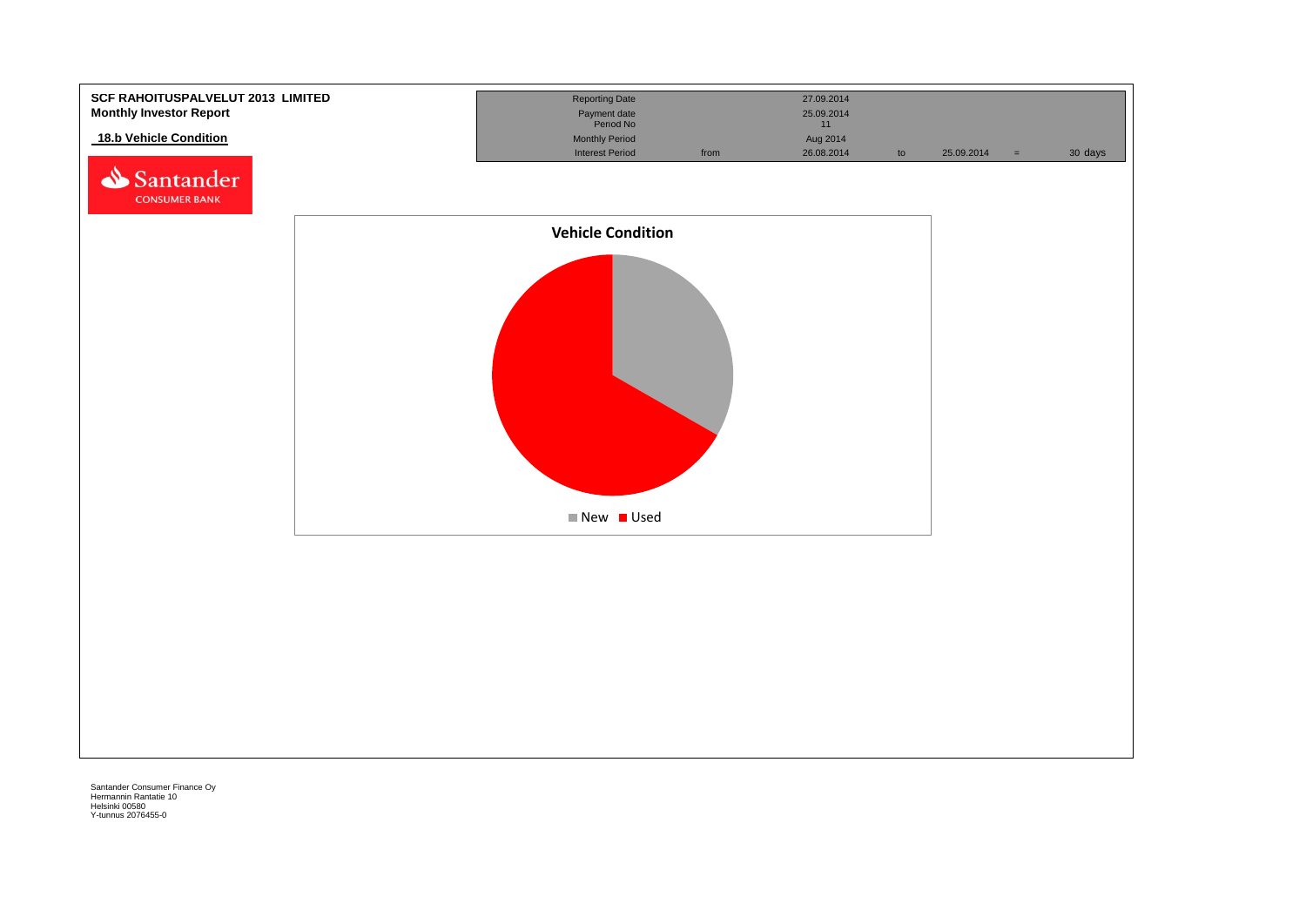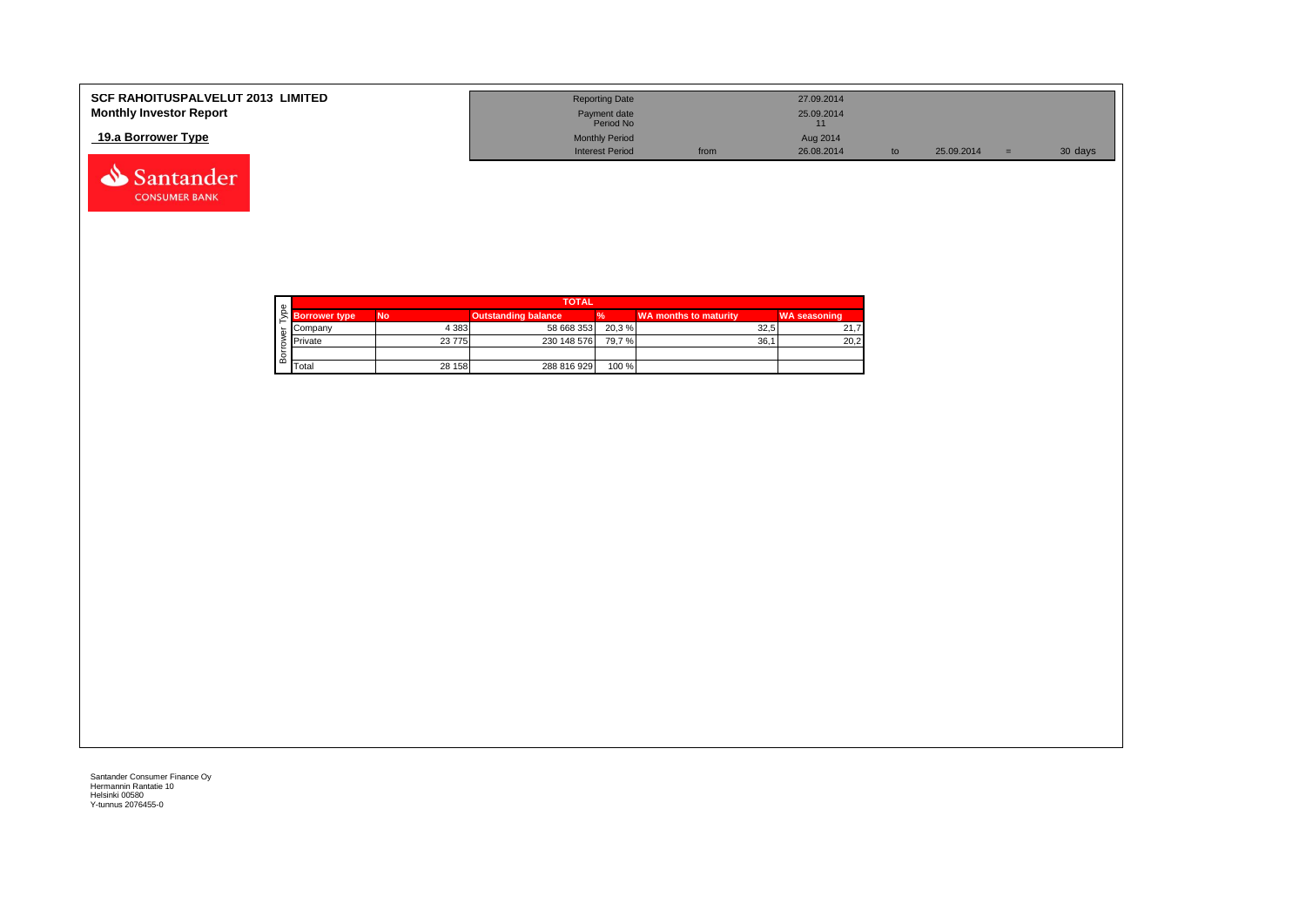| <b>SCF RAHOITUSPALVELUT 2013 LIMITED</b><br><b>Monthly Investor Report</b> | <b>Reporting Date</b><br>Payment date |      | 27.09.2014<br>25.09.2014 |            |         |
|----------------------------------------------------------------------------|---------------------------------------|------|--------------------------|------------|---------|
|                                                                            | Period No                             |      |                          |            |         |
| 19.a Borrower Type                                                         | <b>Monthly Period</b>                 |      | Aug 2014                 |            |         |
|                                                                            | <b>Interest Period</b>                | from | 26.08.2014               | 25.09.2014 | 30 days |

|     |                      | <b>TOTAL</b> |                     |        |                       |                     |  |  |  |  |  |
|-----|----------------------|--------------|---------------------|--------|-----------------------|---------------------|--|--|--|--|--|
|     | <b>Borrower type</b> | <b>No</b>    | Outstanding balance | %      | WA months to maturity | <b>WA seasoning</b> |  |  |  |  |  |
|     | Company              | 4 3 8 3      | 58 668 353          | 20.3 % | 32.5                  | 21.7                |  |  |  |  |  |
|     | Private              | 23775        | 230 148 576         | 79.7 % | 36.                   | 20,2                |  |  |  |  |  |
|     |                      |              |                     |        |                       |                     |  |  |  |  |  |
| ` ന | Total                | 28 158       | 288 816 929         | 100 %  |                       |                     |  |  |  |  |  |

Santander **CONSUMER BANK**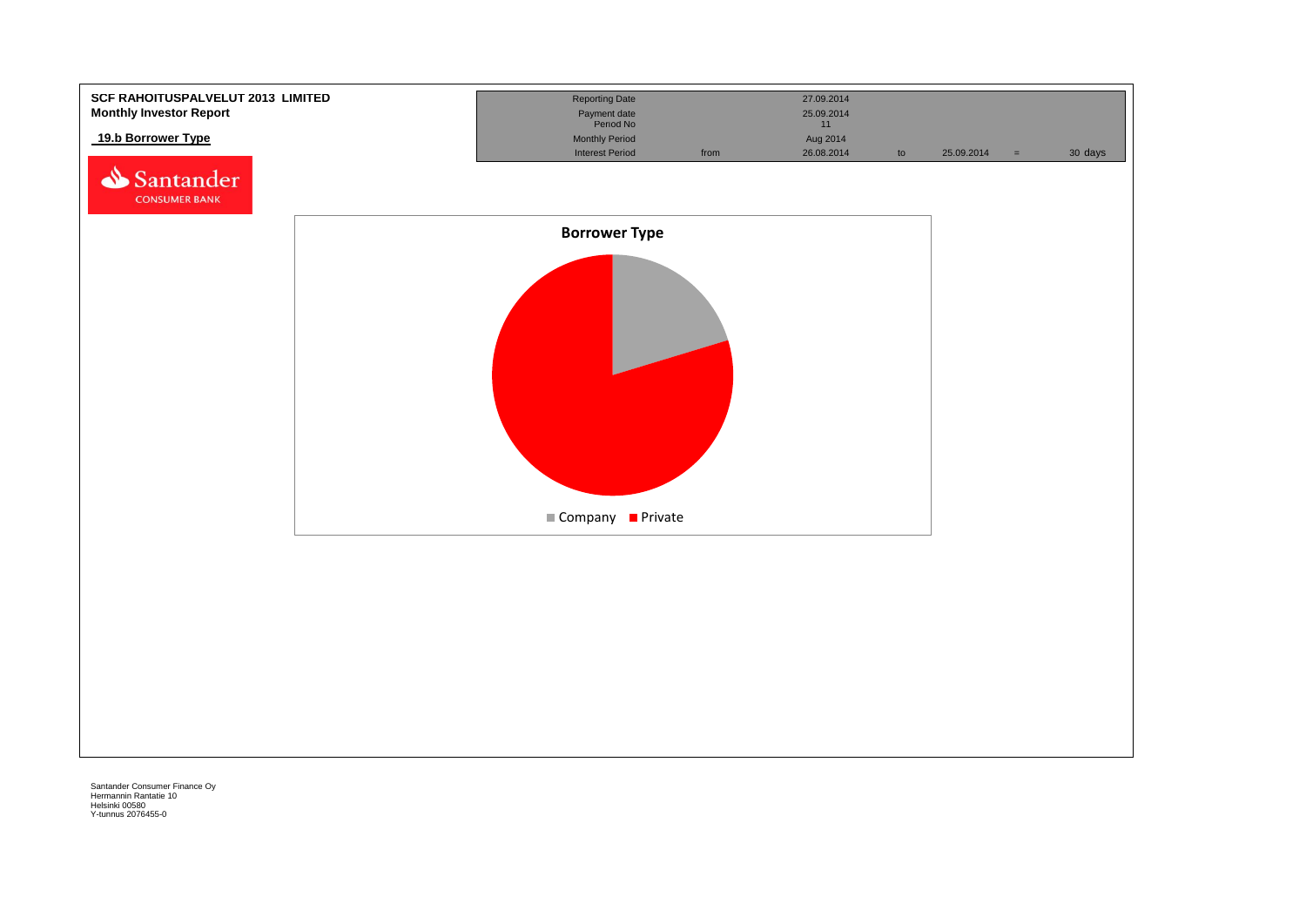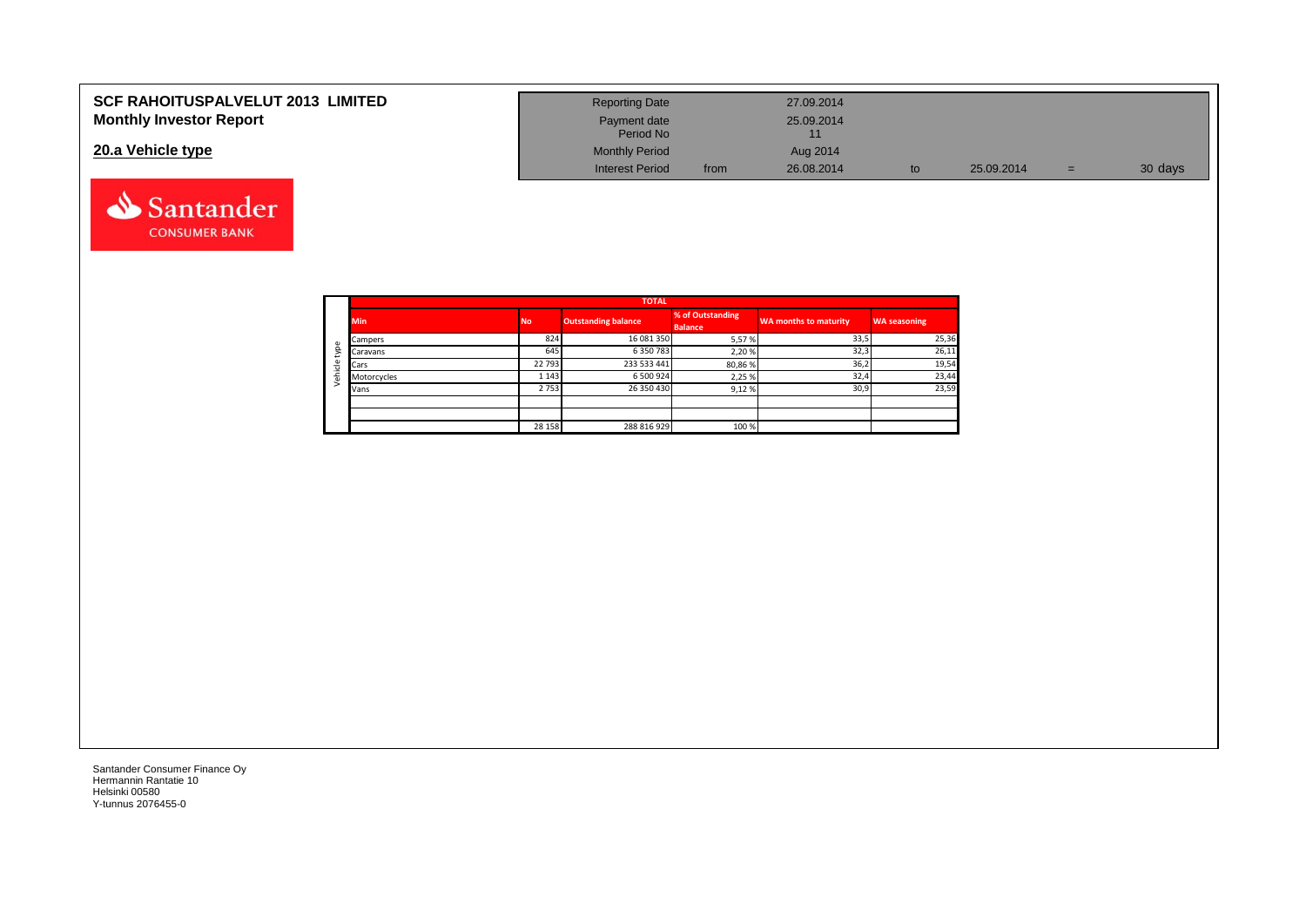| <b>SCF RAHOITUSPALVELUT 2013 LIMITED</b><br><b>Monthly Investor Report</b> | <b>Reporting Date</b>     |      | 27.09.2014 |    |            |     |         |
|----------------------------------------------------------------------------|---------------------------|------|------------|----|------------|-----|---------|
|                                                                            | Payment date<br>Period No |      | 25.09.2014 |    |            |     |         |
| 20.a Vehicle type                                                          | <b>Monthly Period</b>     |      | Aug 2014   |    |            |     |         |
|                                                                            | <b>Interest Period</b>    | from | 26.08.2014 | to | 25.09.2014 | $=$ | 30 days |



Santander **CONSUMER BANK**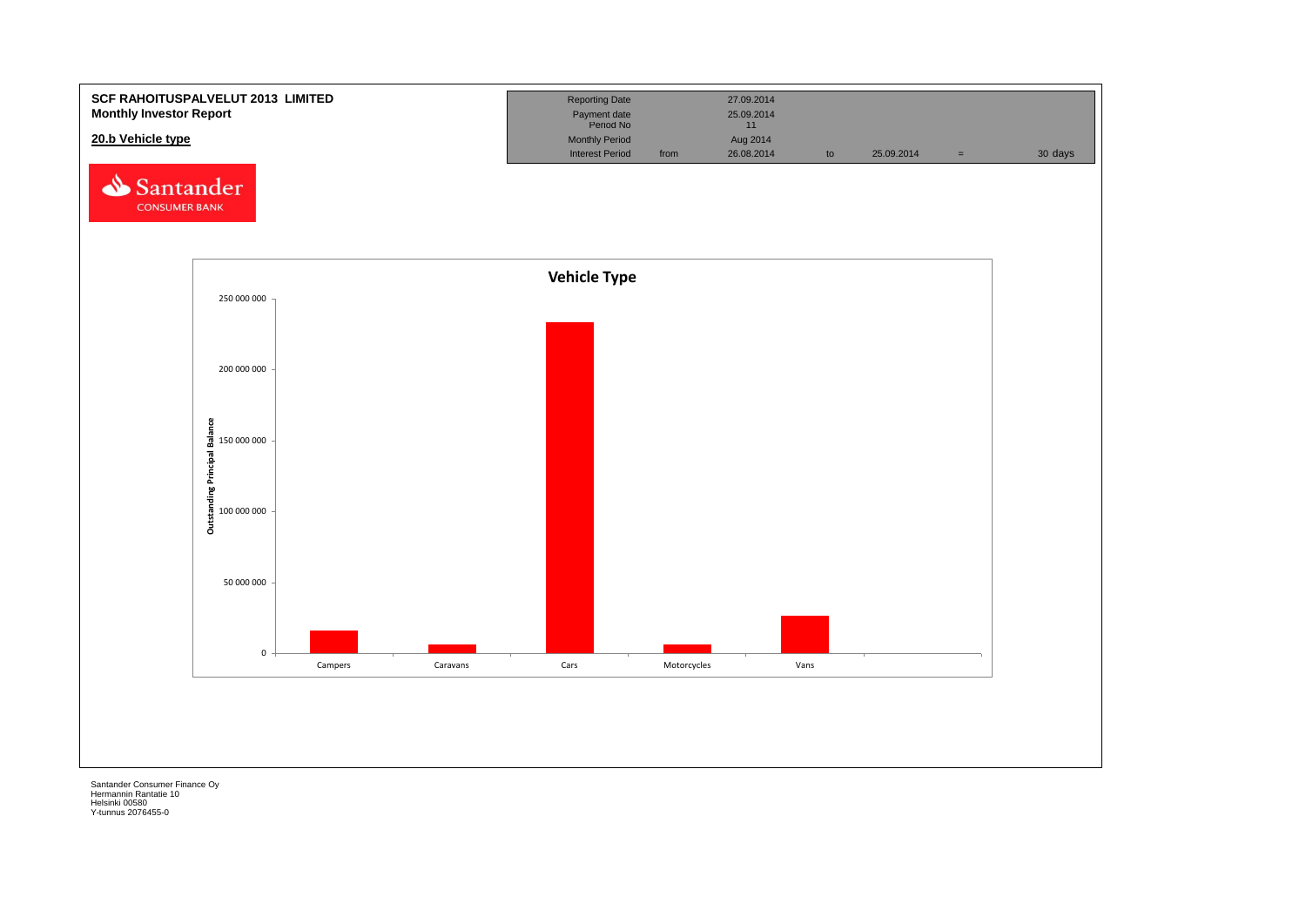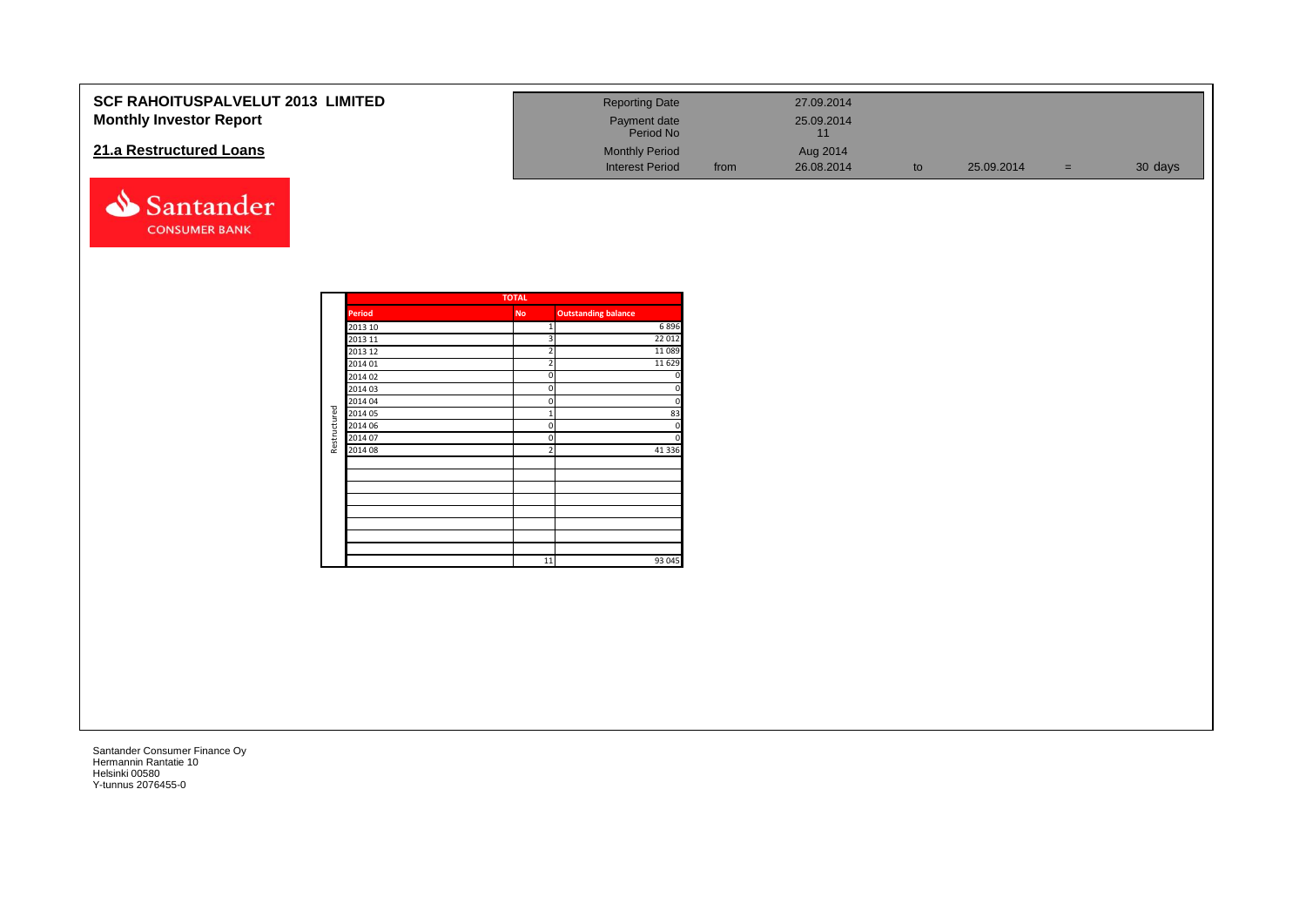| SCF RAHOITUSPALVELUT 2013 LIMITED<br><b>Monthly Investor Report</b> |                    |              | <b>Reporting Date</b><br>Payment date<br>Period No |      | 27.09.2014<br>25.09.2014 |    |            |     |         |
|---------------------------------------------------------------------|--------------------|--------------|----------------------------------------------------|------|--------------------------|----|------------|-----|---------|
|                                                                     |                    |              |                                                    |      | 11                       |    |            |     |         |
| 21.a Restructured Loans                                             |                    |              | <b>Monthly Period</b>                              |      | Aug 2014                 |    |            |     |         |
|                                                                     |                    |              | <b>Interest Period</b>                             | from | 26.08.2014               | to | 25.09.2014 | $=$ | 30 days |
| Santander<br><b>CONSUMER BANK</b>                                   |                    |              |                                                    |      |                          |    |            |     |         |
|                                                                     |                    | <b>TOTAL</b> |                                                    |      |                          |    |            |     |         |
|                                                                     | <b>Period</b>      | <b>No</b>    | <b>Outstanding balance</b>                         |      |                          |    |            |     |         |
|                                                                     | 2013 10            |              | 6896<br>1                                          |      |                          |    |            |     |         |
|                                                                     | 2013 11            |              | 22 012                                             |      |                          |    |            |     |         |
|                                                                     | 2013 12            |              | 11089                                              |      |                          |    |            |     |         |
|                                                                     | 2014 01            |              | 11 6 29                                            |      |                          |    |            |     |         |
|                                                                     | 2014 02            |              |                                                    |      |                          |    |            |     |         |
|                                                                     | 2014 03            |              |                                                    |      |                          |    |            |     |         |
|                                                                     | 2014 04            |              |                                                    |      |                          |    |            |     |         |
|                                                                     | 2014 05            |              | 83<br>$\mathbf{1}$<br>$\Omega$<br>$\sqrt{2}$       |      |                          |    |            |     |         |
|                                                                     | 2014 06<br>2014 07 |              | $\Omega$<br>ſ                                      |      |                          |    |            |     |         |
| Restructured                                                        | 2014 08            |              | 41 3 36                                            |      |                          |    |            |     |         |
|                                                                     |                    |              |                                                    |      |                          |    |            |     |         |
|                                                                     |                    |              |                                                    |      |                          |    |            |     |         |
|                                                                     |                    |              |                                                    |      |                          |    |            |     |         |
|                                                                     |                    |              |                                                    |      |                          |    |            |     |         |
|                                                                     |                    |              |                                                    |      |                          |    |            |     |         |
|                                                                     |                    |              |                                                    |      |                          |    |            |     |         |
|                                                                     |                    |              |                                                    |      |                          |    |            |     |         |
|                                                                     |                    |              |                                                    |      |                          |    |            |     |         |
|                                                                     |                    |              | 93 045<br>11                                       |      |                          |    |            |     |         |
|                                                                     |                    |              |                                                    |      |                          |    |            |     |         |
|                                                                     |                    |              |                                                    |      |                          |    |            |     |         |
|                                                                     |                    |              |                                                    |      |                          |    |            |     |         |
|                                                                     |                    |              |                                                    |      |                          |    |            |     |         |
|                                                                     |                    |              |                                                    |      |                          |    |            |     |         |
|                                                                     |                    |              |                                                    |      |                          |    |            |     |         |
|                                                                     |                    |              |                                                    |      |                          |    |            |     |         |
|                                                                     |                    |              |                                                    |      |                          |    |            |     |         |
|                                                                     |                    |              |                                                    |      |                          |    |            |     |         |
|                                                                     |                    |              |                                                    |      |                          |    |            |     |         |
|                                                                     |                    |              |                                                    |      |                          |    |            |     |         |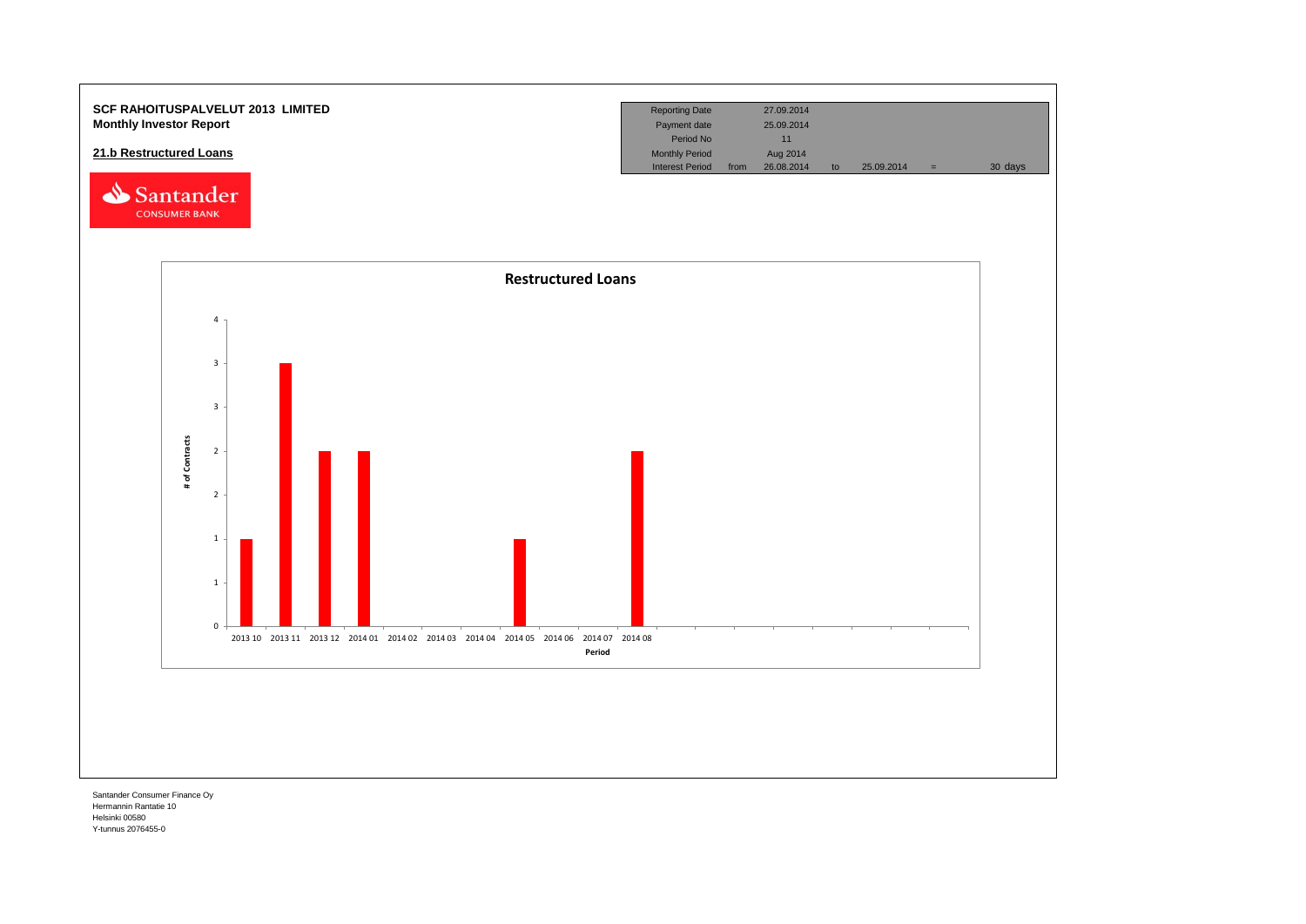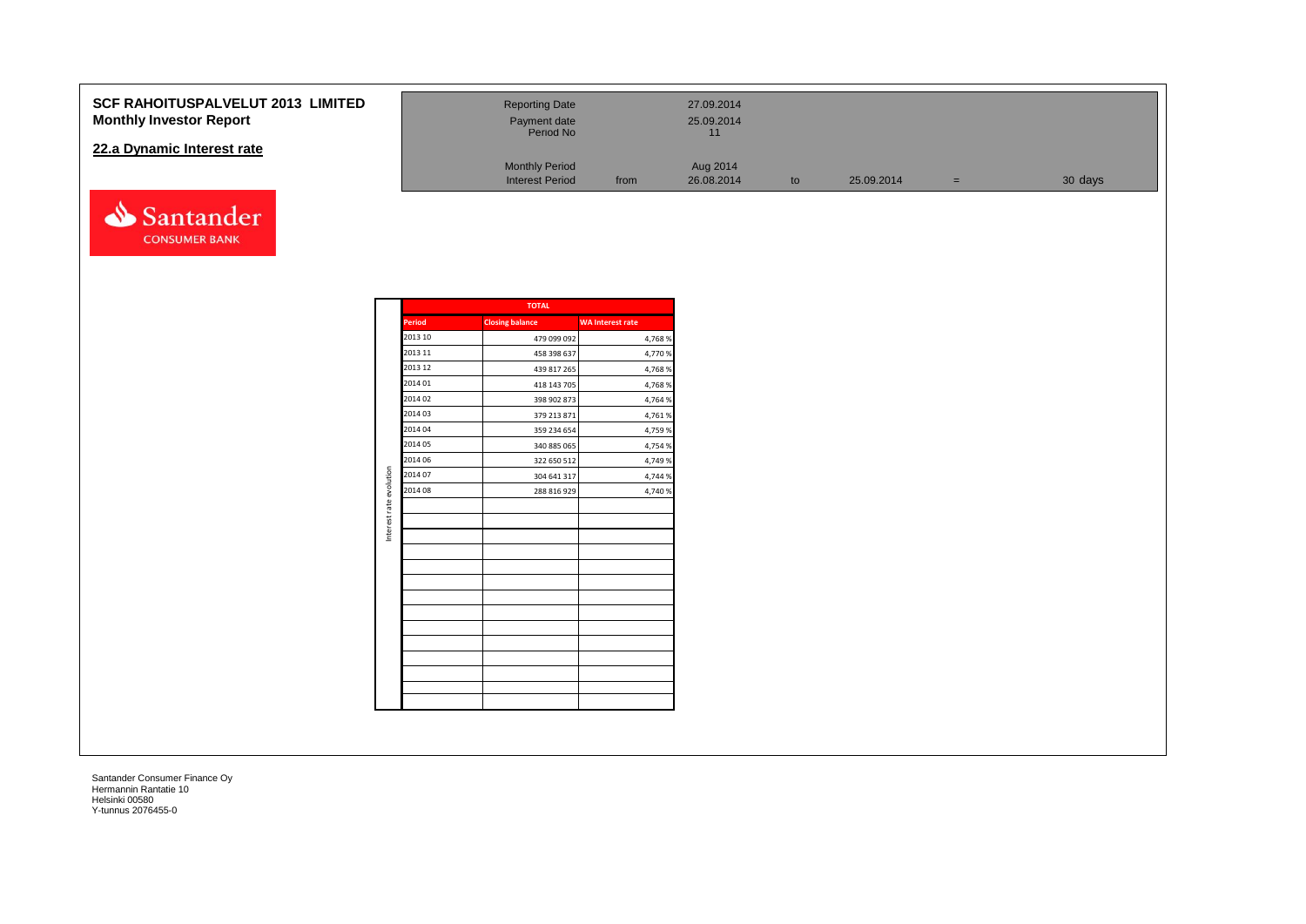#### **SCF RAHOITUSPALVELUT 201 Monthly Investor Report**

#### **22.a Dynamic Interest rate**



| <b>13 LIMITED</b> | <b>Reporting Date</b><br>Payment date<br>Period No |      | 27.09.2014<br>25.09.2014<br>11 |    |            |   |         |
|-------------------|----------------------------------------------------|------|--------------------------------|----|------------|---|---------|
|                   | <b>Monthly Period</b><br><b>Interest Period</b>    | from | Aug 2014<br>26.08.2014         | to | 25.09.2014 | = | 30 days |

|                         |               | <b>TOTAL</b>           |                         |
|-------------------------|---------------|------------------------|-------------------------|
|                         | <b>Period</b> | <b>Closing balance</b> | <b>WA Interest rate</b> |
|                         | 2013 10       | 479 099 092            | 4,768%                  |
|                         | 2013 11       | 458 398 637            | 4,770 %                 |
|                         | 2013 12       | 439 817 265            | 4,768%                  |
|                         | 2014 01       | 418 143 705            | 4,768%                  |
|                         | 2014 02       | 398 902 873            | 4,764 %                 |
|                         | 2014 03       | 379 213 871            | 4,761%                  |
|                         | 2014 04       | 359 234 654            | 4,759 %                 |
|                         | 2014 05       | 340 885 065            | 4,754 %                 |
|                         | 2014 06       | 322 650 512            | 4,749 %                 |
| Interest rate evolution | 2014 07       | 304 641 317            | 4,744 %                 |
|                         | 2014 08       | 288 816 929            | 4,740 %                 |
|                         |               |                        |                         |
|                         |               |                        |                         |
|                         |               |                        |                         |
|                         |               |                        |                         |
|                         |               |                        |                         |
|                         |               |                        |                         |
|                         |               |                        |                         |
|                         |               |                        |                         |
|                         |               |                        |                         |
|                         |               |                        |                         |
|                         |               |                        |                         |
|                         |               |                        |                         |
|                         |               |                        |                         |
|                         |               |                        |                         |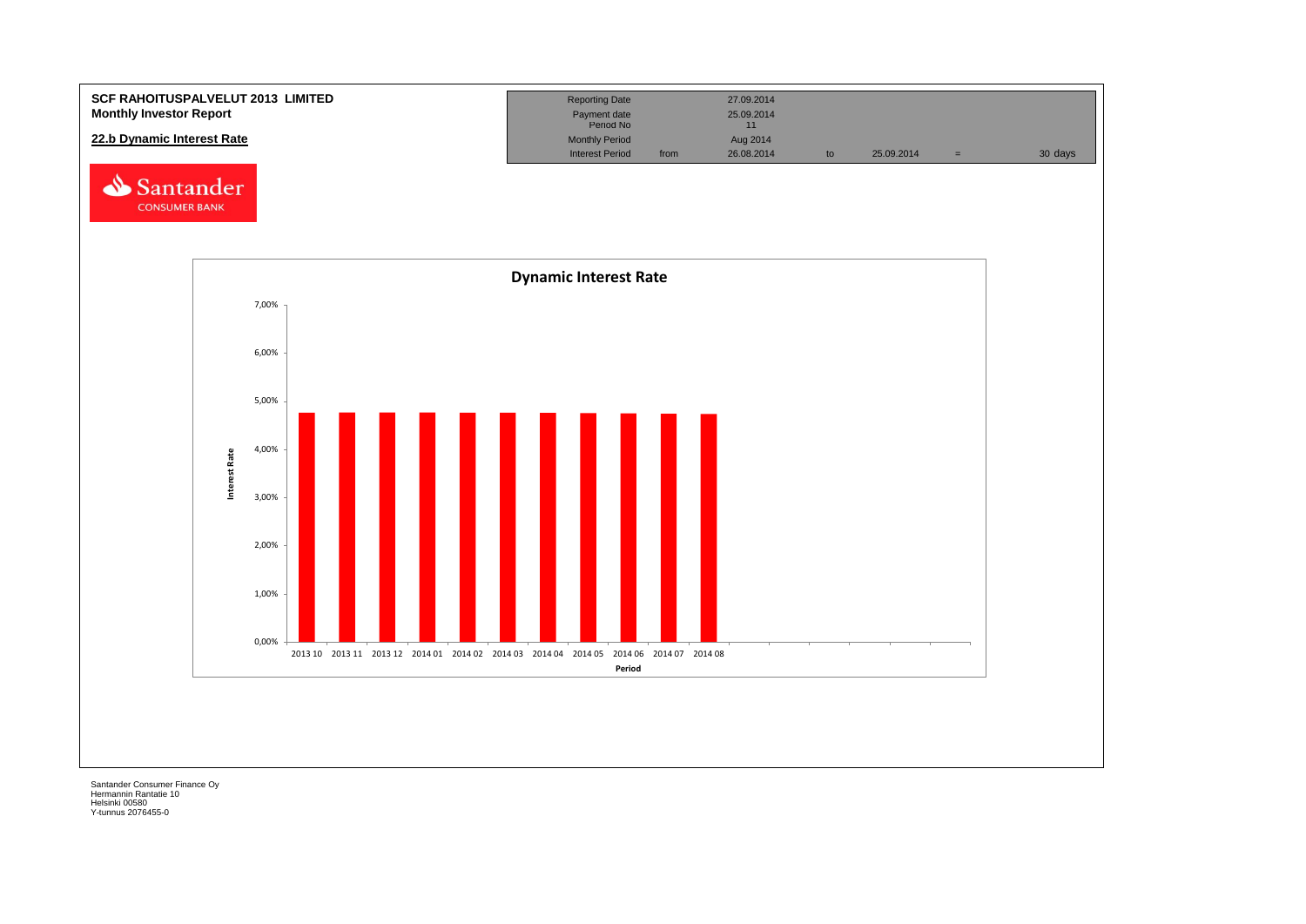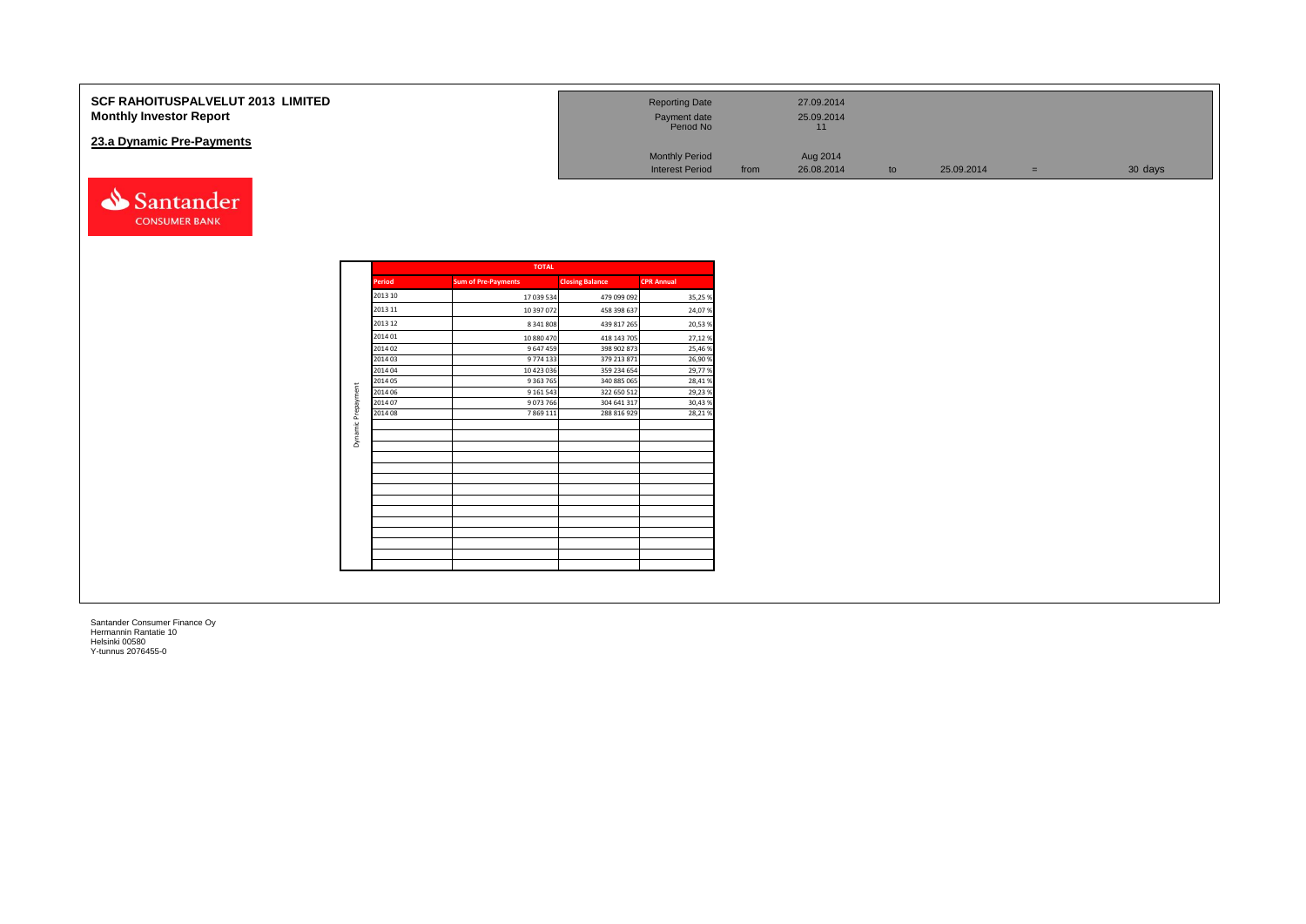| <b>SCF RAHOITUSPALVELUT 2013 LIMITED</b><br><b>Monthly Investor Report</b> | <b>Reporting Date</b><br>Payment date<br>Period No          | 27.09.2014<br>25.09.2014<br>11 |    |            |     |         |
|----------------------------------------------------------------------------|-------------------------------------------------------------|--------------------------------|----|------------|-----|---------|
| 23.a Dynamic Pre-Payments                                                  | <b>Monthly Period</b><br><b>Interest Period</b>             | Aug 2014<br>26.08.2014<br>from | to | 25.09.2014 | $=$ | 30 days |
| Santander<br><b>CONSUMER BANK</b>                                          |                                                             |                                |    |            |     |         |
| <b>Period</b><br><b>Sum of Pre-Payments</b><br>---- --                     | <b>TOTAL</b><br><b>Closing Balance</b><br><b>CPR Annual</b> |                                |    |            |     |         |

| <b>Period</b> | <b>Sum of Pre-Payments</b> | <b>Closing Balance</b> | <b>CPR Annual</b> |
|---------------|----------------------------|------------------------|-------------------|
| 2013 10       | 17 039 534                 | 479 099 092            | 35,25%            |
| 2013 11       | 10 397 072                 | 458 398 637            | 24,07%            |
| 2013 12       | 8 341 808                  | 439 817 265            | 20,53%            |
| 2014 01       | 10 880 470                 | 418 143 705            | 27,12%            |
| 2014 02       | 9 647 459                  | 398 902 873            | 25,46%            |
| 2014 03       | 9774 133                   | 379 213 871            | 26,90%            |
| 2014 04       | 10 423 036                 | 359 234 654            | 29,77%            |
| 2014 05       | 9 3 63 7 65                | 340 885 065            | 28,41%            |
| 2014 06       | 9 1 6 1 5 4 3              | 322 650 512            | 29,23%            |
| 2014 07       | 9073766                    | 304 641 317            | 30,43%            |
| 2014 08       | 7 8 6 9 1 1 1              | 288 816 929            | 28,21%            |
|               |                            |                        |                   |
|               |                            |                        |                   |
|               |                            |                        |                   |
|               |                            |                        |                   |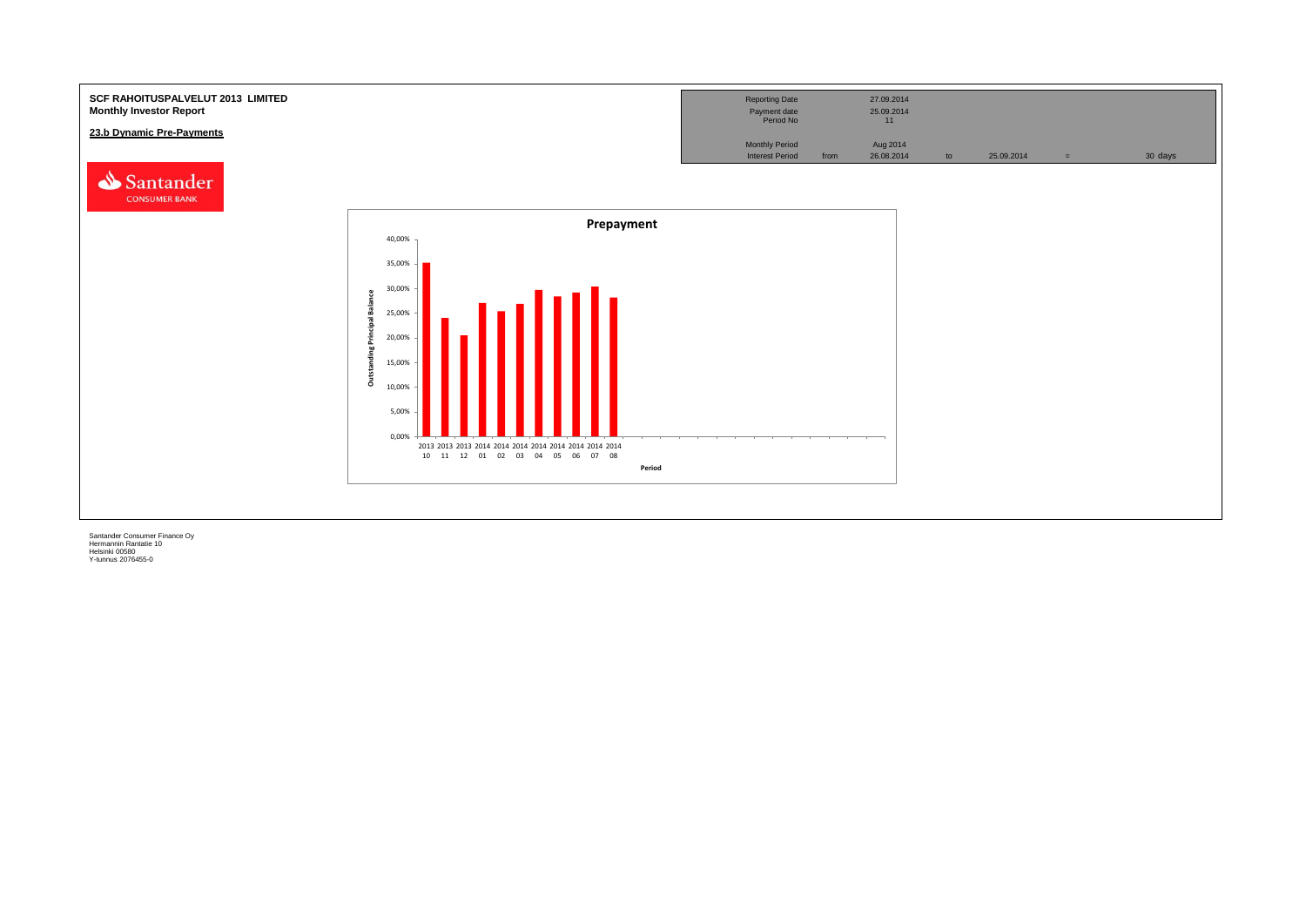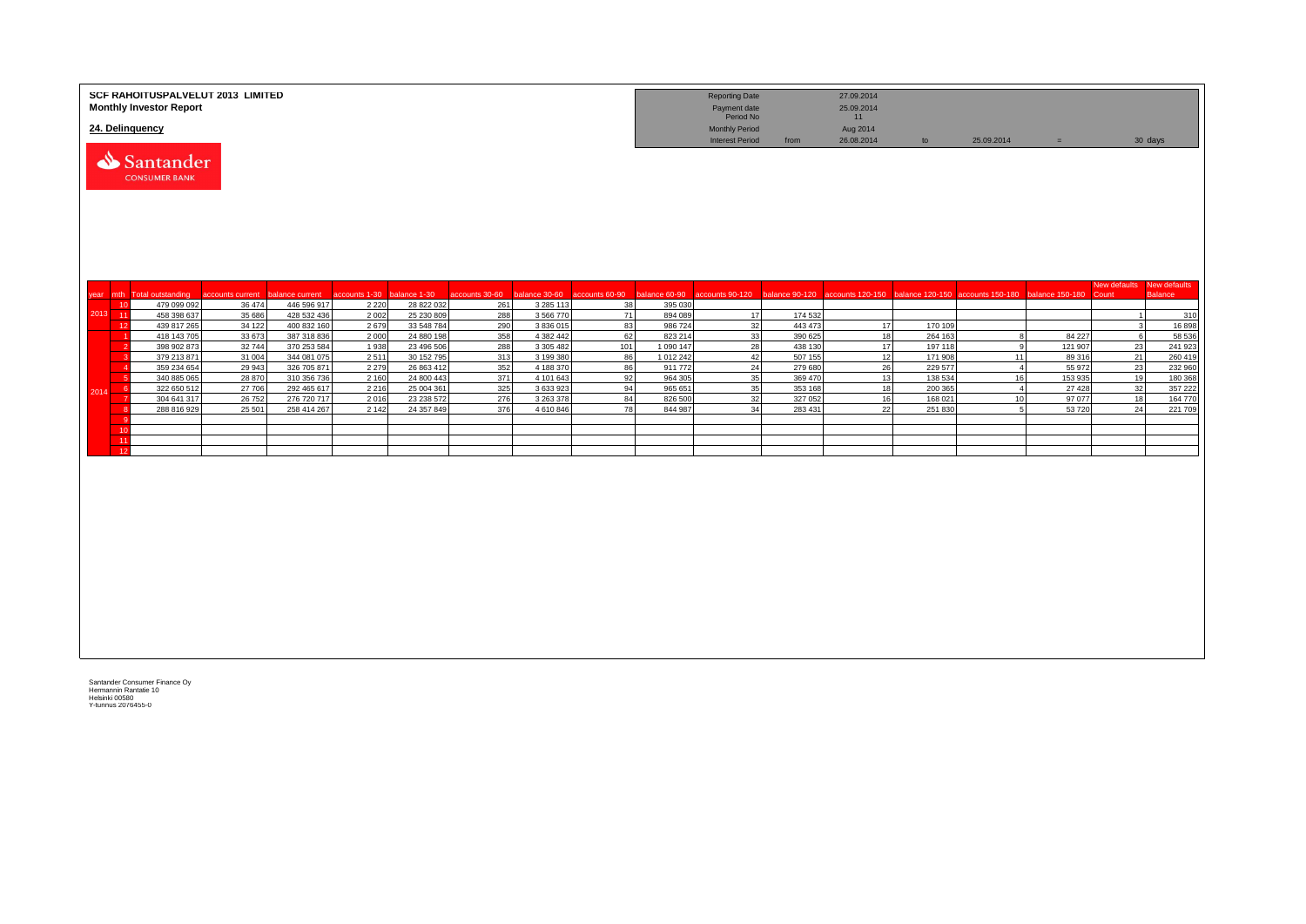|            | SCF RAHOITUSPALVELUT 2013 LIMITED<br><b>Monthly Investor Report</b><br>24. Delinquency |                  |                            |               |                          |                |                        |                |                      | <b>Reporting Date</b><br>Payment date<br>Period No<br><b>Monthly Period</b> |                    | 27.09.2014<br>25.09.2014<br>11<br>Aug 2014 |                    |                                                  |                   |                                    |                   |
|------------|----------------------------------------------------------------------------------------|------------------|----------------------------|---------------|--------------------------|----------------|------------------------|----------------|----------------------|-----------------------------------------------------------------------------|--------------------|--------------------------------------------|--------------------|--------------------------------------------------|-------------------|------------------------------------|-------------------|
|            | Santander<br><b>CONSUMER BANK</b>                                                      |                  |                            |               |                          |                |                        |                |                      | <b>Interest Period</b>                                                      | from               | 26.08.2014                                 | to                 | 25.09.2014                                       | $=$               |                                    | 30 days           |
| year mth   | <b>Total outstanding</b>                                                               | accounts current | balance current            | accounts 1-30 | balance 1-30             | accounts 30-60 | alance 30-60           | accounts 60-90 | palance 60-90        | accounts 90-120                                                             |                    | balance 90-120 accounts 120-150            |                    | balance 120-150 accounts 150-180 balance 150-180 |                   | New defaults New defaults<br>Count | <b>Balance</b>    |
| 10         | 479 099 092                                                                            | 36 474           | 446 596 917                | 2 2 2 0       | 28 822 032               | 261            | 3 2 8 5 1 1 3          | 38             | 395 030              |                                                                             |                    |                                            |                    |                                                  |                   |                                    |                   |
| 2013 11    | 458 398 637                                                                            | 35 686           | 428 532 436                | 2 0 0 2       | 25 230 809               | 288            | 3 566 770              | 71             | 894 089              | 17                                                                          | 174 532            |                                            |                    |                                                  |                   |                                    | 310               |
| 12         | 439 817 265                                                                            | 34 122           | 400 832 160                | 2679          | 33 548 784               | 290            | 3 836 015              | 83             | 986 724              | 32                                                                          | 443 473            | 17                                         | 170 109            |                                                  |                   |                                    | 16898             |
|            | 418 143 705<br>398 902 873                                                             | 33 673<br>32 744 | 387 318 836<br>370 253 584 | 2000<br>1938  | 24 880 198<br>23 496 506 | 358            | 4 382 442<br>3 305 482 | 62<br>101      | 823 214<br>1 090 147 | 33<br>28                                                                    | 390 625<br>438 130 | 18                                         | 264 163            | $\mathbf{g}$<br>9                                | 84 227<br>121 907 | 6                                  | 58 536<br>241 923 |
|            | 379 213 871                                                                            | 31 004           | 344 081 075                | 2511          | 30 152 795               | 288<br>313     | 3 199 380              | 86             | 1012242              | 42                                                                          | 507 155            | 17<br>12                                   | 197 118<br>171 908 | 11                                               | 89 316            | 23<br>21                           | 260 419           |
|            | 359 234 654                                                                            | 29 943           | 326 705 871                | 2 2 7 9       | 26 863 412               | 352            | 4 188 370              | 86             | 911 772              | 24                                                                          | 279 680            | 26                                         | 229 577            | $\overline{4}$                                   | 55 972            | 23                                 | 232 960           |
|            | 340 885 065                                                                            | 28 870           | 310 356 736                | 2 1 6 0       | 24 800 443               | 371            | 4 101 643              | 92             | 964 305              | 35                                                                          | 369 470            | 13                                         | 138 534            | 16                                               | 153 935           | 19                                 | 180 368           |
| -6<br>2014 | 322 650 512                                                                            | 27 706           | 292 465 617                | 2 2 1 6       | 25 004 361               | 325            | 3 633 923              | 94             | 965 651              | 35                                                                          | 353 168            | 18                                         | 200 365            | $\overline{4}$                                   | 27 4 28           | 32                                 | 357 222           |
|            | 304 641 317                                                                            | 26 752           | 276 720 717                | 2016          | 23 238 572               | 276            | 3 263 378              | 84             | 826 500              | 32                                                                          | 327 052            | 16                                         | 168 021            | 10                                               | 97 077            | 18                                 | 164 770           |
|            | 288 816 929                                                                            | 25 501           | 258 414 267                | 2 1 4 2       | 24 357 849               | 376            | 4 610 846              | 78             | 844 987              | 34                                                                          | 283 431            | 22                                         | 251830             | 5                                                | 53720             | 24                                 | 221 709           |
|            |                                                                                        |                  |                            |               |                          |                |                        |                |                      |                                                                             |                    |                                            |                    |                                                  |                   |                                    |                   |
| 10<br>11   |                                                                                        |                  |                            |               |                          |                |                        |                |                      |                                                                             |                    |                                            |                    |                                                  |                   |                                    |                   |
| 12         |                                                                                        |                  |                            |               |                          |                |                        |                |                      |                                                                             |                    |                                            |                    |                                                  |                   |                                    |                   |
|            |                                                                                        |                  |                            |               |                          |                |                        |                |                      |                                                                             |                    |                                            |                    |                                                  |                   |                                    |                   |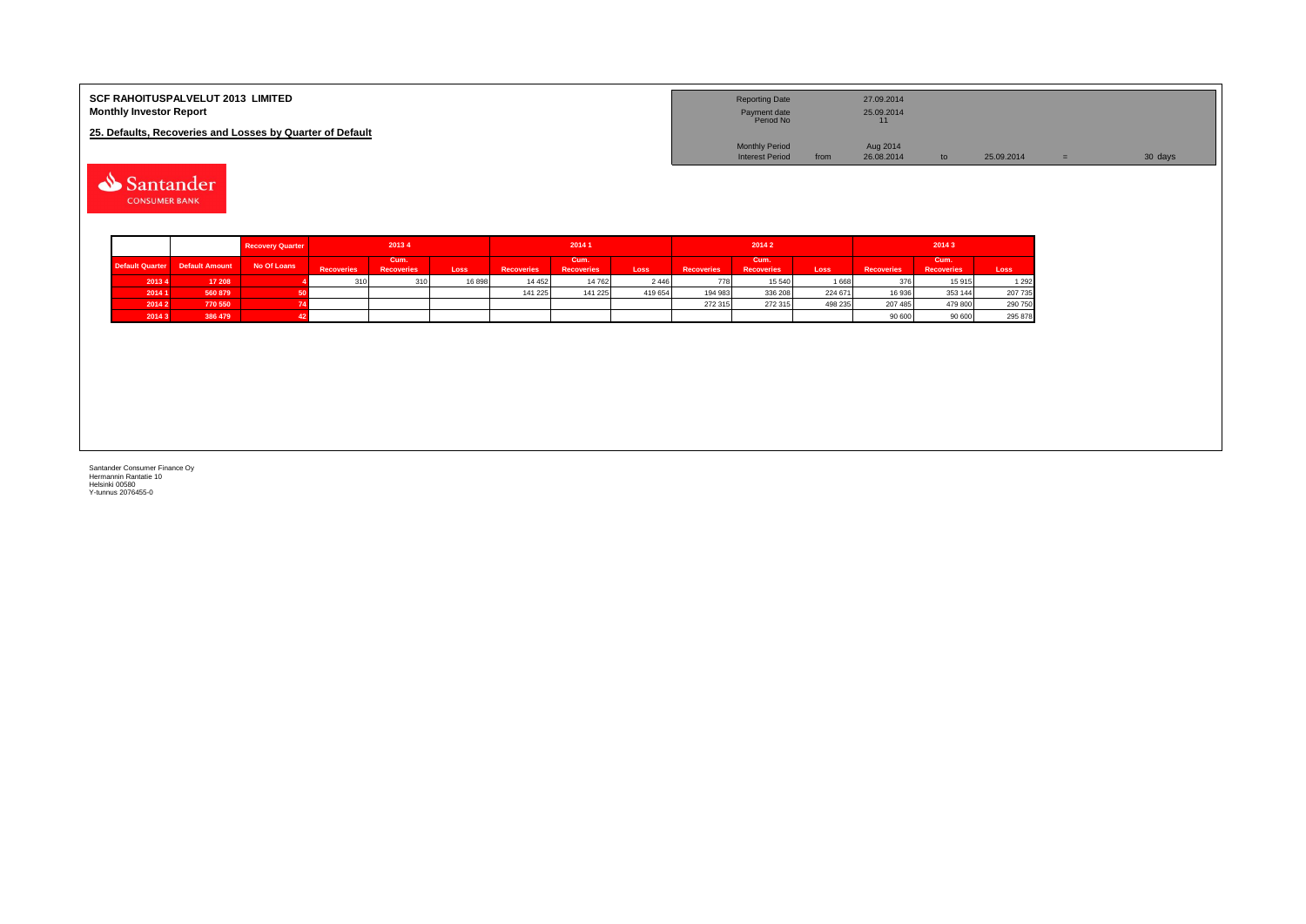| <b>SCF RAHOITUSPALVELUT 2013 LIMITED</b><br><b>Monthly Investor Report</b> | <b>Reporting Date</b><br>Payment date<br>Period No |      | 27.09.2014<br>25.09.2014 |            |         |
|----------------------------------------------------------------------------|----------------------------------------------------|------|--------------------------|------------|---------|
| 25. Defaults, Recoveries and Losses by Quarter of Default                  |                                                    |      |                          |            |         |
|                                                                            | <b>Monthly Period</b>                              |      | Aug 2014                 |            |         |
|                                                                            | <b>Interest Period</b>                             | from | 26.08.2014               | 25.09.2014 | 30 days |

Santander **CONSUMER BANK** 

|                        |                       | <b>Recovery Quarter</b> |                   | 20134                     |       |                   | 20141                     |         |                   | 20142                     |         | 20143             |                           |         |  |
|------------------------|-----------------------|-------------------------|-------------------|---------------------------|-------|-------------------|---------------------------|---------|-------------------|---------------------------|---------|-------------------|---------------------------|---------|--|
| <b>Default Quarter</b> | <b>Default Amount</b> | No Of Loans             | <b>Recoveries</b> | Cum.<br><b>Recoveries</b> | Loss  | <b>Recoveries</b> | Cum.<br><b>Recoveries</b> | Loss    | <b>Recoveries</b> | Cum.<br><b>Recoveries</b> | Loss    | <b>Recoveries</b> | Cum.<br><b>Recoveries</b> | Loss    |  |
| 20134                  | 17 208                |                         | 310               | 310                       | 16898 | 14 4 5 2          | 14 762                    | 2446    | 778               | 15 540                    | 1 668   | 376               | 15915                     | 1 2 9 2 |  |
| 2014 1                 | 560 879               |                         |                   |                           |       | 141 225           | 141 225                   | 419 654 | 194 983           | 336 208                   | 224 671 | 16 936            | 353 144                   | 207 735 |  |
| 2014 2                 | 770 550               |                         |                   |                           |       |                   |                           |         | 272 315           | 272 315                   | 498 235 | 207 485           | 479 800                   | 290 750 |  |
| 20143                  | 386 479               |                         |                   |                           |       |                   |                           |         |                   |                           |         | 90 600            | 90 600                    | 295 878 |  |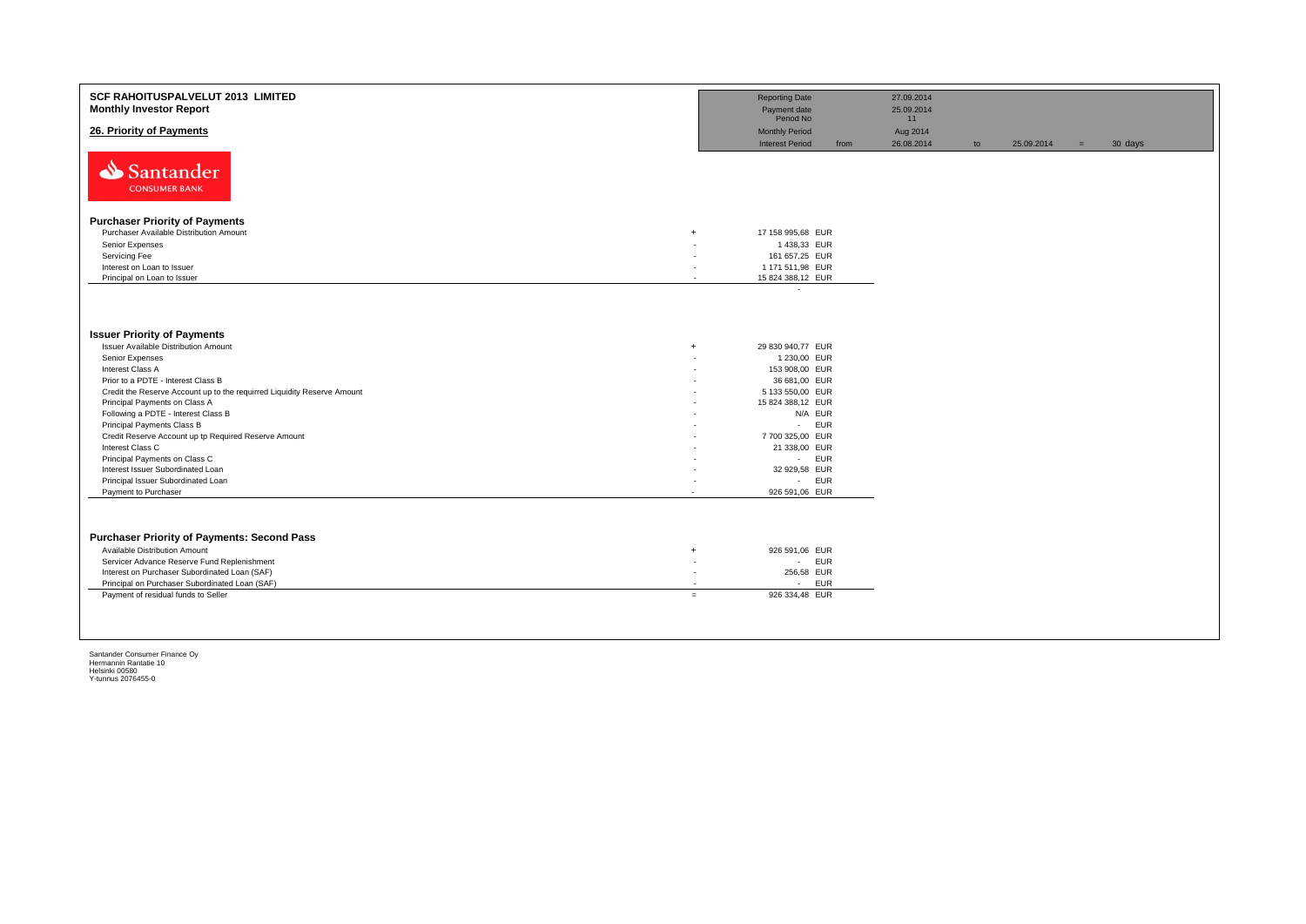| SCF RAHOITUSPALVELUT 2013 LIMITED<br><b>Monthly Investor Report</b>                                      |                          | <b>Reporting Date</b><br>Payment date<br>Period No |      | 27.09.2014<br>25.09.2014<br>11 |    |            |     |         |
|----------------------------------------------------------------------------------------------------------|--------------------------|----------------------------------------------------|------|--------------------------------|----|------------|-----|---------|
| 26. Priority of Payments                                                                                 |                          | <b>Monthly Period</b><br><b>Interest Period</b>    | from | Aug 2014<br>26.08.2014         | to | 25.09.2014 | $=$ | 30 days |
| Santander<br><b>CONSUMER BANK</b>                                                                        |                          |                                                    |      |                                |    |            |     |         |
| <b>Purchaser Priority of Payments</b>                                                                    |                          |                                                    |      |                                |    |            |     |         |
| Purchaser Available Distribution Amount                                                                  | $+$                      | 17 158 995,68 EUR                                  |      |                                |    |            |     |         |
| Senior Expenses                                                                                          |                          | 1438,33 EUR                                        |      |                                |    |            |     |         |
| Servicing Fee                                                                                            |                          | 161 657,25 EUR                                     |      |                                |    |            |     |         |
| Interest on Loan to Issuer                                                                               | $\overline{\phantom{a}}$ | 1 171 511,98 EUR                                   |      |                                |    |            |     |         |
| Principal on Loan to Issuer                                                                              | $\overline{\phantom{a}}$ | 15 824 388,12 EUR                                  |      |                                |    |            |     |         |
|                                                                                                          |                          |                                                    |      |                                |    |            |     |         |
| <b>Issuer Priority of Payments</b>                                                                       |                          |                                                    |      |                                |    |            |     |         |
| Issuer Available Distribution Amount                                                                     | $\ddot{+}$               | 29 830 940,77 EUR                                  |      |                                |    |            |     |         |
| Senior Expenses                                                                                          |                          | 1 230,00 EUR                                       |      |                                |    |            |     |         |
| Interest Class A                                                                                         |                          | 153 908,00 EUR                                     |      |                                |    |            |     |         |
| Prior to a PDTE - Interest Class B                                                                       |                          | 36 681,00 EUR                                      |      |                                |    |            |     |         |
| Credit the Reserve Account up to the requirred Liquidity Reserve Amount<br>Principal Payments on Class A |                          | 5 133 550,00 EUR<br>15 824 388,12 EUR              |      |                                |    |            |     |         |
| Following a PDTE - Interest Class B                                                                      |                          | N/A EUR                                            |      |                                |    |            |     |         |
| Principal Payments Class B                                                                               |                          | <b>EUR</b><br>$\sim$                               |      |                                |    |            |     |         |
| Credit Reserve Account up tp Required Reserve Amount                                                     |                          | 7 700 325,00 EUR                                   |      |                                |    |            |     |         |
| Interest Class C                                                                                         |                          | 21 338,00 EUR                                      |      |                                |    |            |     |         |
| Principal Payments on Class C                                                                            |                          | <b>EUR</b><br>$\sim 100$                           |      |                                |    |            |     |         |
| Interest Issuer Subordinated Loan                                                                        |                          | 32 929,58 EUR                                      |      |                                |    |            |     |         |
| Principal Issuer Subordinated Loan                                                                       |                          | <b>EUR</b><br>$\sim 100$                           |      |                                |    |            |     |         |
| Payment to Purchaser                                                                                     |                          | 926 591,06 EUR                                     |      |                                |    |            |     |         |
| <b>Purchaser Priority of Payments: Second Pass</b>                                                       |                          |                                                    |      |                                |    |            |     |         |
| Available Distribution Amount                                                                            | $\overline{1}$           | 926 591,06 EUR                                     |      |                                |    |            |     |         |
| Servicer Advance Reserve Fund Replenishment                                                              | $\overline{\phantom{a}}$ | <b>EUR</b><br>$\mathcal{L}_{\rm{max}}$             |      |                                |    |            |     |         |
| Interest on Purchaser Subordinated Loan (SAF)<br>Principal on Purchaser Subordinated Loan (SAF)          | $\sim$                   | 256,58 EUR<br><b>EUR</b><br>$\sim$                 |      |                                |    |            |     |         |
| Payment of residual funds to Seller                                                                      | $=$                      | 926 334,48 EUR                                     |      |                                |    |            |     |         |
|                                                                                                          |                          |                                                    |      |                                |    |            |     |         |
|                                                                                                          |                          |                                                    |      |                                |    |            |     |         |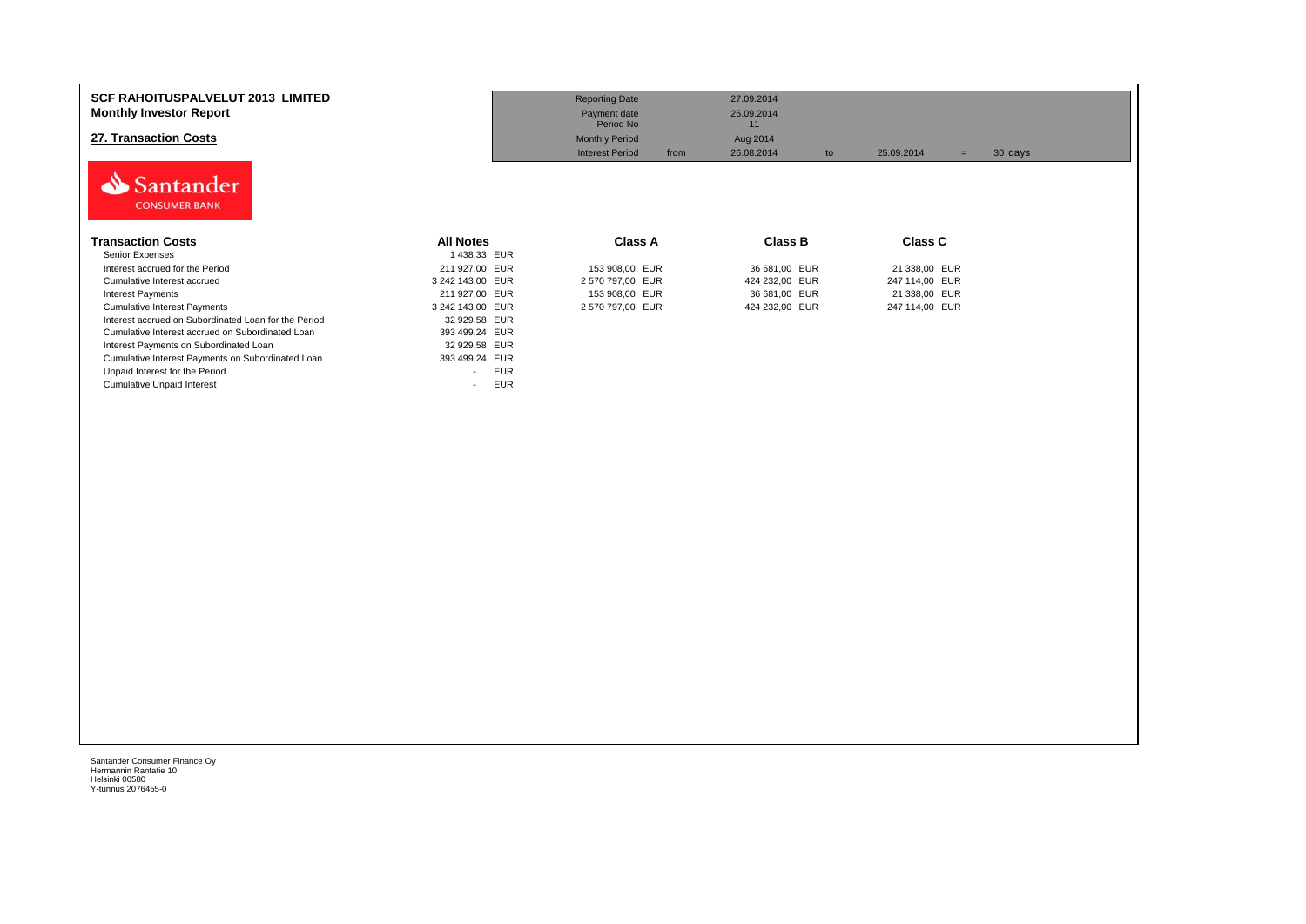| <b>SCF RAHOITUSPALVELUT 2013 LIMITED</b><br><b>Monthly Investor Report</b><br>27. Transaction Costs<br>Santander |                                        | <b>Reporting Date</b><br>Payment date<br>Period No<br><b>Monthly Period</b><br><b>Interest Period</b><br>from | 27.09.2014<br>25.09.2014<br>11<br>Aug 2014<br>26.08.2014<br>to | 25.09.2014<br>$=$ | 30 days |
|------------------------------------------------------------------------------------------------------------------|----------------------------------------|---------------------------------------------------------------------------------------------------------------|----------------------------------------------------------------|-------------------|---------|
| <b>CONSUMER BANK</b><br><b>Transaction Costs</b>                                                                 | <b>All Notes</b>                       | Class A                                                                                                       | <b>Class B</b>                                                 | <b>Class C</b>    |         |
| Senior Expenses<br>Interest accrued for the Period                                                               | 1 438,33 EUR<br>211 927,00 EUR         | 153 908,00 EUR                                                                                                | 36 681,00 EUR                                                  | 21 338,00 EUR     |         |
| Cumulative Interest accrued                                                                                      | 3 242 143,00 EUR                       | 2 570 797,00 EUR                                                                                              | 424 232,00 EUR                                                 | 247 114,00 EUR    |         |
| Interest Payments                                                                                                | 211 927,00 EUR                         | 153 908,00 EUR                                                                                                | 36 681,00 EUR                                                  | 21 338,00 EUR     |         |
| <b>Cumulative Interest Payments</b>                                                                              | 3 242 143,00 EUR                       | 2 570 797,00 EUR                                                                                              | 424 232,00 EUR                                                 | 247 114,00 EUR    |         |
| Interest accrued on Subordinated Loan for the Period                                                             | 32 929,58 EUR                          |                                                                                                               |                                                                |                   |         |
| Cumulative Interest accrued on Subordinated Loan                                                                 | 393 499,24 EUR                         |                                                                                                               |                                                                |                   |         |
| Interest Payments on Subordinated Loan                                                                           | 32 929,58 EUR                          |                                                                                                               |                                                                |                   |         |
| Cumulative Interest Payments on Subordinated Loan                                                                | 393 499,24 EUR                         |                                                                                                               |                                                                |                   |         |
| Unpaid Interest for the Period                                                                                   | <b>EUR</b><br>$\overline{\phantom{a}}$ |                                                                                                               |                                                                |                   |         |
| <b>Cumulative Unpaid Interest</b>                                                                                | <b>EUR</b>                             |                                                                                                               |                                                                |                   |         |